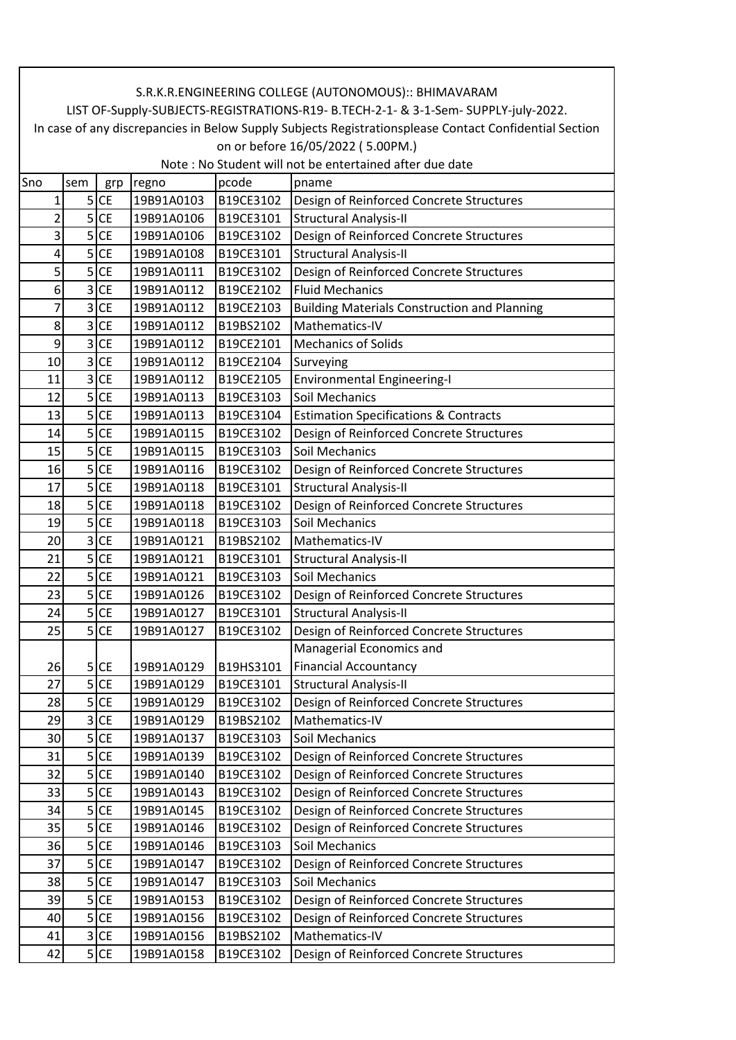| S.R.K.R.ENGINEERING COLLEGE (AUTONOMOUS):: BHIMAVARAM<br>LIST OF-Supply-SUBJECTS-REGISTRATIONS-R19- B.TECH-2-1- & 3-1-Sem- SUPPLY-july-2022. |                                                                                                        |                   |            |           |                                                     |  |  |  |  |
|----------------------------------------------------------------------------------------------------------------------------------------------|--------------------------------------------------------------------------------------------------------|-------------------|------------|-----------|-----------------------------------------------------|--|--|--|--|
|                                                                                                                                              | In case of any discrepancies in Below Supply Subjects Registrationsplease Contact Confidential Section |                   |            |           |                                                     |  |  |  |  |
|                                                                                                                                              | on or before 16/05/2022 (5.00PM.)                                                                      |                   |            |           |                                                     |  |  |  |  |
|                                                                                                                                              | Note: No Student will not be entertained after due date                                                |                   |            |           |                                                     |  |  |  |  |
| Sno                                                                                                                                          | sem                                                                                                    | grp               | regno      | pcode     | pname                                               |  |  |  |  |
| 1                                                                                                                                            |                                                                                                        | $5$ CE            | 19B91A0103 | B19CE3102 | Design of Reinforced Concrete Structures            |  |  |  |  |
| 2                                                                                                                                            |                                                                                                        | $5$ CE            | 19B91A0106 | B19CE3101 | <b>Structural Analysis-II</b>                       |  |  |  |  |
| 3                                                                                                                                            |                                                                                                        | $5$ CE            | 19B91A0106 | B19CE3102 | Design of Reinforced Concrete Structures            |  |  |  |  |
| 4                                                                                                                                            |                                                                                                        | $5$ CE            | 19B91A0108 | B19CE3101 | <b>Structural Analysis-II</b>                       |  |  |  |  |
| 5                                                                                                                                            |                                                                                                        | $5$ CE            | 19B91A0111 | B19CE3102 | Design of Reinforced Concrete Structures            |  |  |  |  |
| 6                                                                                                                                            | 3                                                                                                      | <b>CE</b>         | 19B91A0112 | B19CE2102 | <b>Fluid Mechanics</b>                              |  |  |  |  |
| 7                                                                                                                                            |                                                                                                        | $3$ CE            | 19B91A0112 | B19CE2103 | <b>Building Materials Construction and Planning</b> |  |  |  |  |
| 8                                                                                                                                            |                                                                                                        | $3$ CE            | 19B91A0112 | B19BS2102 | Mathematics-IV                                      |  |  |  |  |
| 9                                                                                                                                            |                                                                                                        | $3$ CE            | 19B91A0112 | B19CE2101 | <b>Mechanics of Solids</b>                          |  |  |  |  |
| 10                                                                                                                                           |                                                                                                        | $3$ CE            | 19B91A0112 | B19CE2104 | Surveying                                           |  |  |  |  |
| 11                                                                                                                                           |                                                                                                        | $3$ CE            | 19B91A0112 | B19CE2105 | <b>Environmental Engineering-I</b>                  |  |  |  |  |
| 12                                                                                                                                           |                                                                                                        | $5$ CE            | 19B91A0113 | B19CE3103 | Soil Mechanics                                      |  |  |  |  |
| 13                                                                                                                                           |                                                                                                        | $5$ CE            | 19B91A0113 | B19CE3104 | <b>Estimation Specifications &amp; Contracts</b>    |  |  |  |  |
| 14                                                                                                                                           |                                                                                                        | $5$ CE            | 19B91A0115 | B19CE3102 | Design of Reinforced Concrete Structures            |  |  |  |  |
| 15                                                                                                                                           |                                                                                                        | $5$ CE            | 19B91A0115 | B19CE3103 | Soil Mechanics                                      |  |  |  |  |
| 16                                                                                                                                           |                                                                                                        | $5$ CE            | 19B91A0116 | B19CE3102 | Design of Reinforced Concrete Structures            |  |  |  |  |
| 17                                                                                                                                           |                                                                                                        | $5$ CE            | 19B91A0118 | B19CE3101 | Structural Analysis-II                              |  |  |  |  |
| 18                                                                                                                                           |                                                                                                        | $5$ CE            | 19B91A0118 | B19CE3102 | Design of Reinforced Concrete Structures            |  |  |  |  |
| 19                                                                                                                                           |                                                                                                        | $5$ CE            | 19B91A0118 | B19CE3103 | Soil Mechanics                                      |  |  |  |  |
| 20                                                                                                                                           |                                                                                                        | 3 CE              | 19B91A0121 | B19BS2102 | Mathematics-IV                                      |  |  |  |  |
| 21                                                                                                                                           |                                                                                                        | $\overline{5}$ CE | 19B91A0121 | B19CE3101 | <b>Structural Analysis-II</b>                       |  |  |  |  |
| 22                                                                                                                                           |                                                                                                        | $5$ CE            | 19B91A0121 | B19CE3103 | Soil Mechanics                                      |  |  |  |  |
| 23                                                                                                                                           |                                                                                                        | $5$ CE            | 19B91A0126 | B19CE3102 | Design of Reinforced Concrete Structures            |  |  |  |  |
| 24                                                                                                                                           |                                                                                                        | $5$ CE            | 19B91A0127 | B19CE3101 | <b>Structural Analysis-II</b>                       |  |  |  |  |
| 25                                                                                                                                           |                                                                                                        | $5$ CE            | 19B91A0127 | B19CE3102 | Design of Reinforced Concrete Structures            |  |  |  |  |
|                                                                                                                                              |                                                                                                        |                   |            |           | Managerial Economics and                            |  |  |  |  |
| 26                                                                                                                                           |                                                                                                        | $5$ CE            | 19B91A0129 | B19HS3101 | <b>Financial Accountancy</b>                        |  |  |  |  |
| 27                                                                                                                                           | $\overline{5}$                                                                                         | <b>CE</b>         | 19B91A0129 | B19CE3101 | <b>Structural Analysis-II</b>                       |  |  |  |  |
| 28                                                                                                                                           |                                                                                                        | $5$ CE            | 19B91A0129 | B19CE3102 | Design of Reinforced Concrete Structures            |  |  |  |  |
| 29                                                                                                                                           | 3                                                                                                      | <b>CE</b>         | 19B91A0129 | B19BS2102 | Mathematics-IV                                      |  |  |  |  |
| 30                                                                                                                                           |                                                                                                        | $5$ CE            | 19B91A0137 | B19CE3103 | Soil Mechanics                                      |  |  |  |  |
| 31                                                                                                                                           |                                                                                                        | $5$ CE            | 19B91A0139 | B19CE3102 | Design of Reinforced Concrete Structures            |  |  |  |  |
| 32                                                                                                                                           |                                                                                                        | $5$ CE            | 19B91A0140 | B19CE3102 | Design of Reinforced Concrete Structures            |  |  |  |  |
| 33                                                                                                                                           |                                                                                                        | $5$ CE            | 19B91A0143 | B19CE3102 | Design of Reinforced Concrete Structures            |  |  |  |  |
| 34                                                                                                                                           |                                                                                                        | $5$ CE            | 19B91A0145 | B19CE3102 | Design of Reinforced Concrete Structures            |  |  |  |  |
| 35                                                                                                                                           |                                                                                                        | $5$ CE            | 19B91A0146 | B19CE3102 | Design of Reinforced Concrete Structures            |  |  |  |  |
| 36                                                                                                                                           | $\mathsf{S}$                                                                                           | <b>CE</b>         | 19B91A0146 | B19CE3103 | Soil Mechanics                                      |  |  |  |  |
| 37                                                                                                                                           |                                                                                                        | $5$ CE            | 19B91A0147 | B19CE3102 | Design of Reinforced Concrete Structures            |  |  |  |  |
| 38                                                                                                                                           |                                                                                                        | $5$ CE            | 19B91A0147 | B19CE3103 | Soil Mechanics                                      |  |  |  |  |
| 39                                                                                                                                           |                                                                                                        | $5$ CE            | 19B91A0153 | B19CE3102 | Design of Reinforced Concrete Structures            |  |  |  |  |
| 40                                                                                                                                           |                                                                                                        | $5$ CE            | 19B91A0156 | B19CE3102 | Design of Reinforced Concrete Structures            |  |  |  |  |
| 41                                                                                                                                           |                                                                                                        | $3$ CE            | 19B91A0156 | B19BS2102 | Mathematics-IV                                      |  |  |  |  |
| 42                                                                                                                                           |                                                                                                        | $5$ CE            | 19B91A0158 | B19CE3102 | Design of Reinforced Concrete Structures            |  |  |  |  |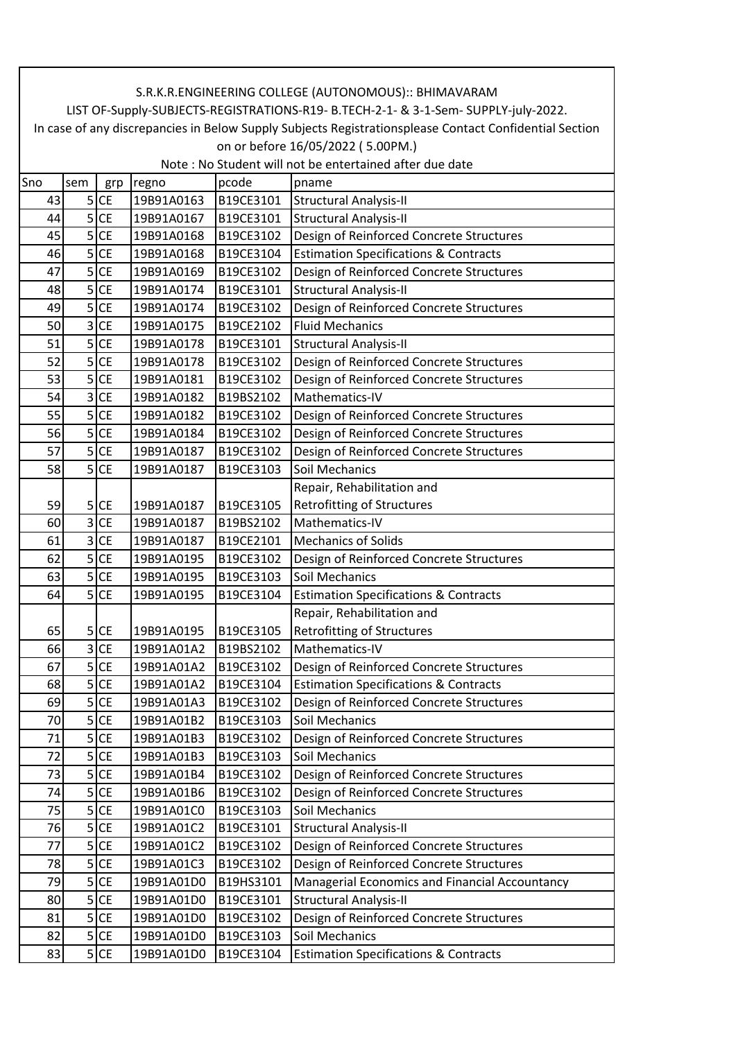|     | S.R.K.R.ENGINEERING COLLEGE (AUTONOMOUS):: BHIMAVARAM                                                  |           |            |           |                                                     |  |  |  |  |
|-----|--------------------------------------------------------------------------------------------------------|-----------|------------|-----------|-----------------------------------------------------|--|--|--|--|
|     | LIST OF-Supply-SUBJECTS-REGISTRATIONS-R19- B.TECH-2-1- & 3-1-Sem- SUPPLY-july-2022.                    |           |            |           |                                                     |  |  |  |  |
|     | In case of any discrepancies in Below Supply Subjects Registrationsplease Contact Confidential Section |           |            |           |                                                     |  |  |  |  |
|     | on or before 16/05/2022 (5.00PM.)<br>Note: No Student will not be entertained after due date           |           |            |           |                                                     |  |  |  |  |
|     |                                                                                                        |           |            |           |                                                     |  |  |  |  |
| Sno | sem                                                                                                    | grp       | regno      | pcode     | pname                                               |  |  |  |  |
| 43  |                                                                                                        | $5$ CE    | 19B91A0163 | B19CE3101 | Structural Analysis-II                              |  |  |  |  |
| 44  | 5                                                                                                      | <b>CE</b> | 19B91A0167 | B19CE3101 | <b>Structural Analysis-II</b>                       |  |  |  |  |
| 45  |                                                                                                        | $5$ CE    | 19B91A0168 | B19CE3102 | Design of Reinforced Concrete Structures            |  |  |  |  |
| 46  |                                                                                                        | $5$ CE    | 19B91A0168 | B19CE3104 | <b>Estimation Specifications &amp; Contracts</b>    |  |  |  |  |
| 47  | 5                                                                                                      | <b>CE</b> | 19B91A0169 | B19CE3102 | Design of Reinforced Concrete Structures            |  |  |  |  |
| 48  |                                                                                                        | $5$ CE    | 19B91A0174 | B19CE3101 | <b>Structural Analysis-II</b>                       |  |  |  |  |
| 49  |                                                                                                        | $5$ CE    | 19B91A0174 | B19CE3102 | Design of Reinforced Concrete Structures            |  |  |  |  |
| 50  |                                                                                                        | $3$ CE    | 19B91A0175 | B19CE2102 | <b>Fluid Mechanics</b>                              |  |  |  |  |
| 51  |                                                                                                        | $5$ CE    | 19B91A0178 | B19CE3101 | <b>Structural Analysis-II</b>                       |  |  |  |  |
| 52  |                                                                                                        | $5$ CE    | 19B91A0178 | B19CE3102 | Design of Reinforced Concrete Structures            |  |  |  |  |
| 53  |                                                                                                        | $5$ CE    | 19B91A0181 | B19CE3102 | Design of Reinforced Concrete Structures            |  |  |  |  |
| 54  |                                                                                                        | $3$ CE    | 19B91A0182 | B19BS2102 | Mathematics-IV                                      |  |  |  |  |
| 55  |                                                                                                        | $5$ CE    | 19B91A0182 | B19CE3102 | Design of Reinforced Concrete Structures            |  |  |  |  |
| 56  | 5                                                                                                      | <b>CE</b> | 19B91A0184 | B19CE3102 | Design of Reinforced Concrete Structures            |  |  |  |  |
| 57  | 5                                                                                                      | <b>CE</b> | 19B91A0187 | B19CE3102 | Design of Reinforced Concrete Structures            |  |  |  |  |
| 58  |                                                                                                        | $5$ CE    | 19B91A0187 | B19CE3103 | Soil Mechanics                                      |  |  |  |  |
|     |                                                                                                        |           |            |           | Repair, Rehabilitation and                          |  |  |  |  |
| 59  |                                                                                                        | $5$ CE    | 19B91A0187 | B19CE3105 | <b>Retrofitting of Structures</b>                   |  |  |  |  |
| 60  | $\overline{3}$                                                                                         | <b>CE</b> | 19B91A0187 | B19BS2102 | Mathematics-IV                                      |  |  |  |  |
| 61  |                                                                                                        | $3$ CE    | 19B91A0187 | B19CE2101 | <b>Mechanics of Solids</b>                          |  |  |  |  |
| 62  |                                                                                                        | $5$ CE    | 19B91A0195 | B19CE3102 | Design of Reinforced Concrete Structures            |  |  |  |  |
| 63  |                                                                                                        | $5$ CE    | 19B91A0195 | B19CE3103 | Soil Mechanics                                      |  |  |  |  |
| 64  |                                                                                                        | $5$ CE    | 19B91A0195 | B19CE3104 | <b>Estimation Specifications &amp; Contracts</b>    |  |  |  |  |
|     |                                                                                                        |           |            |           | Repair, Rehabilitation and                          |  |  |  |  |
| 65  |                                                                                                        | $5$ CE    |            |           | 19B91A0195   B19CE3105   Retrofitting of Structures |  |  |  |  |
| 66  | 3                                                                                                      | <b>CE</b> | 19B91A01A2 | B19BS2102 | Mathematics-IV                                      |  |  |  |  |
| 67  |                                                                                                        | $5$ CE    | 19B91A01A2 | B19CE3102 | Design of Reinforced Concrete Structures            |  |  |  |  |
| 68  |                                                                                                        | $5$ CE    | 19B91A01A2 | B19CE3104 | <b>Estimation Specifications &amp; Contracts</b>    |  |  |  |  |
| 69  |                                                                                                        | $5$ CE    | 19B91A01A3 | B19CE3102 | Design of Reinforced Concrete Structures            |  |  |  |  |
| 70  |                                                                                                        | $5$ CE    | 19B91A01B2 | B19CE3103 | Soil Mechanics                                      |  |  |  |  |
| 71  |                                                                                                        | $5$ CE    | 19B91A01B3 | B19CE3102 | Design of Reinforced Concrete Structures            |  |  |  |  |
| 72  | 5                                                                                                      | <b>CE</b> | 19B91A01B3 | B19CE3103 | Soil Mechanics                                      |  |  |  |  |
| 73  | 5                                                                                                      | <b>CE</b> | 19B91A01B4 | B19CE3102 | Design of Reinforced Concrete Structures            |  |  |  |  |
| 74  | 5                                                                                                      | <b>CE</b> | 19B91A01B6 | B19CE3102 | Design of Reinforced Concrete Structures            |  |  |  |  |
| 75  | 5 <sup>1</sup>                                                                                         | <b>CE</b> | 19B91A01C0 | B19CE3103 | Soil Mechanics                                      |  |  |  |  |
| 76  |                                                                                                        | $5$ CE    | 19B91A01C2 | B19CE3101 | <b>Structural Analysis-II</b>                       |  |  |  |  |
| 77  |                                                                                                        | $5$ CE    | 19B91A01C2 | B19CE3102 | Design of Reinforced Concrete Structures            |  |  |  |  |
| 78  | 5                                                                                                      | <b>CE</b> | 19B91A01C3 | B19CE3102 | Design of Reinforced Concrete Structures            |  |  |  |  |
| 79  |                                                                                                        | $5$ CE    | 19B91A01D0 | B19HS3101 | Managerial Economics and Financial Accountancy      |  |  |  |  |
| 80  | 5                                                                                                      | <b>CE</b> | 19B91A01D0 | B19CE3101 | <b>Structural Analysis-II</b>                       |  |  |  |  |
| 81  | 5                                                                                                      | <b>CE</b> | 19B91A01D0 | B19CE3102 | Design of Reinforced Concrete Structures            |  |  |  |  |
|     |                                                                                                        |           |            |           | Soil Mechanics                                      |  |  |  |  |
| 82  |                                                                                                        | $5$ CE    | 19B91A01D0 | B19CE3103 |                                                     |  |  |  |  |
| 83  |                                                                                                        | $5$ CE    | 19B91A01D0 | B19CE3104 | <b>Estimation Specifications &amp; Contracts</b>    |  |  |  |  |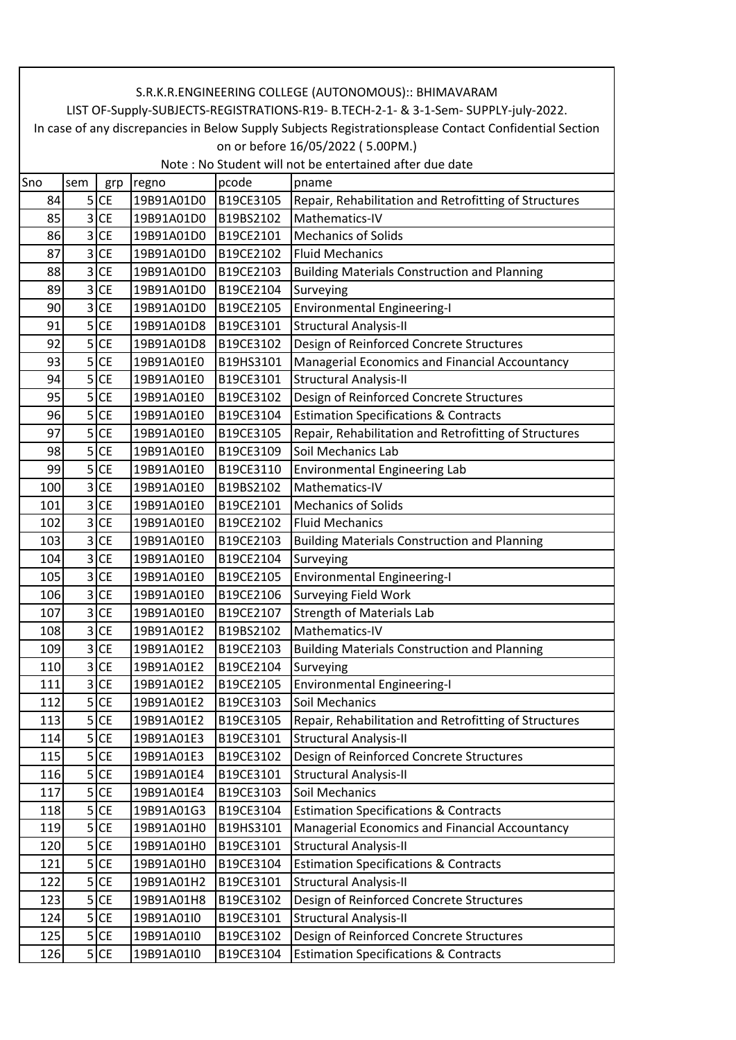|            | S.R.K.R.ENGINEERING COLLEGE (AUTONOMOUS):: BHIMAVARAM                                                                                                                                         |           |                          |                        |                                                                                 |  |  |  |  |
|------------|-----------------------------------------------------------------------------------------------------------------------------------------------------------------------------------------------|-----------|--------------------------|------------------------|---------------------------------------------------------------------------------|--|--|--|--|
|            | LIST OF-Supply-SUBJECTS-REGISTRATIONS-R19- B.TECH-2-1- & 3-1-Sem- SUPPLY-july-2022.<br>In case of any discrepancies in Below Supply Subjects Registrationsplease Contact Confidential Section |           |                          |                        |                                                                                 |  |  |  |  |
|            | on or before 16/05/2022 (5.00PM.)                                                                                                                                                             |           |                          |                        |                                                                                 |  |  |  |  |
|            | Note: No Student will not be entertained after due date                                                                                                                                       |           |                          |                        |                                                                                 |  |  |  |  |
| Sno        | sem                                                                                                                                                                                           | grp       | regno                    | pcode                  | pname                                                                           |  |  |  |  |
| 84         | 5 <sup>1</sup>                                                                                                                                                                                | <b>CE</b> | 19B91A01D0               | B19CE3105              | Repair, Rehabilitation and Retrofitting of Structures                           |  |  |  |  |
| 85         | 3                                                                                                                                                                                             | <b>CE</b> | 19B91A01D0               | B19BS2102              | Mathematics-IV                                                                  |  |  |  |  |
| 86         | 3                                                                                                                                                                                             | <b>CE</b> | 19B91A01D0               | B19CE2101              | <b>Mechanics of Solids</b>                                                      |  |  |  |  |
| 87         | 3                                                                                                                                                                                             | <b>CE</b> | 19B91A01D0               | B19CE2102              | <b>Fluid Mechanics</b>                                                          |  |  |  |  |
| 88         | 3                                                                                                                                                                                             | <b>CE</b> | 19B91A01D0               | B19CE2103              | <b>Building Materials Construction and Planning</b>                             |  |  |  |  |
| 89         | 3                                                                                                                                                                                             | <b>CE</b> | 19B91A01D0               | B19CE2104              | Surveying                                                                       |  |  |  |  |
| 90         | 3                                                                                                                                                                                             | <b>CE</b> | 19B91A01D0               | B19CE2105              | <b>Environmental Engineering-I</b>                                              |  |  |  |  |
| 91         | 5                                                                                                                                                                                             | <b>CE</b> | 19B91A01D8               | B19CE3101              | <b>Structural Analysis-II</b>                                                   |  |  |  |  |
| 92         | 5                                                                                                                                                                                             | <b>CE</b> | 19B91A01D8               | B19CE3102              | Design of Reinforced Concrete Structures                                        |  |  |  |  |
| 93         | 5                                                                                                                                                                                             | <b>CE</b> | 19B91A01E0               | B19HS3101              | Managerial Economics and Financial Accountancy                                  |  |  |  |  |
| 94         | 5                                                                                                                                                                                             | <b>CE</b> | 19B91A01E0               | B19CE3101              | <b>Structural Analysis-II</b>                                                   |  |  |  |  |
| 95         | 5                                                                                                                                                                                             | <b>CE</b> | 19B91A01E0               | B19CE3102              | Design of Reinforced Concrete Structures                                        |  |  |  |  |
| 96         | 5                                                                                                                                                                                             | <b>CE</b> | 19B91A01E0               | B19CE3104              | <b>Estimation Specifications &amp; Contracts</b>                                |  |  |  |  |
| 97         | 5                                                                                                                                                                                             | <b>CE</b> | 19B91A01E0               | B19CE3105              | Repair, Rehabilitation and Retrofitting of Structures                           |  |  |  |  |
| 98         | 5                                                                                                                                                                                             | <b>CE</b> | 19B91A01E0               | B19CE3109              | Soil Mechanics Lab                                                              |  |  |  |  |
|            |                                                                                                                                                                                               | $5$ CE    |                          |                        |                                                                                 |  |  |  |  |
| 99         | 3                                                                                                                                                                                             | <b>CE</b> | 19B91A01E0               | B19CE3110<br>B19BS2102 | <b>Environmental Engineering Lab</b><br>Mathematics-IV                          |  |  |  |  |
| 100        | 3                                                                                                                                                                                             | <b>CE</b> | 19B91A01E0<br>19B91A01E0 | B19CE2101              | <b>Mechanics of Solids</b>                                                      |  |  |  |  |
| 101<br>102 | 3                                                                                                                                                                                             | <b>CE</b> | 19B91A01E0               | B19CE2102              | <b>Fluid Mechanics</b>                                                          |  |  |  |  |
| 103        | 3                                                                                                                                                                                             | <b>CE</b> | 19B91A01E0               | B19CE2103              | <b>Building Materials Construction and Planning</b>                             |  |  |  |  |
| 104        | $\overline{\mathbf{3}}$                                                                                                                                                                       | <b>CE</b> | 19B91A01E0               | B19CE2104              | Surveying                                                                       |  |  |  |  |
| 105        | 3                                                                                                                                                                                             | <b>CE</b> | 19B91A01E0               | B19CE2105              |                                                                                 |  |  |  |  |
| 106        | $\overline{3}$                                                                                                                                                                                | <b>CE</b> | 19B91A01E0               | B19CE2106              | <b>Environmental Engineering-I</b>                                              |  |  |  |  |
| 107        | 3                                                                                                                                                                                             | <b>CE</b> | 19B91A01E0               | B19CE2107              | <b>Surveying Field Work</b>                                                     |  |  |  |  |
| 108        |                                                                                                                                                                                               | 3 CE      | 19B91A01E2               | B19BS2102              | <b>Strength of Materials Lab</b><br>Mathematics-IV                              |  |  |  |  |
| 109        | 3                                                                                                                                                                                             | <b>CE</b> | 19B91A01E2               | B19CE2103              |                                                                                 |  |  |  |  |
| 110        | 3                                                                                                                                                                                             | <b>CE</b> | 19B91A01E2               | B19CE2104              | <b>Building Materials Construction and Planning</b><br>Surveying                |  |  |  |  |
| 111        | 3                                                                                                                                                                                             | <b>CE</b> | 19B91A01E2               | B19CE2105              |                                                                                 |  |  |  |  |
| 112        | 5                                                                                                                                                                                             | <b>CE</b> | 19B91A01E2               | B19CE3103              | <b>Environmental Engineering-I</b><br>Soil Mechanics                            |  |  |  |  |
| 113        | 5                                                                                                                                                                                             | <b>CE</b> | 19B91A01E2               | B19CE3105              | Repair, Rehabilitation and Retrofitting of Structures                           |  |  |  |  |
| 114        | 5                                                                                                                                                                                             | <b>CE</b> | 19B91A01E3               | B19CE3101              | <b>Structural Analysis-II</b>                                                   |  |  |  |  |
| 115        | 5                                                                                                                                                                                             | <b>CE</b> | 19B91A01E3               | B19CE3102              | Design of Reinforced Concrete Structures                                        |  |  |  |  |
| 116        | 5                                                                                                                                                                                             | <b>CE</b> | 19B91A01E4               | B19CE3101              | Structural Analysis-II                                                          |  |  |  |  |
| 117        |                                                                                                                                                                                               | $5$ CE    | 19B91A01E4               | B19CE3103              | Soil Mechanics                                                                  |  |  |  |  |
|            | 5                                                                                                                                                                                             | <b>CE</b> | 19B91A01G3               | B19CE3104              |                                                                                 |  |  |  |  |
| 118        | 5                                                                                                                                                                                             | <b>CE</b> |                          |                        | <b>Estimation Specifications &amp; Contracts</b>                                |  |  |  |  |
| 119<br>120 | 5                                                                                                                                                                                             | <b>CE</b> | 19B91A01H0<br>19B91A01H0 | B19HS3101<br>B19CE3101 | Managerial Economics and Financial Accountancy<br><b>Structural Analysis-II</b> |  |  |  |  |
| 121        |                                                                                                                                                                                               | <b>CE</b> |                          |                        |                                                                                 |  |  |  |  |
|            | 5<br>5                                                                                                                                                                                        |           | 19B91A01H0               | B19CE3104              | <b>Estimation Specifications &amp; Contracts</b>                                |  |  |  |  |
| 122        | 5                                                                                                                                                                                             | <b>CE</b> | 19B91A01H2               | B19CE3101              | <b>Structural Analysis-II</b>                                                   |  |  |  |  |
| 123        |                                                                                                                                                                                               | <b>CE</b> | 19B91A01H8               | B19CE3102              | Design of Reinforced Concrete Structures                                        |  |  |  |  |
| 124        | 5                                                                                                                                                                                             | <b>CE</b> | 19B91A01I0               | B19CE3101              | <b>Structural Analysis-II</b>                                                   |  |  |  |  |
| 125        | 5                                                                                                                                                                                             | <b>CE</b> | 19B91A01I0               | B19CE3102              | Design of Reinforced Concrete Structures                                        |  |  |  |  |
| 126        |                                                                                                                                                                                               | $5$ CE    | 19B91A01I0               | B19CE3104              | <b>Estimation Specifications &amp; Contracts</b>                                |  |  |  |  |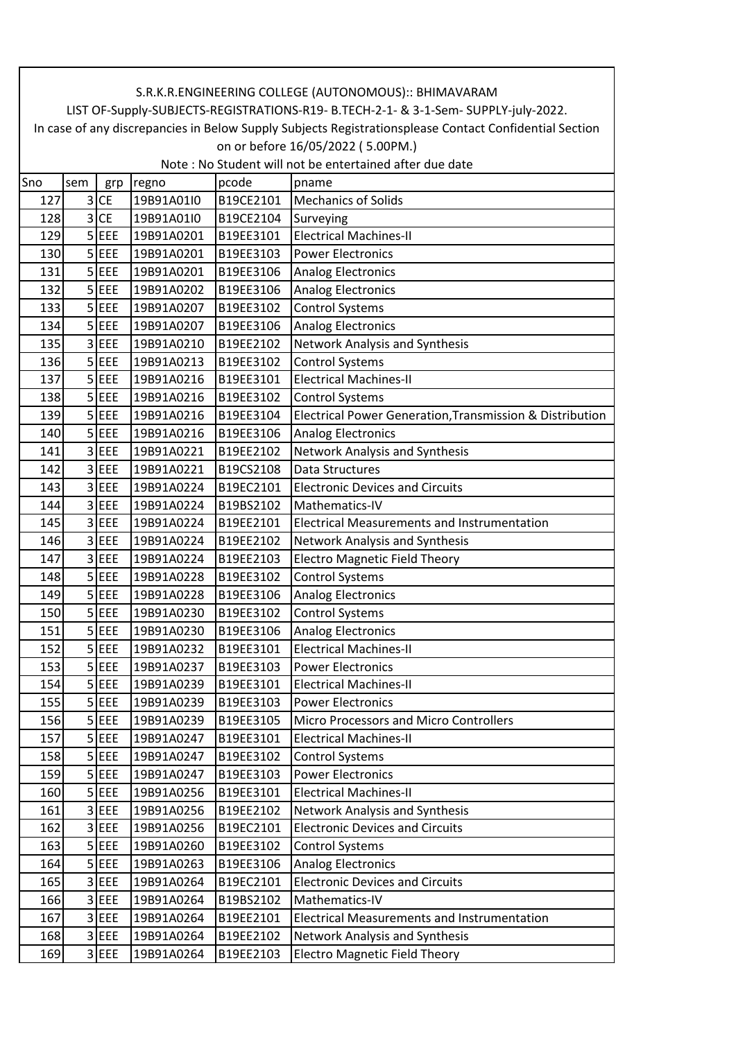|     | S.R.K.R.ENGINEERING COLLEGE (AUTONOMOUS):: BHIMAVARAM                                                  |            |            |           |                                                          |  |  |  |  |
|-----|--------------------------------------------------------------------------------------------------------|------------|------------|-----------|----------------------------------------------------------|--|--|--|--|
|     | LIST OF-Supply-SUBJECTS-REGISTRATIONS-R19- B.TECH-2-1- & 3-1-Sem- SUPPLY-july-2022.                    |            |            |           |                                                          |  |  |  |  |
|     | In case of any discrepancies in Below Supply Subjects Registrationsplease Contact Confidential Section |            |            |           |                                                          |  |  |  |  |
|     | on or before 16/05/2022 (5.00PM.)                                                                      |            |            |           |                                                          |  |  |  |  |
|     |                                                                                                        |            |            |           | Note: No Student will not be entertained after due date  |  |  |  |  |
| Sno | sem                                                                                                    | grp        | regno      | pcode     | pname                                                    |  |  |  |  |
| 127 | 3                                                                                                      | <b>CE</b>  | 19B91A01I0 | B19CE2101 | <b>Mechanics of Solids</b>                               |  |  |  |  |
| 128 | 3                                                                                                      | <b>CE</b>  | 19B91A01I0 | B19CE2104 | Surveying                                                |  |  |  |  |
| 129 |                                                                                                        | $5$ EEE    | 19B91A0201 | B19EE3101 | <b>Electrical Machines-II</b>                            |  |  |  |  |
| 130 | 5 <sup>1</sup>                                                                                         | EEE        | 19B91A0201 | B19EE3103 | <b>Power Electronics</b>                                 |  |  |  |  |
| 131 |                                                                                                        | $5$ EEE    | 19B91A0201 | B19EE3106 | <b>Analog Electronics</b>                                |  |  |  |  |
| 132 |                                                                                                        | $5$ EEE    | 19B91A0202 | B19EE3106 | <b>Analog Electronics</b>                                |  |  |  |  |
| 133 |                                                                                                        | $5$ EEE    | 19B91A0207 | B19EE3102 | <b>Control Systems</b>                                   |  |  |  |  |
| 134 |                                                                                                        | $5$ EEE    | 19B91A0207 | B19EE3106 | <b>Analog Electronics</b>                                |  |  |  |  |
| 135 | 3                                                                                                      | EEE        | 19B91A0210 | B19EE2102 | Network Analysis and Synthesis                           |  |  |  |  |
| 136 |                                                                                                        | $5$ EEE    | 19B91A0213 | B19EE3102 | <b>Control Systems</b>                                   |  |  |  |  |
| 137 |                                                                                                        | $5$ EEE    | 19B91A0216 | B19EE3101 | <b>Electrical Machines-II</b>                            |  |  |  |  |
| 138 |                                                                                                        | $5$ EEE    | 19B91A0216 | B19EE3102 | <b>Control Systems</b>                                   |  |  |  |  |
| 139 |                                                                                                        | $5$ EEE    | 19B91A0216 | B19EE3104 | Electrical Power Generation, Transmission & Distribution |  |  |  |  |
| 140 | 5 <sup>1</sup>                                                                                         | EEE        | 19B91A0216 | B19EE3106 | <b>Analog Electronics</b>                                |  |  |  |  |
| 141 | 3                                                                                                      | EEE        | 19B91A0221 | B19EE2102 | Network Analysis and Synthesis                           |  |  |  |  |
| 142 | 3                                                                                                      | EEE        | 19B91A0221 | B19CS2108 | Data Structures                                          |  |  |  |  |
| 143 |                                                                                                        | 3 EEE      | 19B91A0224 | B19EC2101 | <b>Electronic Devices and Circuits</b>                   |  |  |  |  |
| 144 |                                                                                                        | 3 EEE      | 19B91A0224 | B19BS2102 | Mathematics-IV                                           |  |  |  |  |
| 145 | 3                                                                                                      | EEE        | 19B91A0224 | B19EE2101 | <b>Electrical Measurements and Instrumentation</b>       |  |  |  |  |
| 146 | $\overline{3}$                                                                                         | EEE        | 19B91A0224 | B19EE2102 | Network Analysis and Synthesis                           |  |  |  |  |
| 147 | $\overline{3}$                                                                                         | EEE        | 19B91A0224 | B19EE2103 | <b>Electro Magnetic Field Theory</b>                     |  |  |  |  |
| 148 | 5 <sup>1</sup>                                                                                         | <b>EEE</b> | 19B91A0228 | B19EE3102 | <b>Control Systems</b>                                   |  |  |  |  |
| 149 |                                                                                                        | $5$ EEE    | 19B91A0228 | B19EE3106 | <b>Analog Electronics</b>                                |  |  |  |  |
| 150 |                                                                                                        | $5$ EEE    | 19B91A0230 | B19EE3102 | <b>Control Systems</b>                                   |  |  |  |  |
| 151 |                                                                                                        | $5$ EEE    | 19B91A0230 | B19EE3106 | Analog Electronics                                       |  |  |  |  |
| 152 |                                                                                                        | $5$ EEE    | 19B91A0232 | B19EE3101 | <b>Electrical Machines-II</b>                            |  |  |  |  |
| 153 |                                                                                                        | $5$ EEE    | 19B91A0237 | B19EE3103 | <b>Power Electronics</b>                                 |  |  |  |  |
| 154 |                                                                                                        | $5$ EEE    | 19B91A0239 | B19EE3101 | <b>Electrical Machines-II</b>                            |  |  |  |  |
| 155 |                                                                                                        | $5$ EEE    | 19B91A0239 | B19EE3103 | <b>Power Electronics</b>                                 |  |  |  |  |
| 156 |                                                                                                        | 5 EEE      | 19B91A0239 | B19EE3105 | Micro Processors and Micro Controllers                   |  |  |  |  |
| 157 |                                                                                                        | $5$ $EEE$  | 19B91A0247 | B19EE3101 | <b>Electrical Machines-II</b>                            |  |  |  |  |
| 158 |                                                                                                        | $5$ EEE    | 19B91A0247 | B19EE3102 | <b>Control Systems</b>                                   |  |  |  |  |
| 159 |                                                                                                        | 5 EEE      | 19B91A0247 | B19EE3103 | <b>Power Electronics</b>                                 |  |  |  |  |
| 160 |                                                                                                        | $5$ EEE    | 19B91A0256 | B19EE3101 | <b>Electrical Machines-II</b>                            |  |  |  |  |
| 161 | $\overline{3}$                                                                                         | <b>EEE</b> | 19B91A0256 | B19EE2102 | Network Analysis and Synthesis                           |  |  |  |  |
| 162 |                                                                                                        | 3 EEE      | 19B91A0256 | B19EC2101 | <b>Electronic Devices and Circuits</b>                   |  |  |  |  |
| 163 |                                                                                                        | $5$ EEE    | 19B91A0260 | B19EE3102 | <b>Control Systems</b>                                   |  |  |  |  |
| 164 |                                                                                                        | $5$ EEE    | 19B91A0263 | B19EE3106 | <b>Analog Electronics</b>                                |  |  |  |  |
| 165 | $\overline{3}$                                                                                         | <b>EEE</b> | 19B91A0264 | B19EC2101 | <b>Electronic Devices and Circuits</b>                   |  |  |  |  |
| 166 | $\overline{3}$                                                                                         | <b>EEE</b> | 19B91A0264 | B19BS2102 | Mathematics-IV                                           |  |  |  |  |
| 167 |                                                                                                        | 3 EEE      | 19B91A0264 | B19EE2101 | Electrical Measurements and Instrumentation              |  |  |  |  |
| 168 |                                                                                                        | 3 EEE      | 19B91A0264 | B19EE2102 | Network Analysis and Synthesis                           |  |  |  |  |
| 169 |                                                                                                        | $3$ EEE    | 19B91A0264 | B19EE2103 | <b>Electro Magnetic Field Theory</b>                     |  |  |  |  |
|     |                                                                                                        |            |            |           |                                                          |  |  |  |  |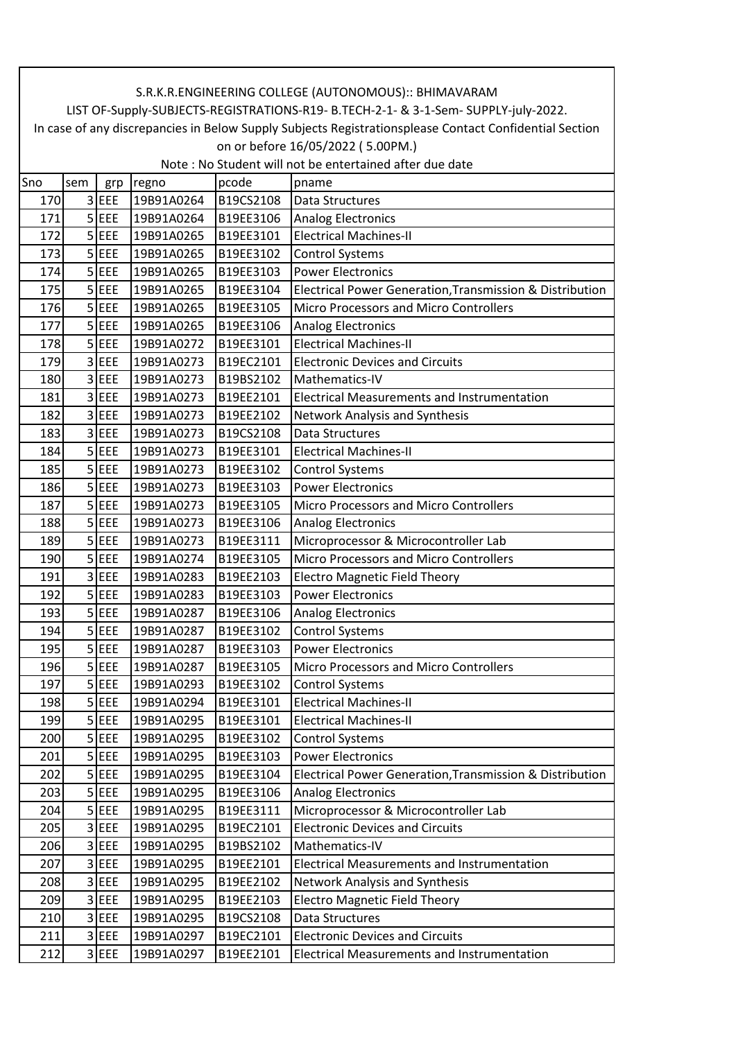|     | S.R.K.R.ENGINEERING COLLEGE (AUTONOMOUS):: BHIMAVARAM                                                  |                    |            |           |                                                          |  |  |  |  |
|-----|--------------------------------------------------------------------------------------------------------|--------------------|------------|-----------|----------------------------------------------------------|--|--|--|--|
|     | LIST OF-Supply-SUBJECTS-REGISTRATIONS-R19- B.TECH-2-1- & 3-1-Sem- SUPPLY-july-2022.                    |                    |            |           |                                                          |  |  |  |  |
|     | In case of any discrepancies in Below Supply Subjects Registrationsplease Contact Confidential Section |                    |            |           |                                                          |  |  |  |  |
|     | on or before 16/05/2022 (5.00PM.)<br>Note: No Student will not be entertained after due date           |                    |            |           |                                                          |  |  |  |  |
|     |                                                                                                        |                    |            |           |                                                          |  |  |  |  |
| Sno | sem                                                                                                    | grp                | regno      | pcode     | pname                                                    |  |  |  |  |
| 170 |                                                                                                        | 3 EEE              | 19B91A0264 | B19CS2108 | Data Structures                                          |  |  |  |  |
| 171 |                                                                                                        | $5$ EEE            | 19B91A0264 | B19EE3106 | <b>Analog Electronics</b>                                |  |  |  |  |
| 172 |                                                                                                        | $5$ EEE            | 19B91A0265 | B19EE3101 | <b>Electrical Machines-II</b>                            |  |  |  |  |
| 173 |                                                                                                        | $5$ EEE            | 19B91A0265 | B19EE3102 | <b>Control Systems</b>                                   |  |  |  |  |
| 174 |                                                                                                        | $5$ EEE            | 19B91A0265 | B19EE3103 | <b>Power Electronics</b>                                 |  |  |  |  |
| 175 |                                                                                                        | $5$ EEE            | 19B91A0265 | B19EE3104 | Electrical Power Generation, Transmission & Distribution |  |  |  |  |
| 176 |                                                                                                        | $5$ EEE            | 19B91A0265 | B19EE3105 | <b>Micro Processors and Micro Controllers</b>            |  |  |  |  |
| 177 |                                                                                                        | $5$ EEE            | 19B91A0265 | B19EE3106 | Analog Electronics                                       |  |  |  |  |
| 178 |                                                                                                        | $5$ EEE            | 19B91A0272 | B19EE3101 | <b>Electrical Machines-II</b>                            |  |  |  |  |
| 179 |                                                                                                        | 3 EEE              | 19B91A0273 | B19EC2101 | <b>Electronic Devices and Circuits</b>                   |  |  |  |  |
| 180 |                                                                                                        | 3 EEE              | 19B91A0273 | B19BS2102 | Mathematics-IV                                           |  |  |  |  |
| 181 |                                                                                                        | 3 EEE              | 19B91A0273 | B19EE2101 | <b>Electrical Measurements and Instrumentation</b>       |  |  |  |  |
| 182 |                                                                                                        | $3$ EEE            | 19B91A0273 | B19EE2102 | <b>Network Analysis and Synthesis</b>                    |  |  |  |  |
| 183 | 3                                                                                                      | EEE                | 19B91A0273 | B19CS2108 | Data Structures                                          |  |  |  |  |
| 184 |                                                                                                        | $5$ EEE            | 19B91A0273 | B19EE3101 | <b>Electrical Machines-II</b>                            |  |  |  |  |
| 185 |                                                                                                        | 5 EEE              | 19B91A0273 | B19EE3102 | <b>Control Systems</b>                                   |  |  |  |  |
| 186 |                                                                                                        | $5$ EEE            | 19B91A0273 | B19EE3103 | <b>Power Electronics</b>                                 |  |  |  |  |
| 187 |                                                                                                        | $5$ EEE            | 19B91A0273 | B19EE3105 | <b>Micro Processors and Micro Controllers</b>            |  |  |  |  |
| 188 |                                                                                                        | $5$ EEE            | 19B91A0273 | B19EE3106 | Analog Electronics                                       |  |  |  |  |
| 189 |                                                                                                        | $5$ EEE            | 19B91A0273 | B19EE3111 | Microprocessor & Microcontroller Lab                     |  |  |  |  |
| 190 |                                                                                                        | $5$ EEE            | 19B91A0274 | B19EE3105 | <b>Micro Processors and Micro Controllers</b>            |  |  |  |  |
| 191 |                                                                                                        | $3$ EEE            | 19B91A0283 | B19EE2103 | <b>Electro Magnetic Field Theory</b>                     |  |  |  |  |
| 192 |                                                                                                        | $5$ EEE            | 19B91A0283 | B19EE3103 | <b>Power Electronics</b>                                 |  |  |  |  |
| 193 |                                                                                                        | $5$ EEE            | 19B91A0287 | B19EE3106 | <b>Analog Electronics</b>                                |  |  |  |  |
| 194 |                                                                                                        | $\overline{5}$ EEE | 19B91A0287 | B19EE3102 | Control Systems                                          |  |  |  |  |
| 195 |                                                                                                        | $5$ EEE            | 19B91A0287 | B19EE3103 | <b>Power Electronics</b>                                 |  |  |  |  |
| 196 |                                                                                                        | $5$ EEE            | 19B91A0287 | B19EE3105 | Micro Processors and Micro Controllers                   |  |  |  |  |
| 197 |                                                                                                        | 5 EEE              | 19B91A0293 | B19EE3102 | <b>Control Systems</b>                                   |  |  |  |  |
| 198 |                                                                                                        | $5$ EEE            | 19B91A0294 | B19EE3101 | <b>Electrical Machines-II</b>                            |  |  |  |  |
| 199 |                                                                                                        | 5 EEE              | 19B91A0295 | B19EE3101 | <b>Electrical Machines-II</b>                            |  |  |  |  |
| 200 |                                                                                                        | $5$ EEE            | 19B91A0295 | B19EE3102 | <b>Control Systems</b>                                   |  |  |  |  |
| 201 |                                                                                                        | $5$ EEE            | 19B91A0295 | B19EE3103 | <b>Power Electronics</b>                                 |  |  |  |  |
| 202 |                                                                                                        | $5$ EEE            | 19B91A0295 | B19EE3104 | Electrical Power Generation, Transmission & Distribution |  |  |  |  |
| 203 |                                                                                                        | $5$ EEE            | 19B91A0295 | B19EE3106 | <b>Analog Electronics</b>                                |  |  |  |  |
| 204 |                                                                                                        | 5 EEE              | 19B91A0295 | B19EE3111 | Microprocessor & Microcontroller Lab                     |  |  |  |  |
| 205 |                                                                                                        | 3 EEE              | 19B91A0295 | B19EC2101 | <b>Electronic Devices and Circuits</b>                   |  |  |  |  |
| 206 |                                                                                                        | 3 EEE              | 19B91A0295 | B19BS2102 | Mathematics-IV                                           |  |  |  |  |
| 207 |                                                                                                        | 3 EEE              | 19B91A0295 | B19EE2101 | <b>Electrical Measurements and Instrumentation</b>       |  |  |  |  |
| 208 |                                                                                                        | 3 EEE              | 19B91A0295 | B19EE2102 | <b>Network Analysis and Synthesis</b>                    |  |  |  |  |
| 209 | 3                                                                                                      | EEE                | 19B91A0295 | B19EE2103 | <b>Electro Magnetic Field Theory</b>                     |  |  |  |  |
| 210 |                                                                                                        | 3 EEE              | 19B91A0295 | B19CS2108 | Data Structures                                          |  |  |  |  |
| 211 | $\overline{\mathbf{3}}$                                                                                | EEE                | 19B91A0297 | B19EC2101 | <b>Electronic Devices and Circuits</b>                   |  |  |  |  |
| 212 |                                                                                                        | $3$ EEE            | 19B91A0297 | B19EE2101 | <b>Electrical Measurements and Instrumentation</b>       |  |  |  |  |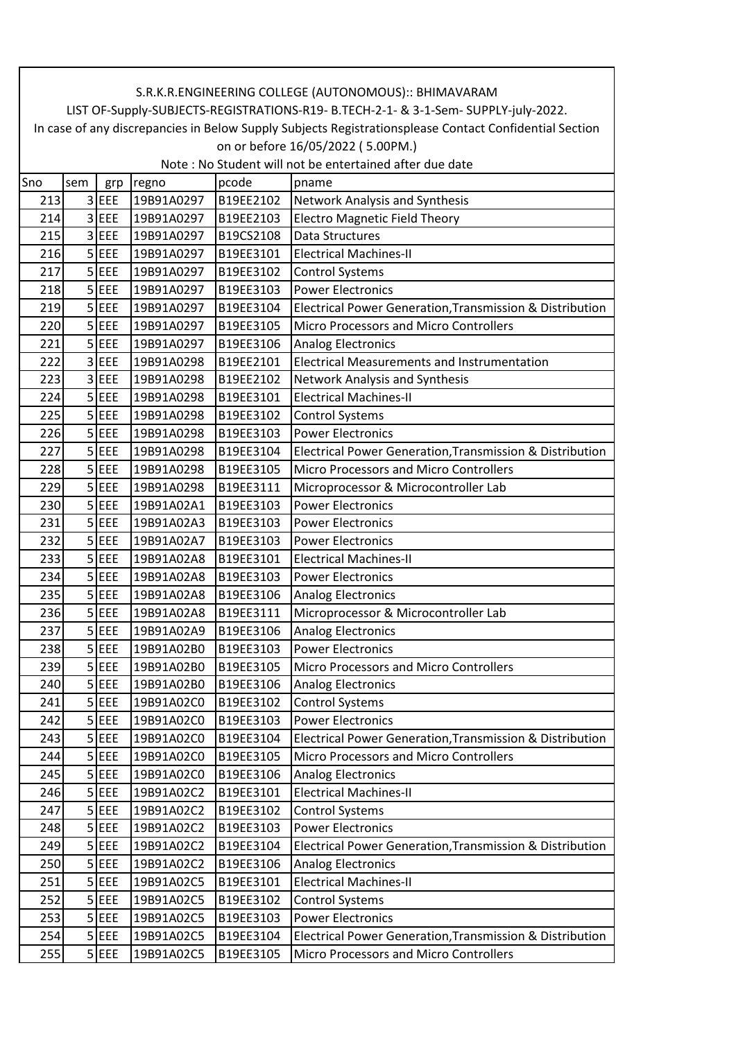| S.R.K.R.ENGINEERING COLLEGE (AUTONOMOUS):: BHIMAVARAM                               |                                                                                                        |           |            |           |                                                          |  |  |  |
|-------------------------------------------------------------------------------------|--------------------------------------------------------------------------------------------------------|-----------|------------|-----------|----------------------------------------------------------|--|--|--|
| LIST OF-Supply-SUBJECTS-REGISTRATIONS-R19- B.TECH-2-1- & 3-1-Sem- SUPPLY-july-2022. |                                                                                                        |           |            |           |                                                          |  |  |  |
|                                                                                     | In case of any discrepancies in Below Supply Subjects Registrationsplease Contact Confidential Section |           |            |           |                                                          |  |  |  |
|                                                                                     | on or before 16/05/2022 (5.00PM.)                                                                      |           |            |           |                                                          |  |  |  |
| Note: No Student will not be entertained after due date                             |                                                                                                        |           |            |           |                                                          |  |  |  |
| Sno                                                                                 | sem                                                                                                    | grp       | regno      | pcode     | pname                                                    |  |  |  |
| 213                                                                                 |                                                                                                        | 3 EEE     | 19B91A0297 | B19EE2102 | Network Analysis and Synthesis                           |  |  |  |
| 214                                                                                 |                                                                                                        | $3$ EEE   | 19B91A0297 | B19EE2103 | <b>Electro Magnetic Field Theory</b>                     |  |  |  |
| 215                                                                                 |                                                                                                        | 3 EEE     | 19B91A0297 | B19CS2108 | Data Structures                                          |  |  |  |
| 216                                                                                 |                                                                                                        | $5$ EEE   | 19B91A0297 | B19EE3101 | <b>Electrical Machines-II</b>                            |  |  |  |
| 217                                                                                 |                                                                                                        | $5$ EEE   | 19B91A0297 | B19EE3102 | <b>Control Systems</b>                                   |  |  |  |
| 218                                                                                 |                                                                                                        | $5$ EEE   | 19B91A0297 | B19EE3103 | <b>Power Electronics</b>                                 |  |  |  |
| 219                                                                                 |                                                                                                        | $5$ EEE   | 19B91A0297 | B19EE3104 | Electrical Power Generation, Transmission & Distribution |  |  |  |
| 220                                                                                 |                                                                                                        | $5$ EEE   | 19B91A0297 | B19EE3105 | Micro Processors and Micro Controllers                   |  |  |  |
| 221                                                                                 |                                                                                                        | $5$ EEE   | 19B91A0297 | B19EE3106 | <b>Analog Electronics</b>                                |  |  |  |
| 222                                                                                 |                                                                                                        | $3$ EEE   | 19B91A0298 | B19EE2101 | <b>Electrical Measurements and Instrumentation</b>       |  |  |  |
| 223                                                                                 |                                                                                                        | 3 EEE     | 19B91A0298 | B19EE2102 | Network Analysis and Synthesis                           |  |  |  |
| 224                                                                                 |                                                                                                        | $5$ EEE   | 19B91A0298 | B19EE3101 | <b>Electrical Machines-II</b>                            |  |  |  |
| 225                                                                                 |                                                                                                        | $5$ EEE   | 19B91A0298 | B19EE3102 | <b>Control Systems</b>                                   |  |  |  |
| 226                                                                                 |                                                                                                        | $5$ EEE   | 19B91A0298 | B19EE3103 | <b>Power Electronics</b>                                 |  |  |  |
| 227                                                                                 |                                                                                                        | $5$ $EEE$ | 19B91A0298 | B19EE3104 | Electrical Power Generation, Transmission & Distribution |  |  |  |
| 228                                                                                 |                                                                                                        | $5$ EEE   | 19B91A0298 | B19EE3105 | <b>Micro Processors and Micro Controllers</b>            |  |  |  |
| 229                                                                                 |                                                                                                        | $5$ EEE   | 19B91A0298 | B19EE3111 | Microprocessor & Microcontroller Lab                     |  |  |  |
| 230                                                                                 |                                                                                                        | $5$ EEE   | 19B91A02A1 | B19EE3103 | <b>Power Electronics</b>                                 |  |  |  |
| 231                                                                                 |                                                                                                        | $5$ EEE   | 19B91A02A3 | B19EE3103 | <b>Power Electronics</b>                                 |  |  |  |
| 232                                                                                 |                                                                                                        | $5$ EEE   | 19B91A02A7 | B19EE3103 | <b>Power Electronics</b>                                 |  |  |  |
| 233                                                                                 |                                                                                                        | $5$ EEE   | 19B91A02A8 | B19EE3101 | <b>Electrical Machines-II</b>                            |  |  |  |
| 234                                                                                 |                                                                                                        | $5$ EEE   | 19B91A02A8 | B19EE3103 | <b>Power Electronics</b>                                 |  |  |  |
| 235                                                                                 |                                                                                                        | $5$ EEE   | 19B91A02A8 | B19EE3106 | <b>Analog Electronics</b>                                |  |  |  |
| 236                                                                                 |                                                                                                        | $5$ EEE   | 19B91A02A8 | B19EE3111 | Microprocessor & Microcontroller Lab                     |  |  |  |
| 237                                                                                 |                                                                                                        | 5 EEE     | 19B91A02A9 | B19EE3106 | <b>Analog Electronics</b>                                |  |  |  |
| 238                                                                                 |                                                                                                        | $5$ EEE   | 19B91A02B0 | B19EE3103 | <b>Power Electronics</b>                                 |  |  |  |
| 239                                                                                 |                                                                                                        | $5$ EEE   | 19B91A02B0 | B19EE3105 | Micro Processors and Micro Controllers                   |  |  |  |
| 240                                                                                 |                                                                                                        | $5$ EEE   | 19B91A02B0 | B19EE3106 | <b>Analog Electronics</b>                                |  |  |  |
| 241                                                                                 |                                                                                                        | $5$ EEE   | 19B91A02C0 | B19EE3102 | <b>Control Systems</b>                                   |  |  |  |
| 242                                                                                 |                                                                                                        | $5$ EEE   | 19B91A02C0 | B19EE3103 | <b>Power Electronics</b>                                 |  |  |  |
| 243                                                                                 |                                                                                                        | $5$ EEE   | 19B91A02C0 | B19EE3104 | Electrical Power Generation, Transmission & Distribution |  |  |  |
| 244                                                                                 |                                                                                                        | $5$ EEE   | 19B91A02C0 | B19EE3105 | <b>Micro Processors and Micro Controllers</b>            |  |  |  |
| 245                                                                                 |                                                                                                        | $5$ EEE   | 19B91A02C0 | B19EE3106 | <b>Analog Electronics</b>                                |  |  |  |
| 246                                                                                 |                                                                                                        | $5$ EEE   | 19B91A02C2 | B19EE3101 | <b>Electrical Machines-II</b>                            |  |  |  |
| 247                                                                                 |                                                                                                        | $5$ EEE   | 19B91A02C2 | B19EE3102 | <b>Control Systems</b>                                   |  |  |  |
| 248                                                                                 |                                                                                                        | $5$ EEE   | 19B91A02C2 | B19EE3103 | <b>Power Electronics</b>                                 |  |  |  |
| 249                                                                                 |                                                                                                        | $5$ EEE   | 19B91A02C2 | B19EE3104 | Electrical Power Generation, Transmission & Distribution |  |  |  |
| 250                                                                                 |                                                                                                        | $5$ EEE   | 19B91A02C2 | B19EE3106 | <b>Analog Electronics</b>                                |  |  |  |
| 251                                                                                 |                                                                                                        | $5$ EEE   | 19B91A02C5 | B19EE3101 | <b>Electrical Machines-II</b>                            |  |  |  |
| 252                                                                                 |                                                                                                        | $5$ EEE   | 19B91A02C5 | B19EE3102 | <b>Control Systems</b>                                   |  |  |  |
| 253                                                                                 |                                                                                                        | 5 EEE     | 19B91A02C5 | B19EE3103 | <b>Power Electronics</b>                                 |  |  |  |
| 254                                                                                 |                                                                                                        | $5$ EEE   | 19B91A02C5 | B19EE3104 | Electrical Power Generation, Transmission & Distribution |  |  |  |
| 255                                                                                 |                                                                                                        | $5$ EEE   | 19B91A02C5 | B19EE3105 | Micro Processors and Micro Controllers                   |  |  |  |

 $\mathsf{r}$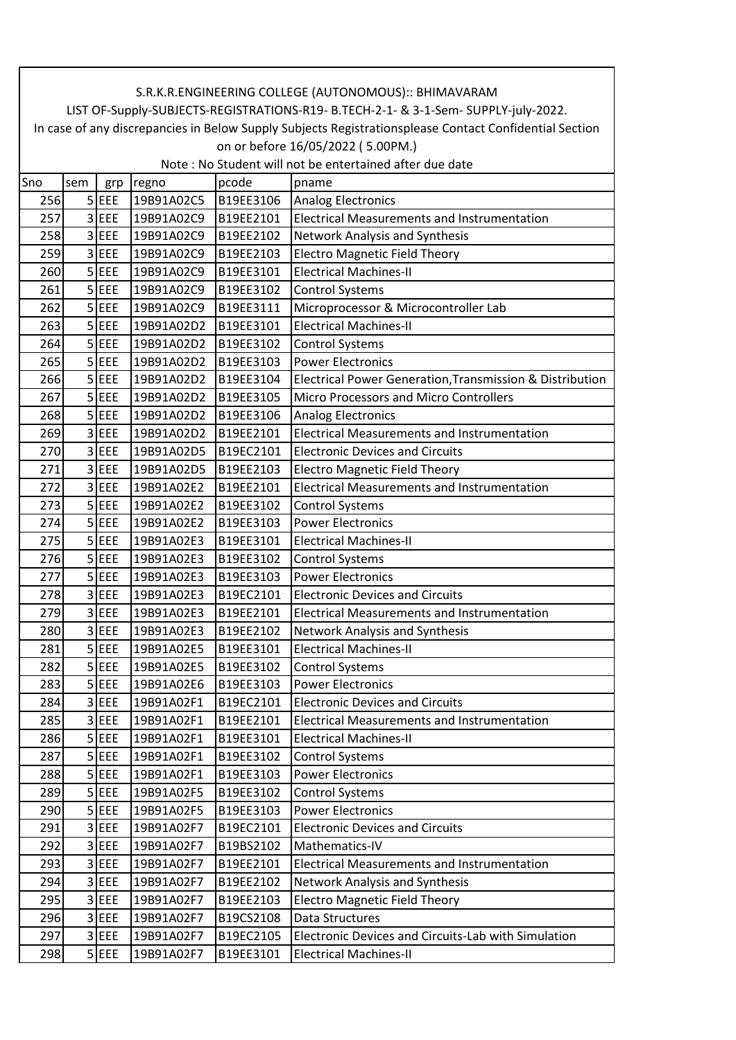|     | S.R.K.R.ENGINEERING COLLEGE (AUTONOMOUS):: BHIMAVARAM                                                  |            |            |           |                                                          |  |  |  |  |
|-----|--------------------------------------------------------------------------------------------------------|------------|------------|-----------|----------------------------------------------------------|--|--|--|--|
|     | LIST OF-Supply-SUBJECTS-REGISTRATIONS-R19- B.TECH-2-1- & 3-1-Sem- SUPPLY-july-2022.                    |            |            |           |                                                          |  |  |  |  |
|     | In case of any discrepancies in Below Supply Subjects Registrationsplease Contact Confidential Section |            |            |           |                                                          |  |  |  |  |
|     | on or before 16/05/2022 (5.00PM.)                                                                      |            |            |           |                                                          |  |  |  |  |
|     |                                                                                                        |            |            |           | Note: No Student will not be entertained after due date  |  |  |  |  |
| Sno | sem                                                                                                    | grp        | regno      | pcode     | pname                                                    |  |  |  |  |
| 256 |                                                                                                        | $5$ EEE    | 19B91A02C5 | B19EE3106 | <b>Analog Electronics</b>                                |  |  |  |  |
| 257 | 3                                                                                                      | EEE        | 19B91A02C9 | B19EE2101 | <b>Electrical Measurements and Instrumentation</b>       |  |  |  |  |
| 258 |                                                                                                        | $3$ EEE    | 19B91A02C9 | B19EE2102 | Network Analysis and Synthesis                           |  |  |  |  |
| 259 | $\overline{3}$                                                                                         | EEE        | 19B91A02C9 | B19EE2103 | <b>Electro Magnetic Field Theory</b>                     |  |  |  |  |
| 260 |                                                                                                        | $5$ EEE    | 19B91A02C9 | B19EE3101 | <b>Electrical Machines-II</b>                            |  |  |  |  |
| 261 |                                                                                                        | $5$ EEE    | 19B91A02C9 | B19EE3102 | <b>Control Systems</b>                                   |  |  |  |  |
| 262 |                                                                                                        | $5$ EEE    | 19B91A02C9 | B19EE3111 | Microprocessor & Microcontroller Lab                     |  |  |  |  |
| 263 |                                                                                                        | $5$ EEE    | 19B91A02D2 | B19EE3101 | <b>Electrical Machines-II</b>                            |  |  |  |  |
| 264 | 5 <sup>1</sup>                                                                                         | EEE        | 19B91A02D2 | B19EE3102 | <b>Control Systems</b>                                   |  |  |  |  |
| 265 |                                                                                                        | $5$ EEE    | 19B91A02D2 | B19EE3103 | <b>Power Electronics</b>                                 |  |  |  |  |
| 266 |                                                                                                        | $5$ EEE    | 19B91A02D2 | B19EE3104 | Electrical Power Generation, Transmission & Distribution |  |  |  |  |
| 267 |                                                                                                        | $5$ EEE    | 19B91A02D2 | B19EE3105 | <b>Micro Processors and Micro Controllers</b>            |  |  |  |  |
| 268 |                                                                                                        | $5$ EEE    | 19B91A02D2 | B19EE3106 | <b>Analog Electronics</b>                                |  |  |  |  |
| 269 | $\overline{3}$                                                                                         | EEE        | 19B91A02D2 | B19EE2101 | <b>Electrical Measurements and Instrumentation</b>       |  |  |  |  |
| 270 | 3                                                                                                      | EEE        | 19B91A02D5 | B19EC2101 | <b>Electronic Devices and Circuits</b>                   |  |  |  |  |
| 271 | 3                                                                                                      | EEE        | 19B91A02D5 | B19EE2103 | <b>Electro Magnetic Field Theory</b>                     |  |  |  |  |
| 272 |                                                                                                        | 3 EEE      | 19B91A02E2 | B19EE2101 | <b>Electrical Measurements and Instrumentation</b>       |  |  |  |  |
| 273 |                                                                                                        | $5$ EEE    | 19B91A02E2 | B19EE3102 | <b>Control Systems</b>                                   |  |  |  |  |
| 274 |                                                                                                        | $5$ EEE    | 19B91A02E2 | B19EE3103 | <b>Power Electronics</b>                                 |  |  |  |  |
| 275 |                                                                                                        | $5$ EEE    | 19B91A02E3 | B19EE3101 | <b>Electrical Machines-II</b>                            |  |  |  |  |
| 276 |                                                                                                        | $5$ EEE    | 19B91A02E3 | B19EE3102 | <b>Control Systems</b>                                   |  |  |  |  |
| 277 | 5 <sup>1</sup>                                                                                         | <b>EEE</b> | 19B91A02E3 | B19EE3103 | <b>Power Electronics</b>                                 |  |  |  |  |
| 278 | $\overline{3}$                                                                                         | EEE        | 19B91A02E3 | B19EC2101 | <b>Electronic Devices and Circuits</b>                   |  |  |  |  |
| 279 |                                                                                                        | 3 EEE      | 19B91A02E3 | B19EE2101 | <b>Electrical Measurements and Instrumentation</b>       |  |  |  |  |
| 280 |                                                                                                        | 3 EEE      | 19B91A02E3 | B19EE2102 | Network Analysis and Synthesis                           |  |  |  |  |
| 281 |                                                                                                        | $5$ EEE    | 19B91A02E5 | B19EE3101 | <b>Electrical Machines-II</b>                            |  |  |  |  |
| 282 |                                                                                                        | $5$ EEE    | 19B91A02E5 | B19EE3102 | <b>Control Systems</b>                                   |  |  |  |  |
| 283 |                                                                                                        | $5$ EEE    | 19B91A02E6 | B19EE3103 | <b>Power Electronics</b>                                 |  |  |  |  |
| 284 |                                                                                                        | 3 EEE      | 19B91A02F1 | B19EC2101 | <b>Electronic Devices and Circuits</b>                   |  |  |  |  |
| 285 |                                                                                                        | 3 EEE      | 19B91A02F1 | B19EE2101 | <b>Electrical Measurements and Instrumentation</b>       |  |  |  |  |
| 286 |                                                                                                        | $5$ $EEE$  | 19B91A02F1 | B19EE3101 | <b>Electrical Machines-II</b>                            |  |  |  |  |
| 287 |                                                                                                        | $5$ EEE    | 19B91A02F1 | B19EE3102 | <b>Control Systems</b>                                   |  |  |  |  |
| 288 |                                                                                                        | 5 EEE      | 19B91A02F1 | B19EE3103 | <b>Power Electronics</b>                                 |  |  |  |  |
| 289 |                                                                                                        | $5$ EEE    | 19B91A02F5 | B19EE3102 | <b>Control Systems</b>                                   |  |  |  |  |
| 290 | 5 <sup>1</sup>                                                                                         | <b>EEE</b> | 19B91A02F5 | B19EE3103 | <b>Power Electronics</b>                                 |  |  |  |  |
| 291 |                                                                                                        | $3$ EEE    | 19B91A02F7 | B19EC2101 | <b>Electronic Devices and Circuits</b>                   |  |  |  |  |
| 292 |                                                                                                        | $3$ EEE    | 19B91A02F7 | B19BS2102 | Mathematics-IV                                           |  |  |  |  |
| 293 |                                                                                                        | 3 EEE      | 19B91A02F7 | B19EE2101 | <b>Electrical Measurements and Instrumentation</b>       |  |  |  |  |
| 294 | $\overline{3}$                                                                                         | <b>EEE</b> | 19B91A02F7 | B19EE2102 | Network Analysis and Synthesis                           |  |  |  |  |
| 295 | $\overline{3}$                                                                                         | <b>EEE</b> | 19B91A02F7 | B19EE2103 | <b>Electro Magnetic Field Theory</b>                     |  |  |  |  |
| 296 |                                                                                                        | $3$ EEE    | 19B91A02F7 | B19CS2108 | Data Structures                                          |  |  |  |  |
| 297 |                                                                                                        | 3 EEE      | 19B91A02F7 | B19EC2105 | Electronic Devices and Circuits-Lab with Simulation      |  |  |  |  |
|     |                                                                                                        |            |            |           |                                                          |  |  |  |  |
| 298 |                                                                                                        | $5$ EEE    | 19B91A02F7 | B19EE3101 | <b>Electrical Machines-II</b>                            |  |  |  |  |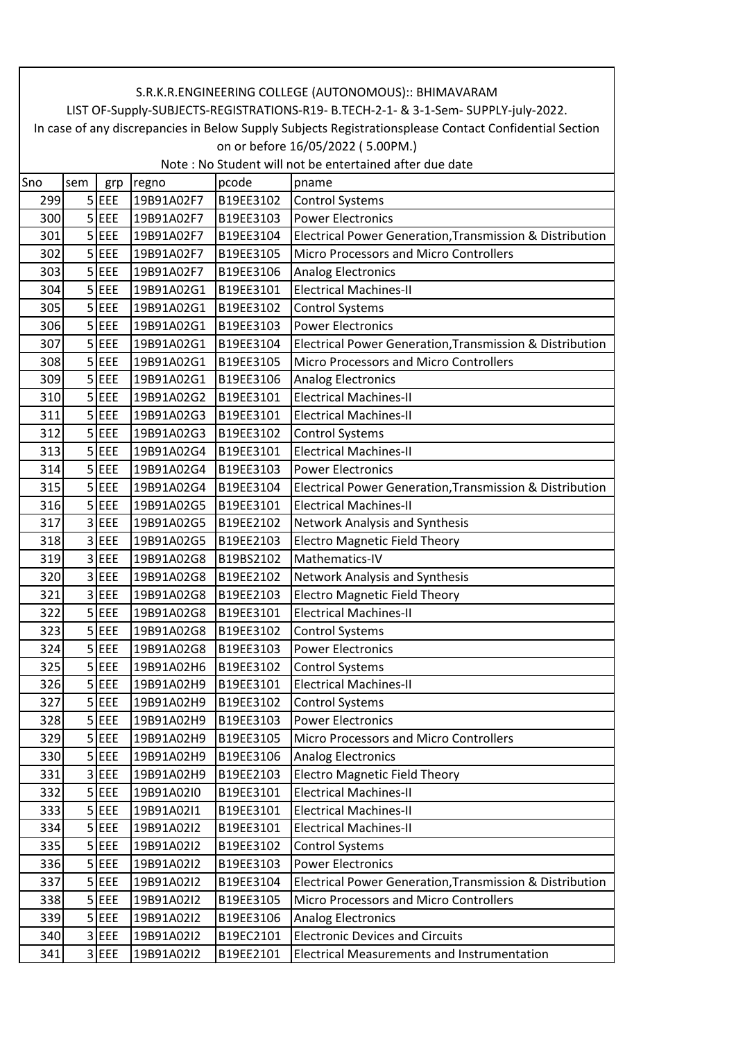| LIST OF-Supply-SUBJECTS-REGISTRATIONS-R19- B.TECH-2-1- & 3-1-Sem- SUPPLY-july-2022.<br>on or before 16/05/2022 (5.00PM.)<br>Note: No Student will not be entertained after due date |                                                                                                        |  |  |  |  |  |  |  |  |
|-------------------------------------------------------------------------------------------------------------------------------------------------------------------------------------|--------------------------------------------------------------------------------------------------------|--|--|--|--|--|--|--|--|
|                                                                                                                                                                                     |                                                                                                        |  |  |  |  |  |  |  |  |
|                                                                                                                                                                                     | In case of any discrepancies in Below Supply Subjects Registrationsplease Contact Confidential Section |  |  |  |  |  |  |  |  |
|                                                                                                                                                                                     |                                                                                                        |  |  |  |  |  |  |  |  |
|                                                                                                                                                                                     |                                                                                                        |  |  |  |  |  |  |  |  |
| Sno<br>pcode<br>sem<br>regno<br>pname<br>grp                                                                                                                                        |                                                                                                        |  |  |  |  |  |  |  |  |
| $5$ EEE<br>19B91A02F7<br>B19EE3102<br>299<br><b>Control Systems</b>                                                                                                                 |                                                                                                        |  |  |  |  |  |  |  |  |
| 300<br>$5$ EEE<br><b>Power Electronics</b><br>19B91A02F7<br>B19EE3103                                                                                                               |                                                                                                        |  |  |  |  |  |  |  |  |
| $5$ EEE<br>301<br>Electrical Power Generation, Transmission & Distribution<br>19B91A02F7<br>B19EE3104                                                                               |                                                                                                        |  |  |  |  |  |  |  |  |
| 302<br>$5$ EEE<br>19B91A02F7<br>B19EE3105<br><b>Micro Processors and Micro Controllers</b>                                                                                          |                                                                                                        |  |  |  |  |  |  |  |  |
| $5$ EEE<br>19B91A02F7<br>B19EE3106<br>303<br>Analog Electronics                                                                                                                     |                                                                                                        |  |  |  |  |  |  |  |  |
| $5$ EEE<br><b>Electrical Machines-II</b><br>304<br>19B91A02G1<br>B19EE3101                                                                                                          |                                                                                                        |  |  |  |  |  |  |  |  |
| $5$ EEE<br>305<br>19B91A02G1<br>B19EE3102<br><b>Control Systems</b>                                                                                                                 |                                                                                                        |  |  |  |  |  |  |  |  |
| $5$ EEE<br>306<br>19B91A02G1<br>B19EE3103<br><b>Power Electronics</b>                                                                                                               |                                                                                                        |  |  |  |  |  |  |  |  |
| $5$ EEE<br>307<br>19B91A02G1<br>B19EE3104<br>Electrical Power Generation, Transmission & Distribution                                                                               |                                                                                                        |  |  |  |  |  |  |  |  |
| $5$ EEE<br>19B91A02G1<br>B19EE3105<br>308<br>Micro Processors and Micro Controllers                                                                                                 |                                                                                                        |  |  |  |  |  |  |  |  |
| $5$ EEE<br>19B91A02G1<br>B19EE3106<br>309<br><b>Analog Electronics</b>                                                                                                              |                                                                                                        |  |  |  |  |  |  |  |  |
| $5$ EEE<br>19B91A02G2<br><b>Electrical Machines-II</b><br>310<br>B19EE3101                                                                                                          |                                                                                                        |  |  |  |  |  |  |  |  |
| $5$ EEE<br>311<br>19B91A02G3<br><b>Electrical Machines-II</b><br>B19EE3101                                                                                                          |                                                                                                        |  |  |  |  |  |  |  |  |
| $5$ EEE<br>312<br>19B91A02G3<br>B19EE3102<br><b>Control Systems</b>                                                                                                                 |                                                                                                        |  |  |  |  |  |  |  |  |
| $5$ EEE<br><b>Electrical Machines-II</b><br>313<br>19B91A02G4<br>B19EE3101                                                                                                          |                                                                                                        |  |  |  |  |  |  |  |  |
| 314<br>$5$ EEE<br>19B91A02G4<br>B19EE3103<br><b>Power Electronics</b>                                                                                                               |                                                                                                        |  |  |  |  |  |  |  |  |
| 315<br>$5$ EEE<br>19B91A02G4<br>B19EE3104<br>Electrical Power Generation, Transmission & Distribution                                                                               |                                                                                                        |  |  |  |  |  |  |  |  |
| $5$ EEE<br><b>Electrical Machines-II</b><br>316<br>19B91A02G5<br>B19EE3101                                                                                                          |                                                                                                        |  |  |  |  |  |  |  |  |
| 3 EEE<br>317<br>19B91A02G5<br>B19EE2102<br>Network Analysis and Synthesis                                                                                                           |                                                                                                        |  |  |  |  |  |  |  |  |
| $3$ EEE<br><b>Electro Magnetic Field Theory</b><br>318<br>19B91A02G5<br>B19EE2103                                                                                                   |                                                                                                        |  |  |  |  |  |  |  |  |
| 3 EEE<br>319<br>Mathematics-IV<br>19B91A02G8<br>B19BS2102                                                                                                                           |                                                                                                        |  |  |  |  |  |  |  |  |
| $3$ EEE<br>320<br>19B91A02G8<br>B19EE2102<br>Network Analysis and Synthesis                                                                                                         |                                                                                                        |  |  |  |  |  |  |  |  |
| 321<br>3 EEE<br><b>Electro Magnetic Field Theory</b><br>19B91A02G8<br>B19EE2103                                                                                                     |                                                                                                        |  |  |  |  |  |  |  |  |
| $5$ EEE<br>19B91A02G8<br><b>Electrical Machines-II</b><br>322<br>B19EE3101                                                                                                          |                                                                                                        |  |  |  |  |  |  |  |  |
| $5$ EEE<br>19B91A02G8<br>B19EE3102<br>Control Systems<br>323                                                                                                                        |                                                                                                        |  |  |  |  |  |  |  |  |
| $5$ EEE<br>324<br>19B91A02G8<br>B19EE3103<br><b>Power Electronics</b>                                                                                                               |                                                                                                        |  |  |  |  |  |  |  |  |
| $5$ EEE<br>19B91A02H6<br>325<br>B19EE3102<br><b>Control Systems</b>                                                                                                                 |                                                                                                        |  |  |  |  |  |  |  |  |
| <b>Electrical Machines-II</b><br>326<br>$5$ EEE<br>B19EE3101<br>19B91A02H9                                                                                                          |                                                                                                        |  |  |  |  |  |  |  |  |
| $5$ EEE<br>327<br>19B91A02H9<br>B19EE3102<br><b>Control Systems</b>                                                                                                                 |                                                                                                        |  |  |  |  |  |  |  |  |
| 328<br>5 EEE<br>19B91A02H9<br>B19EE3103<br><b>Power Electronics</b>                                                                                                                 |                                                                                                        |  |  |  |  |  |  |  |  |
| $5$ EEE<br>19B91A02H9<br>329<br>B19EE3105<br>Micro Processors and Micro Controllers                                                                                                 |                                                                                                        |  |  |  |  |  |  |  |  |
| $5$ EEE<br>330<br>19B91A02H9<br>B19EE3106<br><b>Analog Electronics</b>                                                                                                              |                                                                                                        |  |  |  |  |  |  |  |  |
| 331<br>3 EEE<br>19B91A02H9<br>B19EE2103<br><b>Electro Magnetic Field Theory</b>                                                                                                     |                                                                                                        |  |  |  |  |  |  |  |  |
| $5$ EEE<br><b>Electrical Machines-II</b><br>19B91A02I0<br>332<br>B19EE3101                                                                                                          |                                                                                                        |  |  |  |  |  |  |  |  |
| 333<br>$5$ EEE<br><b>Electrical Machines-II</b><br>19B91A02I1<br>B19EE3101                                                                                                          |                                                                                                        |  |  |  |  |  |  |  |  |
| $5$ EEE<br>334<br>19B91A02I2<br>B19EE3101<br><b>Electrical Machines-II</b>                                                                                                          |                                                                                                        |  |  |  |  |  |  |  |  |
| 5 EEE<br>19B91A02I2<br>B19EE3102<br>335<br><b>Control Systems</b>                                                                                                                   |                                                                                                        |  |  |  |  |  |  |  |  |
| $5$ EEE<br><b>Power Electronics</b><br>336<br>19B91A02I2<br>B19EE3103                                                                                                               |                                                                                                        |  |  |  |  |  |  |  |  |
| $5$ EEE<br>337<br>19B91A02I2<br>B19EE3104<br>Electrical Power Generation, Transmission & Distribution                                                                               |                                                                                                        |  |  |  |  |  |  |  |  |
| $5$ EEE<br>B19EE3105<br>338<br>19B91A02I2<br>Micro Processors and Micro Controllers                                                                                                 |                                                                                                        |  |  |  |  |  |  |  |  |
| $5$ EEE<br>339<br>19B91A02I2<br>B19EE3106<br><b>Analog Electronics</b>                                                                                                              |                                                                                                        |  |  |  |  |  |  |  |  |
| 340<br>3<br>EEE<br>B19EC2101<br><b>Electronic Devices and Circuits</b><br>19B91A02I2                                                                                                |                                                                                                        |  |  |  |  |  |  |  |  |
| $3$ EEE<br>341<br><b>Electrical Measurements and Instrumentation</b><br>19B91A02I2<br>B19EE2101                                                                                     |                                                                                                        |  |  |  |  |  |  |  |  |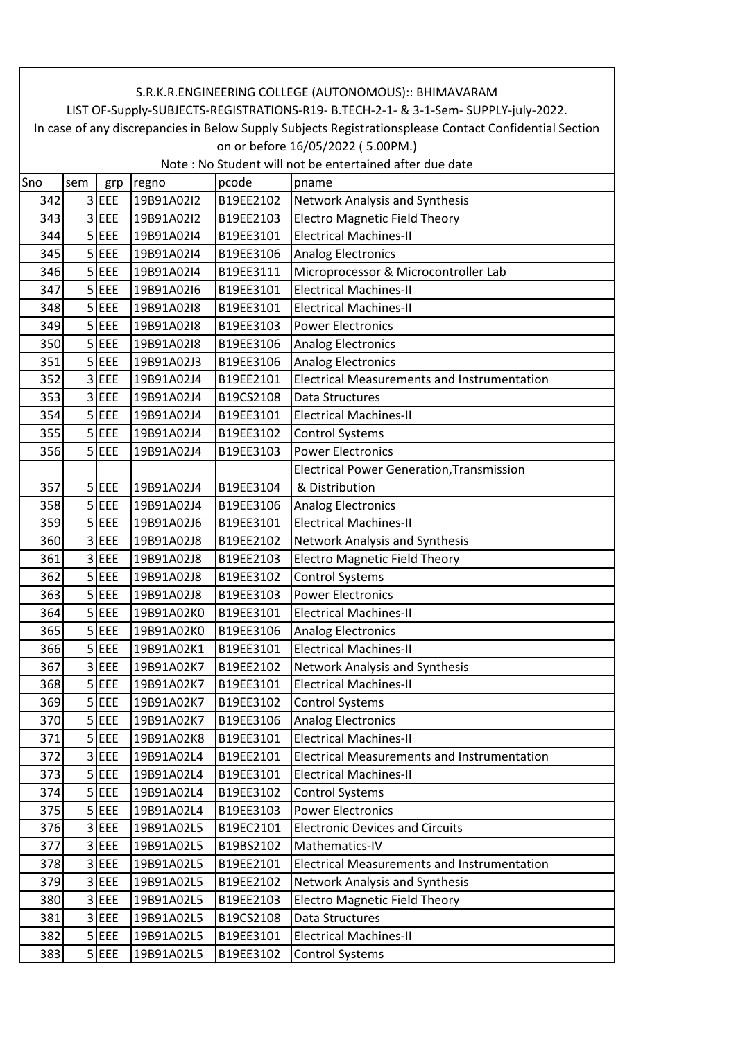|     | S.R.K.R.ENGINEERING COLLEGE (AUTONOMOUS):: BHIMAVARAM                                                  |            |            |           |                                                         |  |  |  |  |
|-----|--------------------------------------------------------------------------------------------------------|------------|------------|-----------|---------------------------------------------------------|--|--|--|--|
|     | LIST OF-Supply-SUBJECTS-REGISTRATIONS-R19- B.TECH-2-1- & 3-1-Sem- SUPPLY-july-2022.                    |            |            |           |                                                         |  |  |  |  |
|     | In case of any discrepancies in Below Supply Subjects Registrationsplease Contact Confidential Section |            |            |           |                                                         |  |  |  |  |
|     | on or before 16/05/2022 (5.00PM.)                                                                      |            |            |           |                                                         |  |  |  |  |
|     |                                                                                                        |            |            |           | Note: No Student will not be entertained after due date |  |  |  |  |
| Sno | sem                                                                                                    | grp        | regno      | pcode     | pname                                                   |  |  |  |  |
| 342 |                                                                                                        | $3$ EEE    | 19B91A02I2 | B19EE2102 | Network Analysis and Synthesis                          |  |  |  |  |
| 343 |                                                                                                        | 3 EEE      | 19B91A02I2 | B19EE2103 | <b>Electro Magnetic Field Theory</b>                    |  |  |  |  |
| 344 |                                                                                                        | $5$ EEE    | 19B91A02I4 | B19EE3101 | <b>Electrical Machines-II</b>                           |  |  |  |  |
| 345 |                                                                                                        | $5$ EEE    | 19B91A02I4 | B19EE3106 | <b>Analog Electronics</b>                               |  |  |  |  |
| 346 |                                                                                                        | $5$ EEE    | 19B91A02I4 | B19EE3111 | Microprocessor & Microcontroller Lab                    |  |  |  |  |
| 347 |                                                                                                        | $5$ EEE    | 19B91A02I6 | B19EE3101 | <b>Electrical Machines-II</b>                           |  |  |  |  |
| 348 |                                                                                                        | $5$ EEE    | 19B91A02I8 | B19EE3101 | <b>Electrical Machines-II</b>                           |  |  |  |  |
| 349 |                                                                                                        | $5$ EEE    | 19B91A02I8 | B19EE3103 | <b>Power Electronics</b>                                |  |  |  |  |
| 350 |                                                                                                        | $5$ EEE    | 19B91A02I8 | B19EE3106 | <b>Analog Electronics</b>                               |  |  |  |  |
| 351 |                                                                                                        | $5$ EEE    | 19B91A02J3 | B19EE3106 | <b>Analog Electronics</b>                               |  |  |  |  |
| 352 |                                                                                                        | 3 EEE      | 19B91A02J4 | B19EE2101 | <b>Electrical Measurements and Instrumentation</b>      |  |  |  |  |
| 353 |                                                                                                        | 3 EEE      | 19B91A02J4 | B19CS2108 | Data Structures                                         |  |  |  |  |
| 354 |                                                                                                        | $5$ EEE    | 19B91A02J4 | B19EE3101 | <b>Electrical Machines-II</b>                           |  |  |  |  |
| 355 | 5                                                                                                      | EEE        | 19B91A02J4 | B19EE3102 | <b>Control Systems</b>                                  |  |  |  |  |
| 356 |                                                                                                        | $5$ EEE    | 19B91A02J4 | B19EE3103 | <b>Power Electronics</b>                                |  |  |  |  |
|     |                                                                                                        |            |            |           | <b>Electrical Power Generation, Transmission</b>        |  |  |  |  |
| 357 |                                                                                                        | $5$ EEE    | 19B91A02J4 | B19EE3104 | & Distribution                                          |  |  |  |  |
| 358 |                                                                                                        | $5$ EEE    | 19B91A02J4 | B19EE3106 | <b>Analog Electronics</b>                               |  |  |  |  |
| 359 |                                                                                                        | $5$ EEE    | 19B91A02J6 | B19EE3101 | <b>Electrical Machines-II</b>                           |  |  |  |  |
| 360 |                                                                                                        | $3$ EEE    | 19B91A02J8 | B19EE2102 | Network Analysis and Synthesis                          |  |  |  |  |
| 361 |                                                                                                        | $3$ EEE    | 19B91A02J8 | B19EE2103 | <b>Electro Magnetic Field Theory</b>                    |  |  |  |  |
| 362 |                                                                                                        | $5$ EEE    | 19B91A02J8 | B19EE3102 | <b>Control Systems</b>                                  |  |  |  |  |
| 363 |                                                                                                        | $5$ EEE    | 19B91A02J8 | B19EE3103 | <b>Power Electronics</b>                                |  |  |  |  |
| 364 |                                                                                                        | $5$ EEE    | 19B91A02K0 | B19EE3101 | <b>Electrical Machines-II</b>                           |  |  |  |  |
| 365 |                                                                                                        | $5$ EEE    | 19B91A02K0 | B19EE3106 | <b>Analog Electronics</b>                               |  |  |  |  |
| 366 |                                                                                                        | 5 EEE      | 19B91A02K1 | B19EE3101 | <b>Electrical Machines-II</b>                           |  |  |  |  |
| 367 |                                                                                                        | $3$ EEE    | 19B91A02K7 | B19EE2102 | Network Analysis and Synthesis                          |  |  |  |  |
| 368 |                                                                                                        | 5 EEE      | 19B91A02K7 | B19EE3101 | <b>Electrical Machines-II</b>                           |  |  |  |  |
| 369 |                                                                                                        | $5$ EEE    | 19B91A02K7 | B19EE3102 | <b>Control Systems</b>                                  |  |  |  |  |
| 370 |                                                                                                        | $5$ EEE    | 19B91A02K7 | B19EE3106 | <b>Analog Electronics</b>                               |  |  |  |  |
| 371 |                                                                                                        | $5$ EEE    | 19B91A02K8 | B19EE3101 | <b>Electrical Machines-II</b>                           |  |  |  |  |
| 372 |                                                                                                        | $3$ EEE    | 19B91A02L4 | B19EE2101 | <b>Electrical Measurements and Instrumentation</b>      |  |  |  |  |
| 373 | 5                                                                                                      | <b>EEE</b> | 19B91A02L4 | B19EE3101 | <b>Electrical Machines-II</b>                           |  |  |  |  |
| 374 |                                                                                                        | $5$ EEE    | 19B91A02L4 | B19EE3102 | <b>Control Systems</b>                                  |  |  |  |  |
| 375 |                                                                                                        | $5$ EEE    | 19B91A02L4 | B19EE3103 | <b>Power Electronics</b>                                |  |  |  |  |
| 376 |                                                                                                        | 3 EEE      | 19B91A02L5 | B19EC2101 | <b>Electronic Devices and Circuits</b>                  |  |  |  |  |
| 377 |                                                                                                        | 3 EEE      | 19B91A02L5 | B19BS2102 | Mathematics-IV                                          |  |  |  |  |
| 378 |                                                                                                        | 3 EEE      | 19B91A02L5 | B19EE2101 | <b>Electrical Measurements and Instrumentation</b>      |  |  |  |  |
| 379 |                                                                                                        | 3 EEE      | 19B91A02L5 | B19EE2102 | Network Analysis and Synthesis                          |  |  |  |  |
| 380 |                                                                                                        | 3 EEE      | 19B91A02L5 | B19EE2103 | <b>Electro Magnetic Field Theory</b>                    |  |  |  |  |
| 381 |                                                                                                        | 3 EEE      | 19B91A02L5 | B19CS2108 | Data Structures                                         |  |  |  |  |
| 382 |                                                                                                        | $5$ EEE    | 19B91A02L5 | B19EE3101 | <b>Electrical Machines-II</b>                           |  |  |  |  |
| 383 |                                                                                                        | $5$ EEE    | 19B91A02L5 | B19EE3102 | <b>Control Systems</b>                                  |  |  |  |  |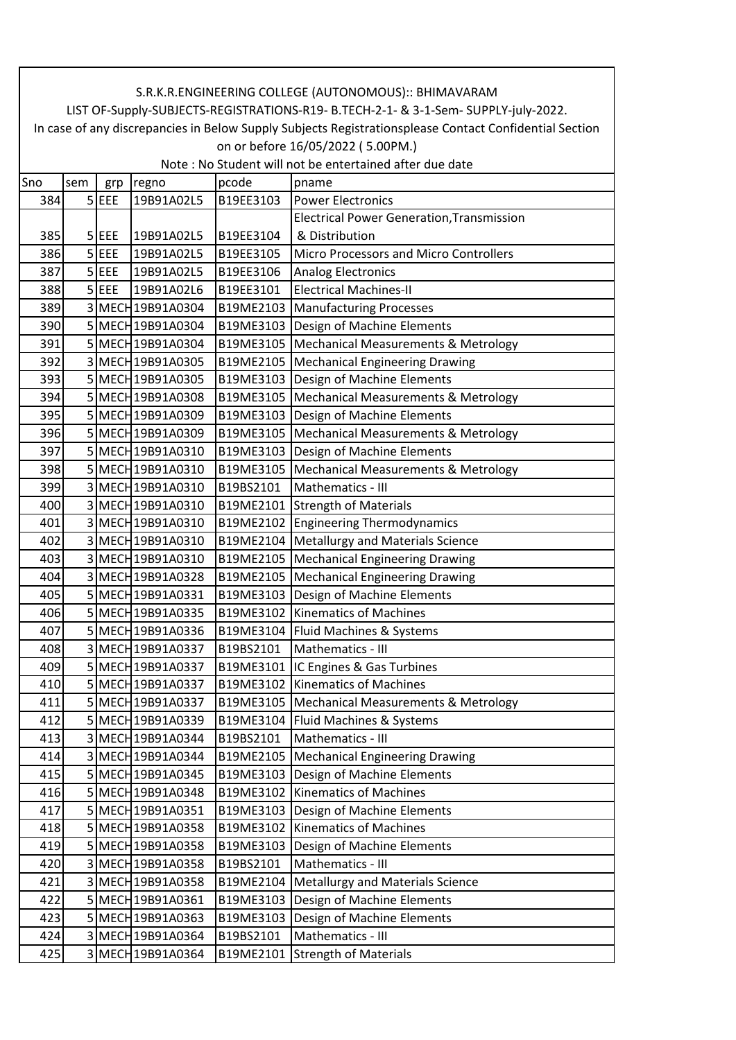| S.R.K.R.ENGINEERING COLLEGE (AUTONOMOUS):: BHIMAVARAM                               |                                                                                                        |         |                                        |           |                                                                                      |  |  |  |  |
|-------------------------------------------------------------------------------------|--------------------------------------------------------------------------------------------------------|---------|----------------------------------------|-----------|--------------------------------------------------------------------------------------|--|--|--|--|
| LIST OF-Supply-SUBJECTS-REGISTRATIONS-R19- B.TECH-2-1- & 3-1-Sem- SUPPLY-july-2022. |                                                                                                        |         |                                        |           |                                                                                      |  |  |  |  |
|                                                                                     | In case of any discrepancies in Below Supply Subjects Registrationsplease Contact Confidential Section |         |                                        |           |                                                                                      |  |  |  |  |
|                                                                                     | on or before 16/05/2022 (5.00PM.)                                                                      |         |                                        |           |                                                                                      |  |  |  |  |
| Note : No Student will not be entertained after due date                            |                                                                                                        |         |                                        |           |                                                                                      |  |  |  |  |
| Sno                                                                                 | sem                                                                                                    | grp     | regno                                  | pcode     | pname                                                                                |  |  |  |  |
| 384                                                                                 |                                                                                                        | $5$ EEE | 19B91A02L5                             | B19EE3103 | Power Electronics                                                                    |  |  |  |  |
|                                                                                     |                                                                                                        |         |                                        |           | <b>Electrical Power Generation, Transmission</b>                                     |  |  |  |  |
| 385                                                                                 |                                                                                                        | 5 EEE   | 19B91A02L5                             | B19EE3104 | & Distribution                                                                       |  |  |  |  |
| 386                                                                                 |                                                                                                        | $5$ EEE | 19B91A02L5                             | B19EE3105 | <b>Micro Processors and Micro Controllers</b>                                        |  |  |  |  |
| 387                                                                                 |                                                                                                        | $5$ EEE | 19B91A02L5                             | B19EE3106 | <b>Analog Electronics</b>                                                            |  |  |  |  |
| 388                                                                                 |                                                                                                        | $5$ EEE | 19B91A02L6                             | B19EE3101 | <b>Electrical Machines-II</b>                                                        |  |  |  |  |
| 389                                                                                 |                                                                                                        |         | 3 MECH 19B91A0304                      |           | B19ME2103   Manufacturing Processes                                                  |  |  |  |  |
| 390                                                                                 |                                                                                                        |         | 5 MECH 19B91A0304                      |           | B19ME3103   Design of Machine Elements                                               |  |  |  |  |
| 391                                                                                 |                                                                                                        |         | 5 MECH 19B91A0304                      |           | B19ME3105   Mechanical Measurements & Metrology                                      |  |  |  |  |
| 392                                                                                 |                                                                                                        |         | 3 MECH 19B91A0305                      |           | B19ME2105   Mechanical Engineering Drawing                                           |  |  |  |  |
| 393                                                                                 |                                                                                                        |         | 5 MECH 19B91A0305                      |           | B19ME3103   Design of Machine Elements                                               |  |  |  |  |
| 394                                                                                 |                                                                                                        |         | 5 MECH 19B91A0308                      |           | B19ME3105   Mechanical Measurements & Metrology                                      |  |  |  |  |
| 395                                                                                 |                                                                                                        |         | 5 MECH 19B91A0309                      |           | B19ME3103   Design of Machine Elements                                               |  |  |  |  |
| 396                                                                                 |                                                                                                        |         | 5 MECH 19B91A0309                      |           | B19ME3105   Mechanical Measurements & Metrology                                      |  |  |  |  |
| 397                                                                                 |                                                                                                        |         | 5 MECH 19B91A0310                      |           | B19ME3103   Design of Machine Elements                                               |  |  |  |  |
| 398                                                                                 |                                                                                                        |         | 5 MECH 19B91A0310                      |           | B19ME3105   Mechanical Measurements & Metrology                                      |  |  |  |  |
| 399                                                                                 |                                                                                                        |         | 3 MECH 19B91A0310                      | B19BS2101 | Mathematics - III                                                                    |  |  |  |  |
| 400                                                                                 |                                                                                                        |         | 3 MECH 19B91A0310                      |           | B19ME2101 Strength of Materials                                                      |  |  |  |  |
| 401                                                                                 |                                                                                                        |         | 3 MECH 19B91A0310                      |           | B19ME2102 Engineering Thermodynamics                                                 |  |  |  |  |
| 402                                                                                 |                                                                                                        |         | 3 MECH 19B91A0310                      |           | B19ME2104   Metallurgy and Materials Science                                         |  |  |  |  |
| 403                                                                                 |                                                                                                        |         | 3 MECH 19B91A0310                      |           | B19ME2105   Mechanical Engineering Drawing                                           |  |  |  |  |
| 404                                                                                 |                                                                                                        |         | 3 MECH 19B91A0328                      |           | B19ME2105   Mechanical Engineering Drawing                                           |  |  |  |  |
| 405                                                                                 |                                                                                                        |         | 5 MECH 19B91A0331                      |           | B19ME3103   Design of Machine Elements                                               |  |  |  |  |
| 406                                                                                 |                                                                                                        |         | 5 MECH 19B91A0335                      |           | B19ME3102 Kinematics of Machines                                                     |  |  |  |  |
| 407                                                                                 |                                                                                                        |         | 5MECH19B91A0336                        |           | B19ME3104 Fluid Machines & Systems                                                   |  |  |  |  |
| 408                                                                                 |                                                                                                        |         | 3 MECH 19B91A0337                      | B19BS2101 | Mathematics - III                                                                    |  |  |  |  |
| 409                                                                                 |                                                                                                        |         | 5 MECH 19B91A0337                      |           | B19ME3101  IC Engines & Gas Turbines                                                 |  |  |  |  |
| 410                                                                                 |                                                                                                        |         | 5 MECH 19B91A0337                      |           | B19ME3102 Kinematics of Machines                                                     |  |  |  |  |
| 411                                                                                 |                                                                                                        |         | 5 MECH 19B91A0337                      |           | B19ME3105   Mechanical Measurements & Metrology                                      |  |  |  |  |
| 412                                                                                 |                                                                                                        |         | 5 MECH 19B91A0339                      |           | B19ME3104   Fluid Machines & Systems                                                 |  |  |  |  |
| 413                                                                                 |                                                                                                        |         | 3 MECH 19B91A0344                      | B19BS2101 | Mathematics - III                                                                    |  |  |  |  |
|                                                                                     |                                                                                                        |         |                                        |           |                                                                                      |  |  |  |  |
| 414<br>415                                                                          |                                                                                                        |         | 3 MECH 19B91A0344<br>5 MECH 19B91A0345 |           | B19ME2105   Mechanical Engineering Drawing<br>B19ME3103   Design of Machine Elements |  |  |  |  |
|                                                                                     |                                                                                                        |         |                                        |           |                                                                                      |  |  |  |  |
| 416<br>417                                                                          |                                                                                                        |         | 5 MECH 19B91A0348                      |           | B19ME3102 Kinematics of Machines                                                     |  |  |  |  |
|                                                                                     |                                                                                                        |         | 5 MECH 19B91A0351                      |           | B19ME3103   Design of Machine Elements<br>B19ME3102 Kinematics of Machines           |  |  |  |  |
| 418                                                                                 |                                                                                                        |         | 5 MECH 19B91A0358                      |           |                                                                                      |  |  |  |  |
| 419                                                                                 |                                                                                                        |         | 5 MECH 19B91A0358                      | B19ME3103 | Design of Machine Elements                                                           |  |  |  |  |
| 420                                                                                 |                                                                                                        |         | 3 MECH 19B91A0358                      | B19BS2101 | Mathematics - III                                                                    |  |  |  |  |
| 421                                                                                 |                                                                                                        |         | 3 MECH 19B91A0358                      |           | B19ME2104   Metallurgy and Materials Science                                         |  |  |  |  |
| 422                                                                                 |                                                                                                        |         | 5 MECH 19B91A0361                      | B19ME3103 | Design of Machine Elements                                                           |  |  |  |  |
| 423                                                                                 |                                                                                                        |         | 5 MECH 19B91A0363                      | B19ME3103 | Design of Machine Elements                                                           |  |  |  |  |
| 424                                                                                 |                                                                                                        |         | 3 MECH 19B91A0364                      | B19BS2101 | Mathematics - III                                                                    |  |  |  |  |
| 425                                                                                 |                                                                                                        |         | 3 MECH 19B91A0364                      | B19ME2101 | <b>Strength of Materials</b>                                                         |  |  |  |  |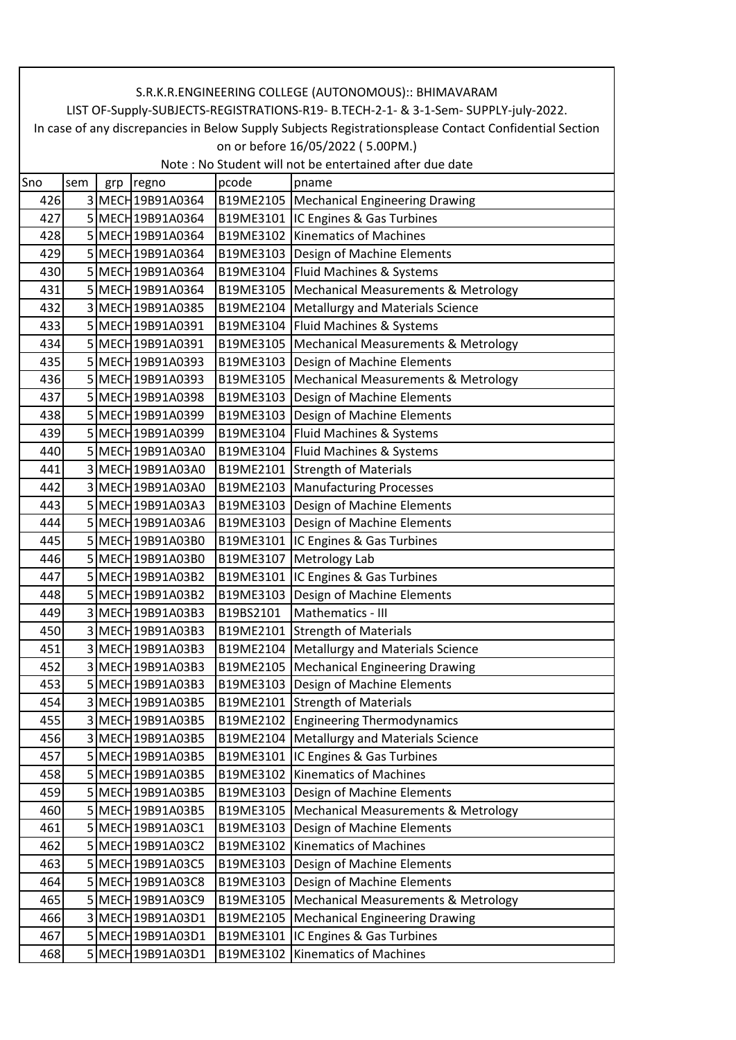|                                                                                              | S.R.K.R.ENGINEERING COLLEGE (AUTONOMOUS):: BHIMAVARAM                                                  |     |                   |           |                                                 |  |  |  |  |
|----------------------------------------------------------------------------------------------|--------------------------------------------------------------------------------------------------------|-----|-------------------|-----------|-------------------------------------------------|--|--|--|--|
|                                                                                              | LIST OF-Supply-SUBJECTS-REGISTRATIONS-R19- B.TECH-2-1- & 3-1-Sem- SUPPLY-july-2022.                    |     |                   |           |                                                 |  |  |  |  |
|                                                                                              | In case of any discrepancies in Below Supply Subjects Registrationsplease Contact Confidential Section |     |                   |           |                                                 |  |  |  |  |
| on or before 16/05/2022 (5.00PM.)<br>Note: No Student will not be entertained after due date |                                                                                                        |     |                   |           |                                                 |  |  |  |  |
| Sno                                                                                          | sem                                                                                                    | grp | regno             | pcode     | pname                                           |  |  |  |  |
| 426                                                                                          |                                                                                                        |     | 3 MECH 19B91A0364 |           | B19ME2105   Mechanical Engineering Drawing      |  |  |  |  |
| 427                                                                                          |                                                                                                        |     | 5 MECH 19B91A0364 |           | B19ME3101  IC Engines & Gas Turbines            |  |  |  |  |
| 428                                                                                          |                                                                                                        |     | 5 MECH 19B91A0364 |           | B19ME3102 Kinematics of Machines                |  |  |  |  |
| 429                                                                                          |                                                                                                        |     | 5 MECH 19B91A0364 |           | B19ME3103   Design of Machine Elements          |  |  |  |  |
| 430                                                                                          |                                                                                                        |     | 5 MECH 19B91A0364 |           | B19ME3104   Fluid Machines & Systems            |  |  |  |  |
| 431                                                                                          |                                                                                                        |     | 5 MECH 19B91A0364 |           | B19ME3105   Mechanical Measurements & Metrology |  |  |  |  |
| 432                                                                                          |                                                                                                        |     | 3 MECH 19B91A0385 |           | B19ME2104   Metallurgy and Materials Science    |  |  |  |  |
| 433                                                                                          |                                                                                                        |     | 5 MECH 19B91A0391 |           | B19ME3104   Fluid Machines & Systems            |  |  |  |  |
| 434                                                                                          |                                                                                                        |     | 5 MECH 19B91A0391 |           | B19ME3105   Mechanical Measurements & Metrology |  |  |  |  |
| 435                                                                                          |                                                                                                        |     | 5 MECH 19B91A0393 | B19ME3103 | Design of Machine Elements                      |  |  |  |  |
| 436                                                                                          |                                                                                                        |     | 5 MECH 19B91A0393 | B19ME3105 | Mechanical Measurements & Metrology             |  |  |  |  |
| 437                                                                                          |                                                                                                        |     | 5 MECH 19B91A0398 | B19ME3103 | Design of Machine Elements                      |  |  |  |  |
| 438                                                                                          |                                                                                                        |     | 5 MECH 19B91A0399 |           |                                                 |  |  |  |  |
|                                                                                              |                                                                                                        |     | 5 MECH 19B91A0399 |           | B19ME3103   Design of Machine Elements          |  |  |  |  |
| 439                                                                                          |                                                                                                        |     |                   |           | B19ME3104   Fluid Machines & Systems            |  |  |  |  |
| 440                                                                                          |                                                                                                        |     | 5 MECH 19B91A03A0 |           | B19ME3104   Fluid Machines & Systems            |  |  |  |  |
| 441                                                                                          |                                                                                                        |     | 3 MECH 19B91A03A0 |           | B19ME2101 Strength of Materials                 |  |  |  |  |
| 442                                                                                          |                                                                                                        |     | 3 MECH 19B91A03A0 |           | B19ME2103 Manufacturing Processes               |  |  |  |  |
| 443                                                                                          |                                                                                                        |     | 5 MECH 19B91A03A3 | B19ME3103 | Design of Machine Elements                      |  |  |  |  |
| 444                                                                                          |                                                                                                        |     | 5 MECH 19B91A03A6 | B19ME3103 | Design of Machine Elements                      |  |  |  |  |
| 445                                                                                          |                                                                                                        |     | 5 MECH 19B91A03B0 | B19ME3101 | IC Engines & Gas Turbines                       |  |  |  |  |
| 446                                                                                          |                                                                                                        |     | 5 MECH 19B91A03B0 | B19ME3107 | Metrology Lab                                   |  |  |  |  |
| 447                                                                                          |                                                                                                        |     | 5 MECH 19B91A03B2 | B19ME3101 | IC Engines & Gas Turbines                       |  |  |  |  |
| 448                                                                                          |                                                                                                        |     | 5 MECH 19B91A03B2 | B19ME3103 | Design of Machine Elements                      |  |  |  |  |
| 449                                                                                          |                                                                                                        |     | 3 MECH 19B91A03B3 | B19BS2101 | Mathematics - III                               |  |  |  |  |
| 450                                                                                          |                                                                                                        |     | 3 MECH 19B91A03B3 |           | B19ME2101 Strength of Materials                 |  |  |  |  |
| 451                                                                                          |                                                                                                        |     | 3 MECH 19B91A03B3 |           | B19ME2104   Metallurgy and Materials Science    |  |  |  |  |
| 452                                                                                          |                                                                                                        |     | 3 MECH 19B91A03B3 |           | B19ME2105   Mechanical Engineering Drawing      |  |  |  |  |
| 453                                                                                          |                                                                                                        |     | 5 MECH 19B91A03B3 |           | B19ME3103   Design of Machine Elements          |  |  |  |  |
| 454                                                                                          |                                                                                                        |     | 3 MECH 19B91A03B5 |           | B19ME2101 Strength of Materials                 |  |  |  |  |
| 455                                                                                          |                                                                                                        |     | 3 MECH 19B91A03B5 |           | B19ME2102 Engineering Thermodynamics            |  |  |  |  |
| 456                                                                                          |                                                                                                        |     | 3 MECH 19B91A03B5 | B19ME2104 | Metallurgy and Materials Science                |  |  |  |  |
| 457                                                                                          |                                                                                                        |     | 5 MECH 19B91A03B5 |           | B19ME3101  IC Engines & Gas Turbines            |  |  |  |  |
| 458                                                                                          |                                                                                                        |     | 5 MECH 19B91A03B5 | B19ME3102 | <b>Kinematics of Machines</b>                   |  |  |  |  |
| 459                                                                                          |                                                                                                        |     | 5 MECH 19B91A03B5 | B19ME3103 | Design of Machine Elements                      |  |  |  |  |
| 460                                                                                          |                                                                                                        |     | 5 MECH 19B91A03B5 | B19ME3105 | <b>Mechanical Measurements &amp; Metrology</b>  |  |  |  |  |
| 461                                                                                          |                                                                                                        |     | 5 MECH 19B91A03C1 | B19ME3103 | Design of Machine Elements                      |  |  |  |  |
| 462                                                                                          |                                                                                                        |     | 5 MECH 19B91A03C2 | B19ME3102 | <b>Kinematics of Machines</b>                   |  |  |  |  |
| 463                                                                                          |                                                                                                        |     | 5 MECH 19B91A03C5 | B19ME3103 | Design of Machine Elements                      |  |  |  |  |
| 464                                                                                          |                                                                                                        |     | 5 MECH 19B91A03C8 | B19ME3103 | Design of Machine Elements                      |  |  |  |  |
| 465                                                                                          |                                                                                                        |     | 5 MECH 19B91A03C9 | B19ME3105 | <b>Mechanical Measurements &amp; Metrology</b>  |  |  |  |  |
| 466                                                                                          |                                                                                                        |     | 3 MECH 19B91A03D1 | B19ME2105 | <b>Mechanical Engineering Drawing</b>           |  |  |  |  |
| 467                                                                                          |                                                                                                        |     | 5 MECH 19B91A03D1 | B19ME3101 | IC Engines & Gas Turbines                       |  |  |  |  |
| 468                                                                                          |                                                                                                        |     | 5 MECH 19B91A03D1 | B19ME3102 | <b>Kinematics of Machines</b>                   |  |  |  |  |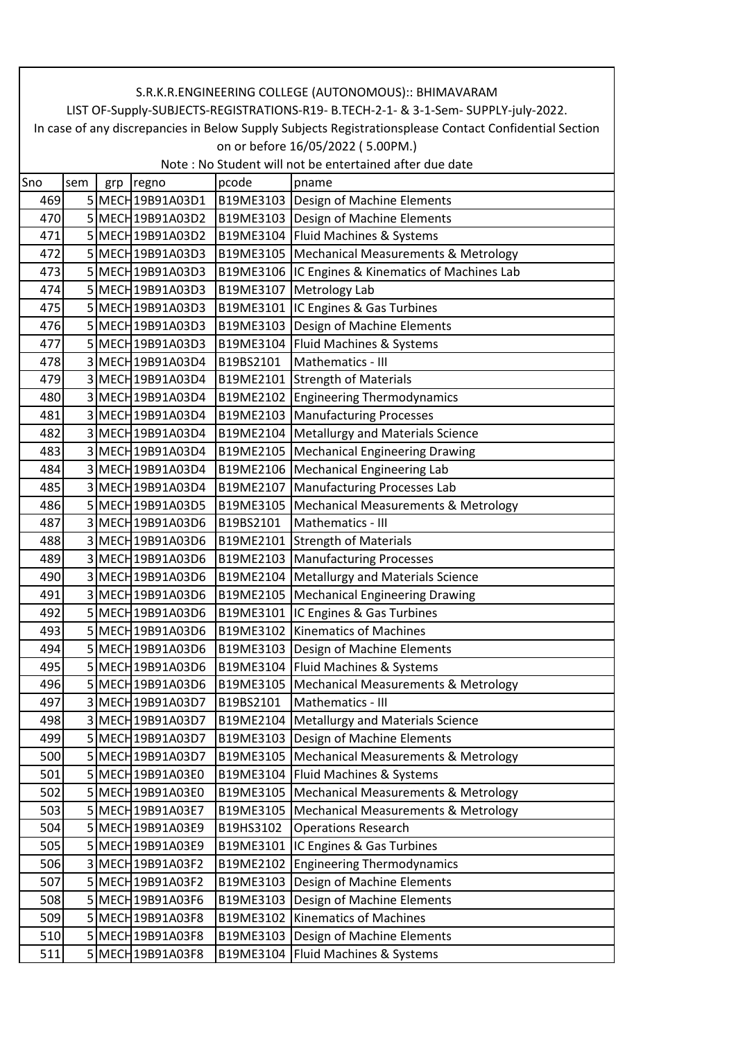|                                                                                              | S.R.K.R.ENGINEERING COLLEGE (AUTONOMOUS):: BHIMAVARAM                                                  |     |                   |           |                                                 |  |  |  |
|----------------------------------------------------------------------------------------------|--------------------------------------------------------------------------------------------------------|-----|-------------------|-----------|-------------------------------------------------|--|--|--|
|                                                                                              | LIST OF-Supply-SUBJECTS-REGISTRATIONS-R19- B.TECH-2-1- & 3-1-Sem- SUPPLY-july-2022.                    |     |                   |           |                                                 |  |  |  |
|                                                                                              | In case of any discrepancies in Below Supply Subjects Registrationsplease Contact Confidential Section |     |                   |           |                                                 |  |  |  |
| on or before 16/05/2022 (5.00PM.)<br>Note: No Student will not be entertained after due date |                                                                                                        |     |                   |           |                                                 |  |  |  |
| Sno                                                                                          | sem                                                                                                    | grp | regno             | pcode     | pname                                           |  |  |  |
| 469                                                                                          |                                                                                                        |     | 5 MECH 19B91A03D1 |           | B19ME3103   Design of Machine Elements          |  |  |  |
| 470                                                                                          |                                                                                                        |     | 5 MECH 19B91A03D2 |           | B19ME3103   Design of Machine Elements          |  |  |  |
| 471                                                                                          |                                                                                                        |     | 5 MECH 19B91A03D2 |           | B19ME3104 Fluid Machines & Systems              |  |  |  |
| 472                                                                                          |                                                                                                        |     | 5 MECH 19B91A03D3 |           | B19ME3105   Mechanical Measurements & Metrology |  |  |  |
| 473                                                                                          |                                                                                                        |     | 5 MECH 19B91A03D3 | B19ME3106 | IC Engines & Kinematics of Machines Lab         |  |  |  |
| 474                                                                                          |                                                                                                        |     | 5 MECH 19B91A03D3 |           | B19ME3107 Metrology Lab                         |  |  |  |
| 475                                                                                          |                                                                                                        |     | 5 MECH 19B91A03D3 | B19ME3101 | IC Engines & Gas Turbines                       |  |  |  |
| 476                                                                                          |                                                                                                        |     | 5 MECH 19B91A03D3 |           | B19ME3103   Design of Machine Elements          |  |  |  |
| 477                                                                                          |                                                                                                        |     | 5 MECH 19B91A03D3 | B19ME3104 | Fluid Machines & Systems                        |  |  |  |
| 478                                                                                          |                                                                                                        |     | 3 MECH 19B91A03D4 | B19BS2101 | Mathematics - III                               |  |  |  |
| 479                                                                                          |                                                                                                        |     | 3 MECH 19B91A03D4 |           | B19ME2101 Strength of Materials                 |  |  |  |
| 480                                                                                          |                                                                                                        |     | 3 MECH 19B91A03D4 | B19ME2102 | <b>Engineering Thermodynamics</b>               |  |  |  |
| 481                                                                                          |                                                                                                        |     | 3 MECH 19B91A03D4 |           | B19ME2103 Manufacturing Processes               |  |  |  |
| 482                                                                                          |                                                                                                        |     | 3 MECH 19B91A03D4 | B19ME2104 | <b>Metallurgy and Materials Science</b>         |  |  |  |
| 483                                                                                          |                                                                                                        |     | 3 MECH 19B91A03D4 | B19ME2105 | <b>Mechanical Engineering Drawing</b>           |  |  |  |
| 484                                                                                          |                                                                                                        |     | 3 MECH 19B91A03D4 |           | B19ME2106   Mechanical Engineering Lab          |  |  |  |
| 485                                                                                          |                                                                                                        |     | 3 MECH 19B91A03D4 |           | B19ME2107 Manufacturing Processes Lab           |  |  |  |
| 486                                                                                          |                                                                                                        |     | 5 MECH 19B91A03D5 | B19ME3105 | Mechanical Measurements & Metrology             |  |  |  |
| 487                                                                                          |                                                                                                        |     | 3 MECH 19B91A03D6 | B19BS2101 | Mathematics - III                               |  |  |  |
| 488                                                                                          |                                                                                                        |     | 3 MECH 19B91A03D6 |           | B19ME2101 Strength of Materials                 |  |  |  |
| 489                                                                                          |                                                                                                        |     | 3 MECH 19B91A03D6 | B19ME2103 | <b>Manufacturing Processes</b>                  |  |  |  |
| 490                                                                                          |                                                                                                        |     | 3 MECH 19B91A03D6 | B19ME2104 | <b>Metallurgy and Materials Science</b>         |  |  |  |
| 491                                                                                          |                                                                                                        |     | 3 MECH 19B91A03D6 |           | B19ME2105   Mechanical Engineering Drawing      |  |  |  |
| 492                                                                                          |                                                                                                        |     | 5 MECH 19B91A03D6 |           | B19ME3101  IC Engines & Gas Turbines            |  |  |  |
| 493                                                                                          |                                                                                                        |     | 5 MECH 19B91A03D6 |           | B19ME3102 Kinematics of Machines                |  |  |  |
| 494                                                                                          |                                                                                                        |     | 5 MECH 19B91A03D6 |           | B19ME3103   Design of Machine Elements          |  |  |  |
| 495                                                                                          |                                                                                                        |     | 5 MECH 19B91A03D6 |           | B19ME3104   Fluid Machines & Systems            |  |  |  |
| 496                                                                                          |                                                                                                        |     | 5 MECH 19B91A03D6 | B19ME3105 | Mechanical Measurements & Metrology             |  |  |  |
| 497                                                                                          |                                                                                                        |     | 3 MECH 19B91A03D7 | B19BS2101 | Mathematics - III                               |  |  |  |
| 498                                                                                          |                                                                                                        |     | 3 MECH 19B91A03D7 | B19ME2104 | <b>Metallurgy and Materials Science</b>         |  |  |  |
| 499                                                                                          |                                                                                                        |     | 5 MECH 19B91A03D7 | B19ME3103 | Design of Machine Elements                      |  |  |  |
| 500                                                                                          |                                                                                                        |     | 5 MECH 19B91A03D7 | B19ME3105 | <b>Mechanical Measurements &amp; Metrology</b>  |  |  |  |
| 501                                                                                          |                                                                                                        |     | 5 MECH 19B91A03E0 | B19ME3104 | Fluid Machines & Systems                        |  |  |  |
| 502                                                                                          |                                                                                                        |     | 5 MECH 19B91A03E0 | B19ME3105 | <b>Mechanical Measurements &amp; Metrology</b>  |  |  |  |
| 503                                                                                          |                                                                                                        |     | 5 MECH 19B91A03E7 | B19ME3105 | <b>Mechanical Measurements &amp; Metrology</b>  |  |  |  |
| 504                                                                                          |                                                                                                        |     | 5 MECH 19B91A03E9 | B19HS3102 | <b>Operations Research</b>                      |  |  |  |
| 505                                                                                          |                                                                                                        |     | 5 MECH 19B91A03E9 | B19ME3101 | IC Engines & Gas Turbines                       |  |  |  |
| 506                                                                                          |                                                                                                        |     | 3 MECH 19B91A03F2 | B19ME2102 | <b>Engineering Thermodynamics</b>               |  |  |  |
| 507                                                                                          |                                                                                                        |     | 5 MECH 19B91A03F2 | B19ME3103 | Design of Machine Elements                      |  |  |  |
| 508                                                                                          |                                                                                                        |     | 5 MECH 19B91A03F6 | B19ME3103 | Design of Machine Elements                      |  |  |  |
| 509                                                                                          |                                                                                                        |     | 5 MECH 19B91A03F8 | B19ME3102 | <b>Kinematics of Machines</b>                   |  |  |  |
| 510                                                                                          |                                                                                                        |     | 5 MECH 19B91A03F8 |           | B19ME3103   Design of Machine Elements          |  |  |  |
| 511                                                                                          |                                                                                                        |     | 5 MECH 19B91A03F8 | B19ME3104 | Fluid Machines & Systems                        |  |  |  |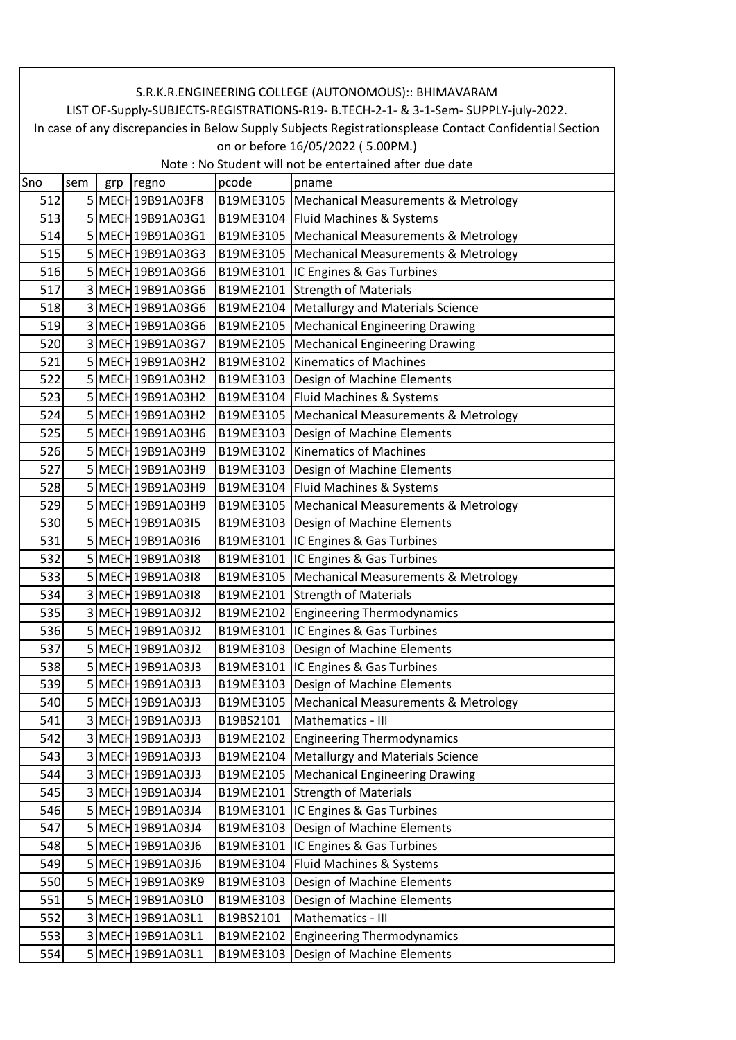|     | S.R.K.R.ENGINEERING COLLEGE (AUTONOMOUS):: BHIMAVARAM                                                  |     |                   |           |                                                 |  |  |  |  |
|-----|--------------------------------------------------------------------------------------------------------|-----|-------------------|-----------|-------------------------------------------------|--|--|--|--|
|     | LIST OF-Supply-SUBJECTS-REGISTRATIONS-R19- B.TECH-2-1- & 3-1-Sem- SUPPLY-july-2022.                    |     |                   |           |                                                 |  |  |  |  |
|     | In case of any discrepancies in Below Supply Subjects Registrationsplease Contact Confidential Section |     |                   |           |                                                 |  |  |  |  |
|     | on or before 16/05/2022 (5.00PM.)<br>Note: No Student will not be entertained after due date           |     |                   |           |                                                 |  |  |  |  |
| Sno | sem                                                                                                    | grp | regno             | pcode     | pname                                           |  |  |  |  |
| 512 |                                                                                                        |     | 5 MECH 19B91A03F8 |           | B19ME3105   Mechanical Measurements & Metrology |  |  |  |  |
| 513 |                                                                                                        |     | 5 MECH 19B91A03G1 |           | B19ME3104   Fluid Machines & Systems            |  |  |  |  |
| 514 |                                                                                                        |     | 5 MECH 19B91A03G1 |           | B19ME3105   Mechanical Measurements & Metrology |  |  |  |  |
| 515 |                                                                                                        |     | 5 MECH 19B91A03G3 |           | B19ME3105   Mechanical Measurements & Metrology |  |  |  |  |
| 516 |                                                                                                        |     | 5 MECH 19B91A03G6 |           | B19ME3101  IC Engines & Gas Turbines            |  |  |  |  |
| 517 |                                                                                                        |     | 3 MECH 19B91A03G6 |           | B19ME2101 Strength of Materials                 |  |  |  |  |
| 518 |                                                                                                        |     | 3 MECH 19B91A03G6 | B19ME2104 | <b>Metallurgy and Materials Science</b>         |  |  |  |  |
| 519 |                                                                                                        |     | 3 MECH 19B91A03G6 |           | B19ME2105 Mechanical Engineering Drawing        |  |  |  |  |
| 520 |                                                                                                        |     | 3 MECH 19B91A03G7 | B19ME2105 | <b>Mechanical Engineering Drawing</b>           |  |  |  |  |
| 521 |                                                                                                        |     | 5 MECH 19B91A03H2 |           | B19ME3102 Kinematics of Machines                |  |  |  |  |
| 522 |                                                                                                        |     | 5 MECH 19B91A03H2 |           | B19ME3103   Design of Machine Elements          |  |  |  |  |
| 523 |                                                                                                        |     | 5 MECH 19B91A03H2 |           | B19ME3104   Fluid Machines & Systems            |  |  |  |  |
| 524 |                                                                                                        |     | 5 MECH 19B91A03H2 |           | B19ME3105   Mechanical Measurements & Metrology |  |  |  |  |
| 525 |                                                                                                        |     | 5 MECH 19B91A03H6 | B19ME3103 | Design of Machine Elements                      |  |  |  |  |
| 526 |                                                                                                        |     | 5 MECH 19B91A03H9 |           | B19ME3102 Kinematics of Machines                |  |  |  |  |
| 527 |                                                                                                        |     | 5 MECH 19B91A03H9 |           | B19ME3103   Design of Machine Elements          |  |  |  |  |
| 528 |                                                                                                        |     | 5 MECH 19B91A03H9 |           | B19ME3104   Fluid Machines & Systems            |  |  |  |  |
| 529 |                                                                                                        |     | 5 MECH 19B91A03H9 | B19ME3105 | <b>Mechanical Measurements &amp; Metrology</b>  |  |  |  |  |
| 530 |                                                                                                        |     | 5 MECH 19B91A0315 |           | B19ME3103   Design of Machine Elements          |  |  |  |  |
| 531 |                                                                                                        |     | 5 MECH 19B91A0316 | B19ME3101 | IC Engines & Gas Turbines                       |  |  |  |  |
| 532 |                                                                                                        |     | 5 MECH 19B91A0318 | B19ME3101 | IC Engines & Gas Turbines                       |  |  |  |  |
| 533 |                                                                                                        |     | 5 MECH 19B91A0318 |           | B19ME3105   Mechanical Measurements & Metrology |  |  |  |  |
| 534 |                                                                                                        |     | 3 MECH 19B91A0318 |           | B19ME2101 Strength of Materials                 |  |  |  |  |
| 535 |                                                                                                        |     | 3 MECH 19B91A03J2 |           | B19ME2102 Engineering Thermodynamics            |  |  |  |  |
| 536 |                                                                                                        |     | 5 MECH 19B91A03J2 |           | B19ME3101  IC Engines & Gas Turbines            |  |  |  |  |
| 537 |                                                                                                        |     | 5 MECH 19B91A03J2 |           | B19ME3103   Design of Machine Elements          |  |  |  |  |
| 538 |                                                                                                        |     | 5 MECH 19B91A03J3 |           | B19ME3101  IC Engines & Gas Turbines            |  |  |  |  |
| 539 |                                                                                                        |     | 5 MECH 19B91A03J3 |           | B19ME3103   Design of Machine Elements          |  |  |  |  |
| 540 |                                                                                                        |     | 5 MECH 19B91A03J3 |           | B19ME3105   Mechanical Measurements & Metrology |  |  |  |  |
| 541 |                                                                                                        |     | 3 MECH 19B91A03J3 | B19BS2101 | Mathematics - III                               |  |  |  |  |
| 542 |                                                                                                        |     | 3 MECH 19B91A03J3 | B19ME2102 | <b>Engineering Thermodynamics</b>               |  |  |  |  |
| 543 |                                                                                                        |     | 3 MECH 19B91A03J3 |           | B19ME2104   Metallurgy and Materials Science    |  |  |  |  |
| 544 |                                                                                                        |     | 3 MECH 19B91A03J3 | B19ME2105 | <b>Mechanical Engineering Drawing</b>           |  |  |  |  |
| 545 |                                                                                                        |     | 3 MECH 19B91A03J4 |           | B19ME2101 Strength of Materials                 |  |  |  |  |
| 546 |                                                                                                        |     | 5 MECH 19B91A03J4 |           | B19ME3101  IC Engines & Gas Turbines            |  |  |  |  |
| 547 |                                                                                                        |     | 5 MECH 19B91A03J4 |           | B19ME3103 Design of Machine Elements            |  |  |  |  |
| 548 |                                                                                                        |     | 5 MECH 19B91A03J6 | B19ME3101 | IC Engines & Gas Turbines                       |  |  |  |  |
| 549 |                                                                                                        |     | 5 MECH 19B91A03J6 | B19ME3104 | Fluid Machines & Systems                        |  |  |  |  |
| 550 |                                                                                                        |     | 5 MECH 19B91A03K9 | B19ME3103 | Design of Machine Elements                      |  |  |  |  |
| 551 |                                                                                                        |     | 5 MECH 19B91A03L0 | B19ME3103 | Design of Machine Elements                      |  |  |  |  |
| 552 |                                                                                                        |     | 3 MECH 19B91A03L1 | B19BS2101 | Mathematics - III                               |  |  |  |  |
| 553 |                                                                                                        |     | 3 MECH 19B91A03L1 | B19ME2102 | <b>Engineering Thermodynamics</b>               |  |  |  |  |
| 554 |                                                                                                        |     | 5 MECH 19B91A03L1 | B19ME3103 | Design of Machine Elements                      |  |  |  |  |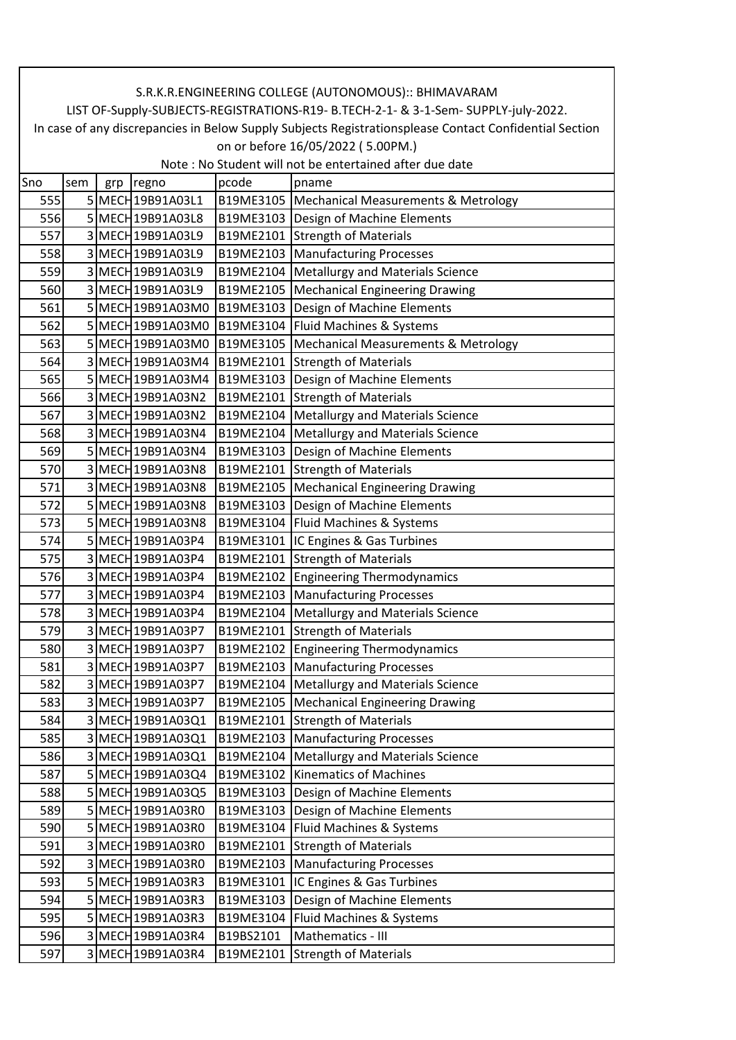| In case of any discrepancies in Below Supply Subjects Registrationsplease Contact Confidential Section<br>on or before 16/05/2022 (5.00PM.)<br>Note: No Student will not be entertained after due date<br>Sno<br>pcode<br>sem<br>regno<br>pname<br>grp<br>5 MECH 19B91A03L1<br>B19ME3105   Mechanical Measurements & Metrology<br>555<br>5 MECH 19B91A03L8<br>556<br>B19ME3103   Design of Machine Elements<br>557<br>3 MECH 19B91A03L9<br>B19ME2101 Strength of Materials<br>3 MECH 19B91A03L9<br>B19ME2103   Manufacturing Processes<br>558<br><b>Metallurgy and Materials Science</b><br>559<br>3 MECH 19B91A03L9<br>B19ME2104<br>560<br>3 MECH 19B91A03L9<br>B19ME2105   Mechanical Engineering Drawing<br>5 MECH 19B91A03M0<br>Design of Machine Elements<br>561<br>B19ME3103<br>5 MECH 19B91A03M0<br>B19ME3104   Fluid Machines & Systems<br>562<br>5 MECH 19B91A03M0<br>563<br>B19ME3105   Mechanical Measurements & Metrology<br>564<br>3 MECH 19B91A03M4<br>B19ME2101 Strength of Materials<br>5 MECH 19B91A03M4<br>B19ME3103   Design of Machine Elements<br>565<br>3 MECH 19B91A03N2<br>B19ME2101 Strength of Materials<br>566<br>567<br>3 MECH 19B91A03N2<br>B19ME2104   Metallurgy and Materials Science<br>3 MECH 19B91A03N4<br>Metallurgy and Materials Science<br>568<br>B19ME2104<br>Design of Machine Elements<br>5 MECH 19B91A03N4<br>569<br>B19ME3103<br>3 MECH 19B91A03N8<br>B19ME2101 Strength of Materials<br>570<br>571<br><b>Mechanical Engineering Drawing</b><br>3 MECH 19B91A03N8<br>B19ME2105<br>Design of Machine Elements<br>5 MECH 19B91A03N8<br>572<br>B19ME3103<br>B19ME3104   Fluid Machines & Systems<br>573<br>5 MECH 19B91A03N8<br>5 MECH 19B91A03P4<br>B19ME3101<br>IC Engines & Gas Turbines<br>574<br>3 MECH 19B91A03P4<br>B19ME2101 Strength of Materials<br>575<br>576<br>B19ME2102 Engineering Thermodynamics<br>3 MECH 19B91A03P4<br>3 MECH 19B91A03P4<br>B19ME2103   Manufacturing Processes<br>577<br>B19ME2104   Metallurgy and Materials Science<br>3 MECH 19B91A03P4<br>578<br>579<br>3 MECH 19B91A03P7<br>B19ME2101 Strength of Materials<br>580<br>3 MECH 19B91A03P7<br>B19ME2102 Engineering Thermodynamics<br>581<br>3 MECH 19B91A03P7<br>B19ME2103   Manufacturing Processes<br>B19ME2104   Metallurgy and Materials Science<br>582<br>3 MECH 19B91A03P7<br>583<br>3 MECH 19B91A03P7<br>Mechanical Engineering Drawing<br>B19ME2105<br>B19ME2101 Strength of Materials<br>584<br>3 MECH 19B91A03Q1<br>585<br>3 MECH 19B91A03Q1<br>B19ME2103   Manufacturing Processes<br>B19ME2104   Metallurgy and Materials Science<br>586<br>3 MECH 19B91A03Q1<br><b>Kinematics of Machines</b><br>587<br>5 MECH 19B91A03Q4<br>B19ME3102<br>588<br>5 MECH 19B91A03Q5<br>B19ME3103   Design of Machine Elements<br>589<br>5 MECH 19B91A03R0<br>B19ME3103   Design of Machine Elements<br>590<br>5 MECH 19B91A03R0<br>B19ME3104<br>Fluid Machines & Systems<br>B19ME2101 Strength of Materials<br>591<br>3 MECH 19B91A03R0<br>592<br>3 MECH 19B91A03R0<br>B19ME2103<br><b>Manufacturing Processes</b><br>5 MECH 19B91A03R3<br>B19ME3101  IC Engines & Gas Turbines<br>593<br>Design of Machine Elements<br>594<br>5 MECH 19B91A03R3<br>B19ME3103<br>Fluid Machines & Systems<br>595<br>5 MECH 19B91A03R3<br>B19ME3104<br>3 MECH 19B91A03R4<br>Mathematics - III<br>596<br>B19BS2101<br><b>Strength of Materials</b><br>597<br>3 MECH 19B91A03R4<br>B19ME2101 | S.R.K.R.ENGINEERING COLLEGE (AUTONOMOUS):: BHIMAVARAM                               |  |  |  |  |  |  |  |  |
|------------------------------------------------------------------------------------------------------------------------------------------------------------------------------------------------------------------------------------------------------------------------------------------------------------------------------------------------------------------------------------------------------------------------------------------------------------------------------------------------------------------------------------------------------------------------------------------------------------------------------------------------------------------------------------------------------------------------------------------------------------------------------------------------------------------------------------------------------------------------------------------------------------------------------------------------------------------------------------------------------------------------------------------------------------------------------------------------------------------------------------------------------------------------------------------------------------------------------------------------------------------------------------------------------------------------------------------------------------------------------------------------------------------------------------------------------------------------------------------------------------------------------------------------------------------------------------------------------------------------------------------------------------------------------------------------------------------------------------------------------------------------------------------------------------------------------------------------------------------------------------------------------------------------------------------------------------------------------------------------------------------------------------------------------------------------------------------------------------------------------------------------------------------------------------------------------------------------------------------------------------------------------------------------------------------------------------------------------------------------------------------------------------------------------------------------------------------------------------------------------------------------------------------------------------------------------------------------------------------------------------------------------------------------------------------------------------------------------------------------------------------------------------------------------------------------------------------------------------------------------------------------------------------------------------------------------------------------------------------------------------------------------------------------------------------------------------------------------------------------------------------------------------------------------------------------------------------------------------------------------------------------------------------------------------------------------------------------------------------------------------------------------|-------------------------------------------------------------------------------------|--|--|--|--|--|--|--|--|
|                                                                                                                                                                                                                                                                                                                                                                                                                                                                                                                                                                                                                                                                                                                                                                                                                                                                                                                                                                                                                                                                                                                                                                                                                                                                                                                                                                                                                                                                                                                                                                                                                                                                                                                                                                                                                                                                                                                                                                                                                                                                                                                                                                                                                                                                                                                                                                                                                                                                                                                                                                                                                                                                                                                                                                                                                                                                                                                                                                                                                                                                                                                                                                                                                                                                                                                                                                                                      | LIST OF-Supply-SUBJECTS-REGISTRATIONS-R19- B.TECH-2-1- & 3-1-Sem- SUPPLY-july-2022. |  |  |  |  |  |  |  |  |
|                                                                                                                                                                                                                                                                                                                                                                                                                                                                                                                                                                                                                                                                                                                                                                                                                                                                                                                                                                                                                                                                                                                                                                                                                                                                                                                                                                                                                                                                                                                                                                                                                                                                                                                                                                                                                                                                                                                                                                                                                                                                                                                                                                                                                                                                                                                                                                                                                                                                                                                                                                                                                                                                                                                                                                                                                                                                                                                                                                                                                                                                                                                                                                                                                                                                                                                                                                                                      |                                                                                     |  |  |  |  |  |  |  |  |
|                                                                                                                                                                                                                                                                                                                                                                                                                                                                                                                                                                                                                                                                                                                                                                                                                                                                                                                                                                                                                                                                                                                                                                                                                                                                                                                                                                                                                                                                                                                                                                                                                                                                                                                                                                                                                                                                                                                                                                                                                                                                                                                                                                                                                                                                                                                                                                                                                                                                                                                                                                                                                                                                                                                                                                                                                                                                                                                                                                                                                                                                                                                                                                                                                                                                                                                                                                                                      |                                                                                     |  |  |  |  |  |  |  |  |
|                                                                                                                                                                                                                                                                                                                                                                                                                                                                                                                                                                                                                                                                                                                                                                                                                                                                                                                                                                                                                                                                                                                                                                                                                                                                                                                                                                                                                                                                                                                                                                                                                                                                                                                                                                                                                                                                                                                                                                                                                                                                                                                                                                                                                                                                                                                                                                                                                                                                                                                                                                                                                                                                                                                                                                                                                                                                                                                                                                                                                                                                                                                                                                                                                                                                                                                                                                                                      |                                                                                     |  |  |  |  |  |  |  |  |
|                                                                                                                                                                                                                                                                                                                                                                                                                                                                                                                                                                                                                                                                                                                                                                                                                                                                                                                                                                                                                                                                                                                                                                                                                                                                                                                                                                                                                                                                                                                                                                                                                                                                                                                                                                                                                                                                                                                                                                                                                                                                                                                                                                                                                                                                                                                                                                                                                                                                                                                                                                                                                                                                                                                                                                                                                                                                                                                                                                                                                                                                                                                                                                                                                                                                                                                                                                                                      |                                                                                     |  |  |  |  |  |  |  |  |
|                                                                                                                                                                                                                                                                                                                                                                                                                                                                                                                                                                                                                                                                                                                                                                                                                                                                                                                                                                                                                                                                                                                                                                                                                                                                                                                                                                                                                                                                                                                                                                                                                                                                                                                                                                                                                                                                                                                                                                                                                                                                                                                                                                                                                                                                                                                                                                                                                                                                                                                                                                                                                                                                                                                                                                                                                                                                                                                                                                                                                                                                                                                                                                                                                                                                                                                                                                                                      |                                                                                     |  |  |  |  |  |  |  |  |
|                                                                                                                                                                                                                                                                                                                                                                                                                                                                                                                                                                                                                                                                                                                                                                                                                                                                                                                                                                                                                                                                                                                                                                                                                                                                                                                                                                                                                                                                                                                                                                                                                                                                                                                                                                                                                                                                                                                                                                                                                                                                                                                                                                                                                                                                                                                                                                                                                                                                                                                                                                                                                                                                                                                                                                                                                                                                                                                                                                                                                                                                                                                                                                                                                                                                                                                                                                                                      |                                                                                     |  |  |  |  |  |  |  |  |
|                                                                                                                                                                                                                                                                                                                                                                                                                                                                                                                                                                                                                                                                                                                                                                                                                                                                                                                                                                                                                                                                                                                                                                                                                                                                                                                                                                                                                                                                                                                                                                                                                                                                                                                                                                                                                                                                                                                                                                                                                                                                                                                                                                                                                                                                                                                                                                                                                                                                                                                                                                                                                                                                                                                                                                                                                                                                                                                                                                                                                                                                                                                                                                                                                                                                                                                                                                                                      |                                                                                     |  |  |  |  |  |  |  |  |
|                                                                                                                                                                                                                                                                                                                                                                                                                                                                                                                                                                                                                                                                                                                                                                                                                                                                                                                                                                                                                                                                                                                                                                                                                                                                                                                                                                                                                                                                                                                                                                                                                                                                                                                                                                                                                                                                                                                                                                                                                                                                                                                                                                                                                                                                                                                                                                                                                                                                                                                                                                                                                                                                                                                                                                                                                                                                                                                                                                                                                                                                                                                                                                                                                                                                                                                                                                                                      |                                                                                     |  |  |  |  |  |  |  |  |
|                                                                                                                                                                                                                                                                                                                                                                                                                                                                                                                                                                                                                                                                                                                                                                                                                                                                                                                                                                                                                                                                                                                                                                                                                                                                                                                                                                                                                                                                                                                                                                                                                                                                                                                                                                                                                                                                                                                                                                                                                                                                                                                                                                                                                                                                                                                                                                                                                                                                                                                                                                                                                                                                                                                                                                                                                                                                                                                                                                                                                                                                                                                                                                                                                                                                                                                                                                                                      |                                                                                     |  |  |  |  |  |  |  |  |
|                                                                                                                                                                                                                                                                                                                                                                                                                                                                                                                                                                                                                                                                                                                                                                                                                                                                                                                                                                                                                                                                                                                                                                                                                                                                                                                                                                                                                                                                                                                                                                                                                                                                                                                                                                                                                                                                                                                                                                                                                                                                                                                                                                                                                                                                                                                                                                                                                                                                                                                                                                                                                                                                                                                                                                                                                                                                                                                                                                                                                                                                                                                                                                                                                                                                                                                                                                                                      |                                                                                     |  |  |  |  |  |  |  |  |
|                                                                                                                                                                                                                                                                                                                                                                                                                                                                                                                                                                                                                                                                                                                                                                                                                                                                                                                                                                                                                                                                                                                                                                                                                                                                                                                                                                                                                                                                                                                                                                                                                                                                                                                                                                                                                                                                                                                                                                                                                                                                                                                                                                                                                                                                                                                                                                                                                                                                                                                                                                                                                                                                                                                                                                                                                                                                                                                                                                                                                                                                                                                                                                                                                                                                                                                                                                                                      |                                                                                     |  |  |  |  |  |  |  |  |
|                                                                                                                                                                                                                                                                                                                                                                                                                                                                                                                                                                                                                                                                                                                                                                                                                                                                                                                                                                                                                                                                                                                                                                                                                                                                                                                                                                                                                                                                                                                                                                                                                                                                                                                                                                                                                                                                                                                                                                                                                                                                                                                                                                                                                                                                                                                                                                                                                                                                                                                                                                                                                                                                                                                                                                                                                                                                                                                                                                                                                                                                                                                                                                                                                                                                                                                                                                                                      |                                                                                     |  |  |  |  |  |  |  |  |
|                                                                                                                                                                                                                                                                                                                                                                                                                                                                                                                                                                                                                                                                                                                                                                                                                                                                                                                                                                                                                                                                                                                                                                                                                                                                                                                                                                                                                                                                                                                                                                                                                                                                                                                                                                                                                                                                                                                                                                                                                                                                                                                                                                                                                                                                                                                                                                                                                                                                                                                                                                                                                                                                                                                                                                                                                                                                                                                                                                                                                                                                                                                                                                                                                                                                                                                                                                                                      |                                                                                     |  |  |  |  |  |  |  |  |
|                                                                                                                                                                                                                                                                                                                                                                                                                                                                                                                                                                                                                                                                                                                                                                                                                                                                                                                                                                                                                                                                                                                                                                                                                                                                                                                                                                                                                                                                                                                                                                                                                                                                                                                                                                                                                                                                                                                                                                                                                                                                                                                                                                                                                                                                                                                                                                                                                                                                                                                                                                                                                                                                                                                                                                                                                                                                                                                                                                                                                                                                                                                                                                                                                                                                                                                                                                                                      |                                                                                     |  |  |  |  |  |  |  |  |
|                                                                                                                                                                                                                                                                                                                                                                                                                                                                                                                                                                                                                                                                                                                                                                                                                                                                                                                                                                                                                                                                                                                                                                                                                                                                                                                                                                                                                                                                                                                                                                                                                                                                                                                                                                                                                                                                                                                                                                                                                                                                                                                                                                                                                                                                                                                                                                                                                                                                                                                                                                                                                                                                                                                                                                                                                                                                                                                                                                                                                                                                                                                                                                                                                                                                                                                                                                                                      |                                                                                     |  |  |  |  |  |  |  |  |
|                                                                                                                                                                                                                                                                                                                                                                                                                                                                                                                                                                                                                                                                                                                                                                                                                                                                                                                                                                                                                                                                                                                                                                                                                                                                                                                                                                                                                                                                                                                                                                                                                                                                                                                                                                                                                                                                                                                                                                                                                                                                                                                                                                                                                                                                                                                                                                                                                                                                                                                                                                                                                                                                                                                                                                                                                                                                                                                                                                                                                                                                                                                                                                                                                                                                                                                                                                                                      |                                                                                     |  |  |  |  |  |  |  |  |
|                                                                                                                                                                                                                                                                                                                                                                                                                                                                                                                                                                                                                                                                                                                                                                                                                                                                                                                                                                                                                                                                                                                                                                                                                                                                                                                                                                                                                                                                                                                                                                                                                                                                                                                                                                                                                                                                                                                                                                                                                                                                                                                                                                                                                                                                                                                                                                                                                                                                                                                                                                                                                                                                                                                                                                                                                                                                                                                                                                                                                                                                                                                                                                                                                                                                                                                                                                                                      |                                                                                     |  |  |  |  |  |  |  |  |
|                                                                                                                                                                                                                                                                                                                                                                                                                                                                                                                                                                                                                                                                                                                                                                                                                                                                                                                                                                                                                                                                                                                                                                                                                                                                                                                                                                                                                                                                                                                                                                                                                                                                                                                                                                                                                                                                                                                                                                                                                                                                                                                                                                                                                                                                                                                                                                                                                                                                                                                                                                                                                                                                                                                                                                                                                                                                                                                                                                                                                                                                                                                                                                                                                                                                                                                                                                                                      |                                                                                     |  |  |  |  |  |  |  |  |
|                                                                                                                                                                                                                                                                                                                                                                                                                                                                                                                                                                                                                                                                                                                                                                                                                                                                                                                                                                                                                                                                                                                                                                                                                                                                                                                                                                                                                                                                                                                                                                                                                                                                                                                                                                                                                                                                                                                                                                                                                                                                                                                                                                                                                                                                                                                                                                                                                                                                                                                                                                                                                                                                                                                                                                                                                                                                                                                                                                                                                                                                                                                                                                                                                                                                                                                                                                                                      |                                                                                     |  |  |  |  |  |  |  |  |
|                                                                                                                                                                                                                                                                                                                                                                                                                                                                                                                                                                                                                                                                                                                                                                                                                                                                                                                                                                                                                                                                                                                                                                                                                                                                                                                                                                                                                                                                                                                                                                                                                                                                                                                                                                                                                                                                                                                                                                                                                                                                                                                                                                                                                                                                                                                                                                                                                                                                                                                                                                                                                                                                                                                                                                                                                                                                                                                                                                                                                                                                                                                                                                                                                                                                                                                                                                                                      |                                                                                     |  |  |  |  |  |  |  |  |
|                                                                                                                                                                                                                                                                                                                                                                                                                                                                                                                                                                                                                                                                                                                                                                                                                                                                                                                                                                                                                                                                                                                                                                                                                                                                                                                                                                                                                                                                                                                                                                                                                                                                                                                                                                                                                                                                                                                                                                                                                                                                                                                                                                                                                                                                                                                                                                                                                                                                                                                                                                                                                                                                                                                                                                                                                                                                                                                                                                                                                                                                                                                                                                                                                                                                                                                                                                                                      |                                                                                     |  |  |  |  |  |  |  |  |
|                                                                                                                                                                                                                                                                                                                                                                                                                                                                                                                                                                                                                                                                                                                                                                                                                                                                                                                                                                                                                                                                                                                                                                                                                                                                                                                                                                                                                                                                                                                                                                                                                                                                                                                                                                                                                                                                                                                                                                                                                                                                                                                                                                                                                                                                                                                                                                                                                                                                                                                                                                                                                                                                                                                                                                                                                                                                                                                                                                                                                                                                                                                                                                                                                                                                                                                                                                                                      |                                                                                     |  |  |  |  |  |  |  |  |
|                                                                                                                                                                                                                                                                                                                                                                                                                                                                                                                                                                                                                                                                                                                                                                                                                                                                                                                                                                                                                                                                                                                                                                                                                                                                                                                                                                                                                                                                                                                                                                                                                                                                                                                                                                                                                                                                                                                                                                                                                                                                                                                                                                                                                                                                                                                                                                                                                                                                                                                                                                                                                                                                                                                                                                                                                                                                                                                                                                                                                                                                                                                                                                                                                                                                                                                                                                                                      |                                                                                     |  |  |  |  |  |  |  |  |
|                                                                                                                                                                                                                                                                                                                                                                                                                                                                                                                                                                                                                                                                                                                                                                                                                                                                                                                                                                                                                                                                                                                                                                                                                                                                                                                                                                                                                                                                                                                                                                                                                                                                                                                                                                                                                                                                                                                                                                                                                                                                                                                                                                                                                                                                                                                                                                                                                                                                                                                                                                                                                                                                                                                                                                                                                                                                                                                                                                                                                                                                                                                                                                                                                                                                                                                                                                                                      |                                                                                     |  |  |  |  |  |  |  |  |
|                                                                                                                                                                                                                                                                                                                                                                                                                                                                                                                                                                                                                                                                                                                                                                                                                                                                                                                                                                                                                                                                                                                                                                                                                                                                                                                                                                                                                                                                                                                                                                                                                                                                                                                                                                                                                                                                                                                                                                                                                                                                                                                                                                                                                                                                                                                                                                                                                                                                                                                                                                                                                                                                                                                                                                                                                                                                                                                                                                                                                                                                                                                                                                                                                                                                                                                                                                                                      |                                                                                     |  |  |  |  |  |  |  |  |
|                                                                                                                                                                                                                                                                                                                                                                                                                                                                                                                                                                                                                                                                                                                                                                                                                                                                                                                                                                                                                                                                                                                                                                                                                                                                                                                                                                                                                                                                                                                                                                                                                                                                                                                                                                                                                                                                                                                                                                                                                                                                                                                                                                                                                                                                                                                                                                                                                                                                                                                                                                                                                                                                                                                                                                                                                                                                                                                                                                                                                                                                                                                                                                                                                                                                                                                                                                                                      |                                                                                     |  |  |  |  |  |  |  |  |
|                                                                                                                                                                                                                                                                                                                                                                                                                                                                                                                                                                                                                                                                                                                                                                                                                                                                                                                                                                                                                                                                                                                                                                                                                                                                                                                                                                                                                                                                                                                                                                                                                                                                                                                                                                                                                                                                                                                                                                                                                                                                                                                                                                                                                                                                                                                                                                                                                                                                                                                                                                                                                                                                                                                                                                                                                                                                                                                                                                                                                                                                                                                                                                                                                                                                                                                                                                                                      |                                                                                     |  |  |  |  |  |  |  |  |
|                                                                                                                                                                                                                                                                                                                                                                                                                                                                                                                                                                                                                                                                                                                                                                                                                                                                                                                                                                                                                                                                                                                                                                                                                                                                                                                                                                                                                                                                                                                                                                                                                                                                                                                                                                                                                                                                                                                                                                                                                                                                                                                                                                                                                                                                                                                                                                                                                                                                                                                                                                                                                                                                                                                                                                                                                                                                                                                                                                                                                                                                                                                                                                                                                                                                                                                                                                                                      |                                                                                     |  |  |  |  |  |  |  |  |
|                                                                                                                                                                                                                                                                                                                                                                                                                                                                                                                                                                                                                                                                                                                                                                                                                                                                                                                                                                                                                                                                                                                                                                                                                                                                                                                                                                                                                                                                                                                                                                                                                                                                                                                                                                                                                                                                                                                                                                                                                                                                                                                                                                                                                                                                                                                                                                                                                                                                                                                                                                                                                                                                                                                                                                                                                                                                                                                                                                                                                                                                                                                                                                                                                                                                                                                                                                                                      |                                                                                     |  |  |  |  |  |  |  |  |
|                                                                                                                                                                                                                                                                                                                                                                                                                                                                                                                                                                                                                                                                                                                                                                                                                                                                                                                                                                                                                                                                                                                                                                                                                                                                                                                                                                                                                                                                                                                                                                                                                                                                                                                                                                                                                                                                                                                                                                                                                                                                                                                                                                                                                                                                                                                                                                                                                                                                                                                                                                                                                                                                                                                                                                                                                                                                                                                                                                                                                                                                                                                                                                                                                                                                                                                                                                                                      |                                                                                     |  |  |  |  |  |  |  |  |
|                                                                                                                                                                                                                                                                                                                                                                                                                                                                                                                                                                                                                                                                                                                                                                                                                                                                                                                                                                                                                                                                                                                                                                                                                                                                                                                                                                                                                                                                                                                                                                                                                                                                                                                                                                                                                                                                                                                                                                                                                                                                                                                                                                                                                                                                                                                                                                                                                                                                                                                                                                                                                                                                                                                                                                                                                                                                                                                                                                                                                                                                                                                                                                                                                                                                                                                                                                                                      |                                                                                     |  |  |  |  |  |  |  |  |
|                                                                                                                                                                                                                                                                                                                                                                                                                                                                                                                                                                                                                                                                                                                                                                                                                                                                                                                                                                                                                                                                                                                                                                                                                                                                                                                                                                                                                                                                                                                                                                                                                                                                                                                                                                                                                                                                                                                                                                                                                                                                                                                                                                                                                                                                                                                                                                                                                                                                                                                                                                                                                                                                                                                                                                                                                                                                                                                                                                                                                                                                                                                                                                                                                                                                                                                                                                                                      |                                                                                     |  |  |  |  |  |  |  |  |
|                                                                                                                                                                                                                                                                                                                                                                                                                                                                                                                                                                                                                                                                                                                                                                                                                                                                                                                                                                                                                                                                                                                                                                                                                                                                                                                                                                                                                                                                                                                                                                                                                                                                                                                                                                                                                                                                                                                                                                                                                                                                                                                                                                                                                                                                                                                                                                                                                                                                                                                                                                                                                                                                                                                                                                                                                                                                                                                                                                                                                                                                                                                                                                                                                                                                                                                                                                                                      |                                                                                     |  |  |  |  |  |  |  |  |
|                                                                                                                                                                                                                                                                                                                                                                                                                                                                                                                                                                                                                                                                                                                                                                                                                                                                                                                                                                                                                                                                                                                                                                                                                                                                                                                                                                                                                                                                                                                                                                                                                                                                                                                                                                                                                                                                                                                                                                                                                                                                                                                                                                                                                                                                                                                                                                                                                                                                                                                                                                                                                                                                                                                                                                                                                                                                                                                                                                                                                                                                                                                                                                                                                                                                                                                                                                                                      |                                                                                     |  |  |  |  |  |  |  |  |
|                                                                                                                                                                                                                                                                                                                                                                                                                                                                                                                                                                                                                                                                                                                                                                                                                                                                                                                                                                                                                                                                                                                                                                                                                                                                                                                                                                                                                                                                                                                                                                                                                                                                                                                                                                                                                                                                                                                                                                                                                                                                                                                                                                                                                                                                                                                                                                                                                                                                                                                                                                                                                                                                                                                                                                                                                                                                                                                                                                                                                                                                                                                                                                                                                                                                                                                                                                                                      |                                                                                     |  |  |  |  |  |  |  |  |
|                                                                                                                                                                                                                                                                                                                                                                                                                                                                                                                                                                                                                                                                                                                                                                                                                                                                                                                                                                                                                                                                                                                                                                                                                                                                                                                                                                                                                                                                                                                                                                                                                                                                                                                                                                                                                                                                                                                                                                                                                                                                                                                                                                                                                                                                                                                                                                                                                                                                                                                                                                                                                                                                                                                                                                                                                                                                                                                                                                                                                                                                                                                                                                                                                                                                                                                                                                                                      |                                                                                     |  |  |  |  |  |  |  |  |
|                                                                                                                                                                                                                                                                                                                                                                                                                                                                                                                                                                                                                                                                                                                                                                                                                                                                                                                                                                                                                                                                                                                                                                                                                                                                                                                                                                                                                                                                                                                                                                                                                                                                                                                                                                                                                                                                                                                                                                                                                                                                                                                                                                                                                                                                                                                                                                                                                                                                                                                                                                                                                                                                                                                                                                                                                                                                                                                                                                                                                                                                                                                                                                                                                                                                                                                                                                                                      |                                                                                     |  |  |  |  |  |  |  |  |
|                                                                                                                                                                                                                                                                                                                                                                                                                                                                                                                                                                                                                                                                                                                                                                                                                                                                                                                                                                                                                                                                                                                                                                                                                                                                                                                                                                                                                                                                                                                                                                                                                                                                                                                                                                                                                                                                                                                                                                                                                                                                                                                                                                                                                                                                                                                                                                                                                                                                                                                                                                                                                                                                                                                                                                                                                                                                                                                                                                                                                                                                                                                                                                                                                                                                                                                                                                                                      |                                                                                     |  |  |  |  |  |  |  |  |
|                                                                                                                                                                                                                                                                                                                                                                                                                                                                                                                                                                                                                                                                                                                                                                                                                                                                                                                                                                                                                                                                                                                                                                                                                                                                                                                                                                                                                                                                                                                                                                                                                                                                                                                                                                                                                                                                                                                                                                                                                                                                                                                                                                                                                                                                                                                                                                                                                                                                                                                                                                                                                                                                                                                                                                                                                                                                                                                                                                                                                                                                                                                                                                                                                                                                                                                                                                                                      |                                                                                     |  |  |  |  |  |  |  |  |
|                                                                                                                                                                                                                                                                                                                                                                                                                                                                                                                                                                                                                                                                                                                                                                                                                                                                                                                                                                                                                                                                                                                                                                                                                                                                                                                                                                                                                                                                                                                                                                                                                                                                                                                                                                                                                                                                                                                                                                                                                                                                                                                                                                                                                                                                                                                                                                                                                                                                                                                                                                                                                                                                                                                                                                                                                                                                                                                                                                                                                                                                                                                                                                                                                                                                                                                                                                                                      |                                                                                     |  |  |  |  |  |  |  |  |
|                                                                                                                                                                                                                                                                                                                                                                                                                                                                                                                                                                                                                                                                                                                                                                                                                                                                                                                                                                                                                                                                                                                                                                                                                                                                                                                                                                                                                                                                                                                                                                                                                                                                                                                                                                                                                                                                                                                                                                                                                                                                                                                                                                                                                                                                                                                                                                                                                                                                                                                                                                                                                                                                                                                                                                                                                                                                                                                                                                                                                                                                                                                                                                                                                                                                                                                                                                                                      |                                                                                     |  |  |  |  |  |  |  |  |
|                                                                                                                                                                                                                                                                                                                                                                                                                                                                                                                                                                                                                                                                                                                                                                                                                                                                                                                                                                                                                                                                                                                                                                                                                                                                                                                                                                                                                                                                                                                                                                                                                                                                                                                                                                                                                                                                                                                                                                                                                                                                                                                                                                                                                                                                                                                                                                                                                                                                                                                                                                                                                                                                                                                                                                                                                                                                                                                                                                                                                                                                                                                                                                                                                                                                                                                                                                                                      |                                                                                     |  |  |  |  |  |  |  |  |
|                                                                                                                                                                                                                                                                                                                                                                                                                                                                                                                                                                                                                                                                                                                                                                                                                                                                                                                                                                                                                                                                                                                                                                                                                                                                                                                                                                                                                                                                                                                                                                                                                                                                                                                                                                                                                                                                                                                                                                                                                                                                                                                                                                                                                                                                                                                                                                                                                                                                                                                                                                                                                                                                                                                                                                                                                                                                                                                                                                                                                                                                                                                                                                                                                                                                                                                                                                                                      |                                                                                     |  |  |  |  |  |  |  |  |
|                                                                                                                                                                                                                                                                                                                                                                                                                                                                                                                                                                                                                                                                                                                                                                                                                                                                                                                                                                                                                                                                                                                                                                                                                                                                                                                                                                                                                                                                                                                                                                                                                                                                                                                                                                                                                                                                                                                                                                                                                                                                                                                                                                                                                                                                                                                                                                                                                                                                                                                                                                                                                                                                                                                                                                                                                                                                                                                                                                                                                                                                                                                                                                                                                                                                                                                                                                                                      |                                                                                     |  |  |  |  |  |  |  |  |
|                                                                                                                                                                                                                                                                                                                                                                                                                                                                                                                                                                                                                                                                                                                                                                                                                                                                                                                                                                                                                                                                                                                                                                                                                                                                                                                                                                                                                                                                                                                                                                                                                                                                                                                                                                                                                                                                                                                                                                                                                                                                                                                                                                                                                                                                                                                                                                                                                                                                                                                                                                                                                                                                                                                                                                                                                                                                                                                                                                                                                                                                                                                                                                                                                                                                                                                                                                                                      |                                                                                     |  |  |  |  |  |  |  |  |
|                                                                                                                                                                                                                                                                                                                                                                                                                                                                                                                                                                                                                                                                                                                                                                                                                                                                                                                                                                                                                                                                                                                                                                                                                                                                                                                                                                                                                                                                                                                                                                                                                                                                                                                                                                                                                                                                                                                                                                                                                                                                                                                                                                                                                                                                                                                                                                                                                                                                                                                                                                                                                                                                                                                                                                                                                                                                                                                                                                                                                                                                                                                                                                                                                                                                                                                                                                                                      |                                                                                     |  |  |  |  |  |  |  |  |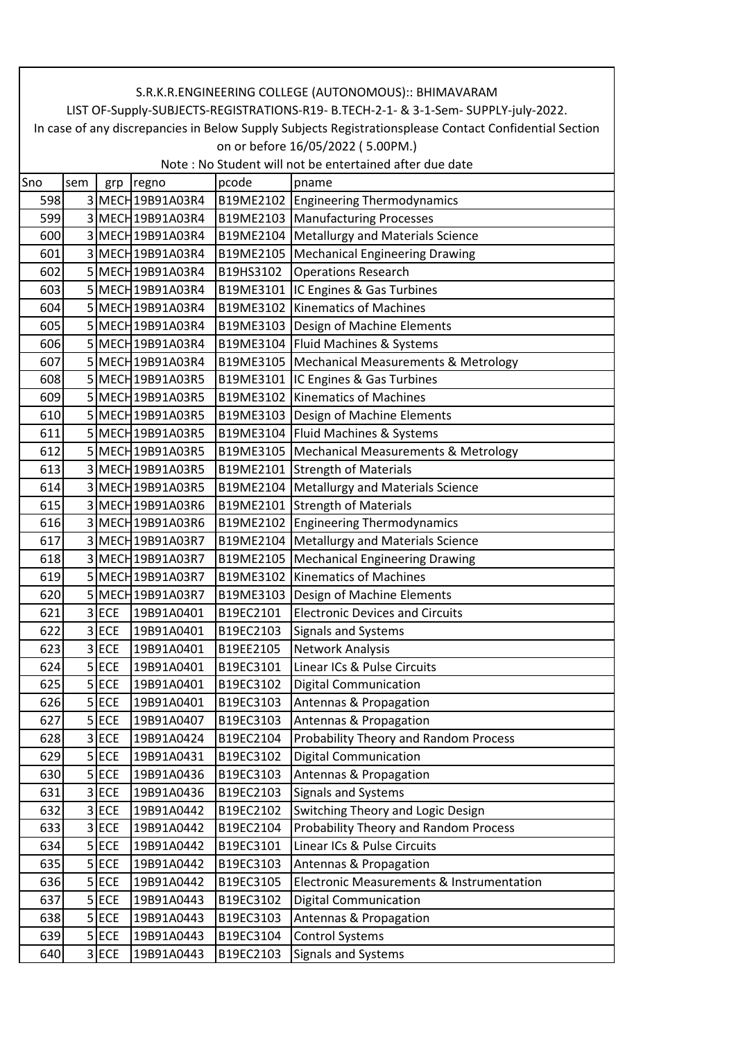|     | S.R.K.R.ENGINEERING COLLEGE (AUTONOMOUS):: BHIMAVARAM                                                                                       |            |                   |           |                                                 |  |  |  |  |
|-----|---------------------------------------------------------------------------------------------------------------------------------------------|------------|-------------------|-----------|-------------------------------------------------|--|--|--|--|
|     | LIST OF-Supply-SUBJECTS-REGISTRATIONS-R19- B.TECH-2-1- & 3-1-Sem- SUPPLY-july-2022.                                                         |            |                   |           |                                                 |  |  |  |  |
|     | In case of any discrepancies in Below Supply Subjects Registrationsplease Contact Confidential Section<br>on or before 16/05/2022 (5.00PM.) |            |                   |           |                                                 |  |  |  |  |
|     | Note: No Student will not be entertained after due date                                                                                     |            |                   |           |                                                 |  |  |  |  |
| Sno | sem                                                                                                                                         | grp        | regno             | pcode     | pname                                           |  |  |  |  |
| 598 |                                                                                                                                             |            | 3 MECH 19B91A03R4 |           | B19ME2102   Engineering Thermodynamics          |  |  |  |  |
| 599 |                                                                                                                                             |            | 3 MECH 19B91A03R4 | B19ME2103 | <b>Manufacturing Processes</b>                  |  |  |  |  |
| 600 |                                                                                                                                             |            | 3 MECH 19B91A03R4 | B19ME2104 | <b>Metallurgy and Materials Science</b>         |  |  |  |  |
| 601 |                                                                                                                                             |            | 3 MECH 19B91A03R4 | B19ME2105 | <b>Mechanical Engineering Drawing</b>           |  |  |  |  |
| 602 |                                                                                                                                             |            | 5 MECH 19B91A03R4 | B19HS3102 | <b>Operations Research</b>                      |  |  |  |  |
| 603 |                                                                                                                                             |            | 5 MECH 19B91A03R4 | B19ME3101 | IC Engines & Gas Turbines                       |  |  |  |  |
| 604 |                                                                                                                                             |            | 5 MECH 19B91A03R4 | B19ME3102 | <b>Kinematics of Machines</b>                   |  |  |  |  |
| 605 |                                                                                                                                             |            | 5 MECH 19B91A03R4 |           | B19ME3103   Design of Machine Elements          |  |  |  |  |
| 606 |                                                                                                                                             |            | 5 MECH 19B91A03R4 | B19ME3104 | Fluid Machines & Systems                        |  |  |  |  |
| 607 |                                                                                                                                             |            | 5 MECH 19B91A03R4 | B19ME3105 | <b>Mechanical Measurements &amp; Metrology</b>  |  |  |  |  |
| 608 |                                                                                                                                             |            | 5 MECH 19B91A03R5 | B19ME3101 | IC Engines & Gas Turbines                       |  |  |  |  |
| 609 |                                                                                                                                             |            | 5 MECH 19B91A03R5 | B19ME3102 | <b>Kinematics of Machines</b>                   |  |  |  |  |
| 610 |                                                                                                                                             |            | 5 MECH 19B91A03R5 |           | B19ME3103   Design of Machine Elements          |  |  |  |  |
| 611 |                                                                                                                                             |            | 5 MECH 19B91A03R5 |           | B19ME3104 Fluid Machines & Systems              |  |  |  |  |
| 612 |                                                                                                                                             |            | 5 MECH 19B91A03R5 |           | B19ME3105   Mechanical Measurements & Metrology |  |  |  |  |
| 613 |                                                                                                                                             |            | 3 MECH 19B91A03R5 |           | B19ME2101 Strength of Materials                 |  |  |  |  |
| 614 |                                                                                                                                             |            | 3 MECH 19B91A03R5 | B19ME2104 | <b>Metallurgy and Materials Science</b>         |  |  |  |  |
| 615 |                                                                                                                                             |            | 3 MECH 19B91A03R6 |           | B19ME2101 Strength of Materials                 |  |  |  |  |
| 616 |                                                                                                                                             |            | 3 MECH 19B91A03R6 | B19ME2102 | <b>Engineering Thermodynamics</b>               |  |  |  |  |
| 617 |                                                                                                                                             |            | 3 MECH 19B91A03R7 | B19ME2104 | <b>Metallurgy and Materials Science</b>         |  |  |  |  |
| 618 |                                                                                                                                             |            | 3 MECH 19B91A03R7 | B19ME2105 | <b>Mechanical Engineering Drawing</b>           |  |  |  |  |
| 619 |                                                                                                                                             |            | 5 MECH 19B91A03R7 | B19ME3102 | <b>Kinematics of Machines</b>                   |  |  |  |  |
| 620 |                                                                                                                                             |            | 5 MECH 19B91A03R7 | B19ME3103 | Design of Machine Elements                      |  |  |  |  |
| 621 |                                                                                                                                             | 3 ECE      | 19B91A0401        | B19EC2101 | <b>Electronic Devices and Circuits</b>          |  |  |  |  |
| 622 |                                                                                                                                             | $3$ ECE    | 19B91A0401        | B19EC2103 | Signals and Systems                             |  |  |  |  |
| 623 |                                                                                                                                             | 3 ECE      | 19B91A0401        | B19EE2105 | Network Analysis                                |  |  |  |  |
| 624 |                                                                                                                                             | $5$ ECE    | 19B91A0401        | B19EC3101 | Linear ICs & Pulse Circuits                     |  |  |  |  |
| 625 |                                                                                                                                             | 5 ECE      | 19B91A0401        | B19EC3102 | <b>Digital Communication</b>                    |  |  |  |  |
| 626 |                                                                                                                                             | $5$ ECE    | 19B91A0401        | B19EC3103 | Antennas & Propagation                          |  |  |  |  |
| 627 |                                                                                                                                             | $5$ ECE    | 19B91A0407        | B19EC3103 | Antennas & Propagation                          |  |  |  |  |
| 628 | 3                                                                                                                                           | <b>ECE</b> | 19B91A0424        | B19EC2104 | Probability Theory and Random Process           |  |  |  |  |
| 629 |                                                                                                                                             | $5$ ECE    | 19B91A0431        | B19EC3102 | <b>Digital Communication</b>                    |  |  |  |  |
| 630 |                                                                                                                                             | $5$ ECE    | 19B91A0436        | B19EC3103 | Antennas & Propagation                          |  |  |  |  |
| 631 |                                                                                                                                             | 3 ECE      | 19B91A0436        | B19EC2103 | <b>Signals and Systems</b>                      |  |  |  |  |
| 632 |                                                                                                                                             | 3 ECE      | 19B91A0442        | B19EC2102 | Switching Theory and Logic Design               |  |  |  |  |
| 633 |                                                                                                                                             | 3 ECE      | 19B91A0442        | B19EC2104 | Probability Theory and Random Process           |  |  |  |  |
| 634 |                                                                                                                                             | 5 ECE      | 19B91A0442        | B19EC3101 | Linear ICs & Pulse Circuits                     |  |  |  |  |
| 635 |                                                                                                                                             | $5$ ECE    | 19B91A0442        | B19EC3103 | Antennas & Propagation                          |  |  |  |  |
| 636 |                                                                                                                                             | 5 ECE      | 19B91A0442        | B19EC3105 | Electronic Measurements & Instrumentation       |  |  |  |  |
| 637 |                                                                                                                                             | 5 ECE      | 19B91A0443        | B19EC3102 | Digital Communication                           |  |  |  |  |
| 638 |                                                                                                                                             | $5$ ECE    | 19B91A0443        | B19EC3103 | Antennas & Propagation                          |  |  |  |  |
| 639 |                                                                                                                                             | $5$ ECE    | 19B91A0443        | B19EC3104 | <b>Control Systems</b>                          |  |  |  |  |
| 640 |                                                                                                                                             | 3 ECE      | 19B91A0443        | B19EC2103 | Signals and Systems                             |  |  |  |  |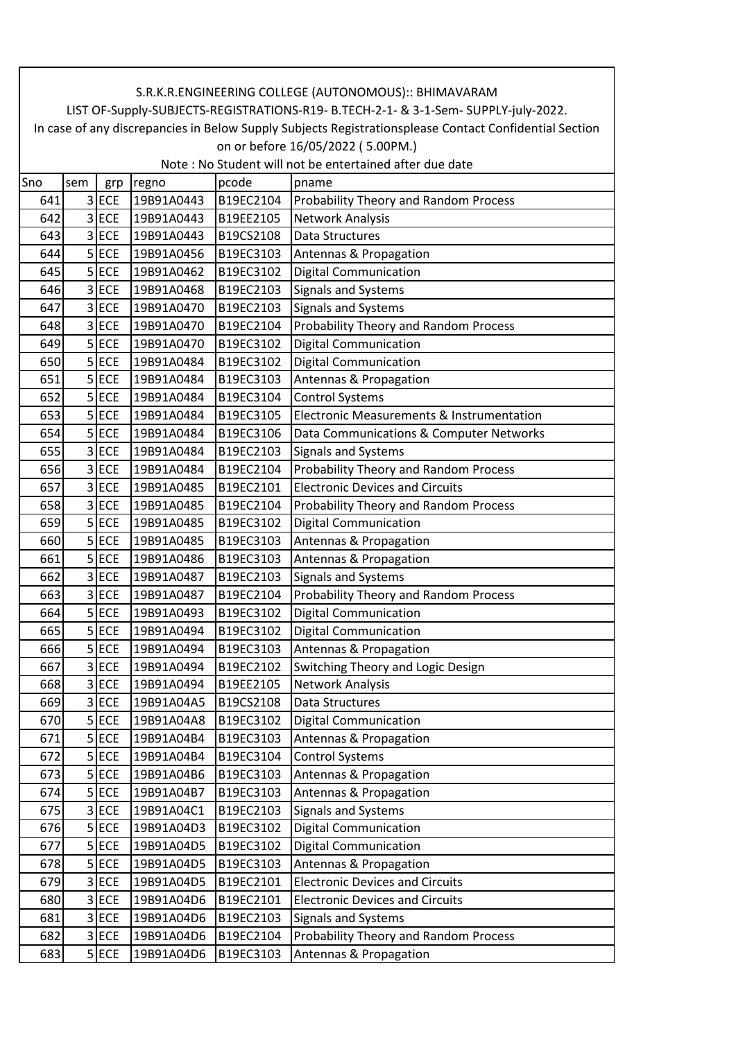|     | S.R.K.R.ENGINEERING COLLEGE (AUTONOMOUS):: BHIMAVARAM                                                  |            |            |           |                                                                     |  |  |  |  |
|-----|--------------------------------------------------------------------------------------------------------|------------|------------|-----------|---------------------------------------------------------------------|--|--|--|--|
|     | LIST OF-Supply-SUBJECTS-REGISTRATIONS-R19- B.TECH-2-1- & 3-1-Sem- SUPPLY-july-2022.                    |            |            |           |                                                                     |  |  |  |  |
|     | In case of any discrepancies in Below Supply Subjects Registrationsplease Contact Confidential Section |            |            |           |                                                                     |  |  |  |  |
|     | on or before 16/05/2022 (5.00PM.)<br>Note: No Student will not be entertained after due date           |            |            |           |                                                                     |  |  |  |  |
| Sno | sem                                                                                                    | grp        | regno      | pcode     | pname                                                               |  |  |  |  |
| 641 |                                                                                                        | 3 ECE      | 19B91A0443 | B19EC2104 | Probability Theory and Random Process                               |  |  |  |  |
| 642 |                                                                                                        | 3 ECE      | 19B91A0443 | B19EE2105 | <b>Network Analysis</b>                                             |  |  |  |  |
| 643 |                                                                                                        | 3 ECE      | 19B91A0443 | B19CS2108 | <b>Data Structures</b>                                              |  |  |  |  |
| 644 |                                                                                                        | $5$ ECE    | 19B91A0456 | B19EC3103 | Antennas & Propagation                                              |  |  |  |  |
| 645 |                                                                                                        | 5 ECE      | 19B91A0462 | B19EC3102 | <b>Digital Communication</b>                                        |  |  |  |  |
| 646 |                                                                                                        | 3 ECE      | 19B91A0468 | B19EC2103 | <b>Signals and Systems</b>                                          |  |  |  |  |
| 647 |                                                                                                        | 3 ECE      | 19B91A0470 | B19EC2103 | Signals and Systems                                                 |  |  |  |  |
| 648 |                                                                                                        | 3 ECE      | 19B91A0470 | B19EC2104 | Probability Theory and Random Process                               |  |  |  |  |
| 649 |                                                                                                        | $5$ ECE    | 19B91A0470 | B19EC3102 | <b>Digital Communication</b>                                        |  |  |  |  |
| 650 |                                                                                                        | $5$ ECE    | 19B91A0484 | B19EC3102 | <b>Digital Communication</b>                                        |  |  |  |  |
| 651 |                                                                                                        | $5$ ECE    | 19B91A0484 | B19EC3103 | Antennas & Propagation                                              |  |  |  |  |
| 652 |                                                                                                        | 5 ECE      | 19B91A0484 | B19EC3104 |                                                                     |  |  |  |  |
| 653 |                                                                                                        | $5$ ECE    | 19B91A0484 | B19EC3105 | <b>Control Systems</b><br>Electronic Measurements & Instrumentation |  |  |  |  |
| 654 |                                                                                                        | 5 ECE      | 19B91A0484 | B19EC3106 |                                                                     |  |  |  |  |
|     |                                                                                                        | 3 ECE      |            |           | Data Communications & Computer Networks                             |  |  |  |  |
| 655 |                                                                                                        |            | 19B91A0484 | B19EC2103 | <b>Signals and Systems</b>                                          |  |  |  |  |
| 656 |                                                                                                        | 3 ECE      | 19B91A0484 | B19EC2104 | Probability Theory and Random Process                               |  |  |  |  |
| 657 |                                                                                                        | 3 ECE      | 19B91A0485 | B19EC2101 | <b>Electronic Devices and Circuits</b>                              |  |  |  |  |
| 658 |                                                                                                        | 3 ECE      | 19B91A0485 | B19EC2104 | Probability Theory and Random Process                               |  |  |  |  |
| 659 |                                                                                                        | 5 ECE      | 19B91A0485 | B19EC3102 | <b>Digital Communication</b>                                        |  |  |  |  |
| 660 |                                                                                                        | $5$ ECE    | 19B91A0485 | B19EC3103 | Antennas & Propagation                                              |  |  |  |  |
| 661 |                                                                                                        | 5 ECE      | 19B91A0486 | B19EC3103 | Antennas & Propagation                                              |  |  |  |  |
| 662 |                                                                                                        | 3 ECE      | 19B91A0487 | B19EC2103 | <b>Signals and Systems</b>                                          |  |  |  |  |
| 663 |                                                                                                        | 3 ECE      | 19B91A0487 | B19EC2104 | <b>Probability Theory and Random Process</b>                        |  |  |  |  |
| 664 |                                                                                                        | $5$ ECE    | 19B91A0493 | B19EC3102 | <b>Digital Communication</b>                                        |  |  |  |  |
| 665 |                                                                                                        | 5 ECE      | 19B91A0494 | B19EC3102 | <b>Digital Communication</b>                                        |  |  |  |  |
| 666 |                                                                                                        | 5 ECE      | 19B91A0494 | B19EC3103 | Antennas & Propagation                                              |  |  |  |  |
| 667 |                                                                                                        | 3 ECE      | 19B91A0494 | B19EC2102 | Switching Theory and Logic Design                                   |  |  |  |  |
| 668 |                                                                                                        | 3 ECE      | 19B91A0494 | B19EE2105 | Network Analysis                                                    |  |  |  |  |
| 669 |                                                                                                        | $3$ ECE    | 19B91A04A5 | B19CS2108 | Data Structures                                                     |  |  |  |  |
| 670 |                                                                                                        | $5$ ECE    | 19B91A04A8 | B19EC3102 | <b>Digital Communication</b>                                        |  |  |  |  |
| 671 |                                                                                                        | 5 ECE      | 19B91A04B4 | B19EC3103 | Antennas & Propagation                                              |  |  |  |  |
| 672 |                                                                                                        | $5$ ECE    | 19B91A04B4 | B19EC3104 | <b>Control Systems</b>                                              |  |  |  |  |
| 673 |                                                                                                        | $5$ ECE    | 19B91A04B6 | B19EC3103 | Antennas & Propagation                                              |  |  |  |  |
| 674 |                                                                                                        | $5$ ECE    | 19B91A04B7 | B19EC3103 | Antennas & Propagation                                              |  |  |  |  |
| 675 |                                                                                                        | 3 ECE      | 19B91A04C1 | B19EC2103 | <b>Signals and Systems</b>                                          |  |  |  |  |
| 676 |                                                                                                        | $5$ ECE    | 19B91A04D3 | B19EC3102 | <b>Digital Communication</b>                                        |  |  |  |  |
| 677 |                                                                                                        | $5$ ECE    | 19B91A04D5 | B19EC3102 | <b>Digital Communication</b>                                        |  |  |  |  |
| 678 |                                                                                                        | $5$ ECE    | 19B91A04D5 | B19EC3103 | Antennas & Propagation                                              |  |  |  |  |
| 679 | $\overline{3}$                                                                                         | <b>ECE</b> | 19B91A04D5 | B19EC2101 | <b>Electronic Devices and Circuits</b>                              |  |  |  |  |
| 680 |                                                                                                        | 3 ECE      | 19B91A04D6 | B19EC2101 | <b>Electronic Devices and Circuits</b>                              |  |  |  |  |
| 681 |                                                                                                        | 3 ECE      | 19B91A04D6 | B19EC2103 | <b>Signals and Systems</b>                                          |  |  |  |  |
| 682 |                                                                                                        | 3 ECE      | 19B91A04D6 | B19EC2104 | Probability Theory and Random Process                               |  |  |  |  |
| 683 |                                                                                                        | $5$ ECE    | 19B91A04D6 | B19EC3103 | Antennas & Propagation                                              |  |  |  |  |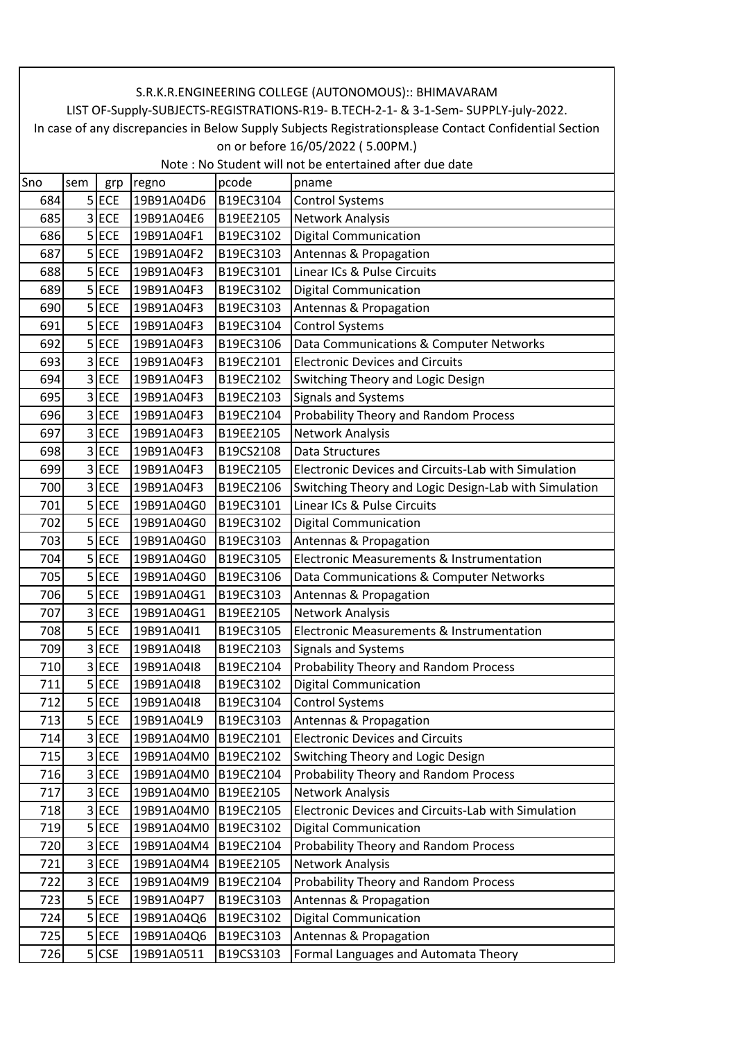|     | S.R.K.R.ENGINEERING COLLEGE (AUTONOMOUS):: BHIMAVARAM                                                  |         |            |           |                                                                                     |  |  |  |
|-----|--------------------------------------------------------------------------------------------------------|---------|------------|-----------|-------------------------------------------------------------------------------------|--|--|--|
|     |                                                                                                        |         |            |           | LIST OF-Supply-SUBJECTS-REGISTRATIONS-R19- B.TECH-2-1- & 3-1-Sem- SUPPLY-july-2022. |  |  |  |
|     | In case of any discrepancies in Below Supply Subjects Registrationsplease Contact Confidential Section |         |            |           |                                                                                     |  |  |  |
|     | on or before 16/05/2022 (5.00PM.)                                                                      |         |            |           |                                                                                     |  |  |  |
|     |                                                                                                        |         |            |           | Note: No Student will not be entertained after due date                             |  |  |  |
| Sno | sem                                                                                                    | grp     | regno      | pcode     | pname                                                                               |  |  |  |
| 684 |                                                                                                        | $5$ ECE | 19B91A04D6 | B19EC3104 | <b>Control Systems</b>                                                              |  |  |  |
| 685 |                                                                                                        | 3 ECE   | 19B91A04E6 | B19EE2105 | Network Analysis                                                                    |  |  |  |
| 686 |                                                                                                        | 5 ECE   | 19B91A04F1 | B19EC3102 | <b>Digital Communication</b>                                                        |  |  |  |
| 687 |                                                                                                        | $5$ ECE | 19B91A04F2 | B19EC3103 | Antennas & Propagation                                                              |  |  |  |
| 688 |                                                                                                        | $5$ ECE | 19B91A04F3 | B19EC3101 | Linear ICs & Pulse Circuits                                                         |  |  |  |
| 689 |                                                                                                        | $5$ ECE | 19B91A04F3 | B19EC3102 | <b>Digital Communication</b>                                                        |  |  |  |
| 690 |                                                                                                        | $5$ ECE | 19B91A04F3 | B19EC3103 | Antennas & Propagation                                                              |  |  |  |
| 691 |                                                                                                        | $5$ ECE | 19B91A04F3 | B19EC3104 | <b>Control Systems</b>                                                              |  |  |  |
| 692 |                                                                                                        | $5$ ECE | 19B91A04F3 | B19EC3106 | Data Communications & Computer Networks                                             |  |  |  |
| 693 |                                                                                                        | 3 ECE   | 19B91A04F3 | B19EC2101 | <b>Electronic Devices and Circuits</b>                                              |  |  |  |
| 694 |                                                                                                        | $3$ ECE | 19B91A04F3 | B19EC2102 | Switching Theory and Logic Design                                                   |  |  |  |
| 695 |                                                                                                        | 3 ECE   | 19B91A04F3 | B19EC2103 | Signals and Systems                                                                 |  |  |  |
| 696 |                                                                                                        | $3$ ECE | 19B91A04F3 | B19EC2104 | Probability Theory and Random Process                                               |  |  |  |
| 697 |                                                                                                        | 3 ECE   | 19B91A04F3 | B19EE2105 | Network Analysis                                                                    |  |  |  |
| 698 |                                                                                                        | 3 ECE   | 19B91A04F3 | B19CS2108 | <b>Data Structures</b>                                                              |  |  |  |
| 699 |                                                                                                        | 3 ECE   | 19B91A04F3 | B19EC2105 | <b>Electronic Devices and Circuits-Lab with Simulation</b>                          |  |  |  |
| 700 |                                                                                                        | 3 ECE   | 19B91A04F3 | B19EC2106 | Switching Theory and Logic Design-Lab with Simulation                               |  |  |  |
| 701 |                                                                                                        | $5$ ECE | 19B91A04G0 | B19EC3101 | Linear ICs & Pulse Circuits                                                         |  |  |  |
| 702 |                                                                                                        | $5$ ECE | 19B91A04G0 | B19EC3102 | <b>Digital Communication</b>                                                        |  |  |  |
| 703 |                                                                                                        | $5$ ECE | 19B91A04G0 | B19EC3103 | Antennas & Propagation                                                              |  |  |  |
| 704 |                                                                                                        | $5$ ECE | 19B91A04G0 | B19EC3105 | Electronic Measurements & Instrumentation                                           |  |  |  |
| 705 |                                                                                                        | $5$ ECE | 19B91A04G0 | B19EC3106 | Data Communications & Computer Networks                                             |  |  |  |
| 706 |                                                                                                        | $5$ ECE | 19B91A04G1 | B19EC3103 | Antennas & Propagation                                                              |  |  |  |
| 707 |                                                                                                        | 3 ECE   | 19B91A04G1 | B19EE2105 | Network Analysis                                                                    |  |  |  |
| 708 |                                                                                                        | $5$ ECE | 19B91A04I1 | B19EC3105 | Electronic Measurements & Instrumentation                                           |  |  |  |
| 709 |                                                                                                        | 3 ECE   | 19B91A04I8 | B19EC2103 | Signals and Systems                                                                 |  |  |  |
| 710 |                                                                                                        | $3$ ECE | 19B91A04I8 | B19EC2104 | Probability Theory and Random Process                                               |  |  |  |
| 711 |                                                                                                        | $5$ ECE | 19B91A04I8 | B19EC3102 | <b>Digital Communication</b>                                                        |  |  |  |
| 712 |                                                                                                        | $5$ ECE | 19B91A04I8 | B19EC3104 | <b>Control Systems</b>                                                              |  |  |  |
| 713 |                                                                                                        | 5 ECE   | 19B91A04L9 | B19EC3103 | Antennas & Propagation                                                              |  |  |  |
| 714 |                                                                                                        | 3 ECE   | 19B91A04M0 | B19EC2101 | <b>Electronic Devices and Circuits</b>                                              |  |  |  |
| 715 |                                                                                                        | 3 ECE   | 19B91A04M0 | B19EC2102 | Switching Theory and Logic Design                                                   |  |  |  |
| 716 |                                                                                                        | 3 ECE   | 19B91A04M0 | B19EC2104 | Probability Theory and Random Process                                               |  |  |  |
| 717 |                                                                                                        | $3$ ECE | 19B91A04M0 | B19EE2105 | <b>Network Analysis</b>                                                             |  |  |  |
| 718 |                                                                                                        | 3 ECE   | 19B91A04M0 | B19EC2105 | Electronic Devices and Circuits-Lab with Simulation                                 |  |  |  |
| 719 |                                                                                                        | $5$ ECE | 19B91A04M0 | B19EC3102 | <b>Digital Communication</b>                                                        |  |  |  |
| 720 |                                                                                                        | 3 ECE   | 19B91A04M4 | B19EC2104 | Probability Theory and Random Process                                               |  |  |  |
| 721 |                                                                                                        | 3 ECE   | 19B91A04M4 | B19EE2105 | Network Analysis                                                                    |  |  |  |
| 722 |                                                                                                        | 3 ECE   | 19B91A04M9 | B19EC2104 | Probability Theory and Random Process                                               |  |  |  |
| 723 |                                                                                                        | $5$ ECE | 19B91A04P7 | B19EC3103 |                                                                                     |  |  |  |
|     |                                                                                                        |         |            |           | Antennas & Propagation                                                              |  |  |  |
| 724 |                                                                                                        | $5$ ECE | 19B91A04Q6 | B19EC3102 | <b>Digital Communication</b>                                                        |  |  |  |
| 725 |                                                                                                        | $5$ ECE | 19B91A04Q6 | B19EC3103 | Antennas & Propagation                                                              |  |  |  |
| 726 |                                                                                                        | 5 CSE   | 19B91A0511 | B19CS3103 | Formal Languages and Automata Theory                                                |  |  |  |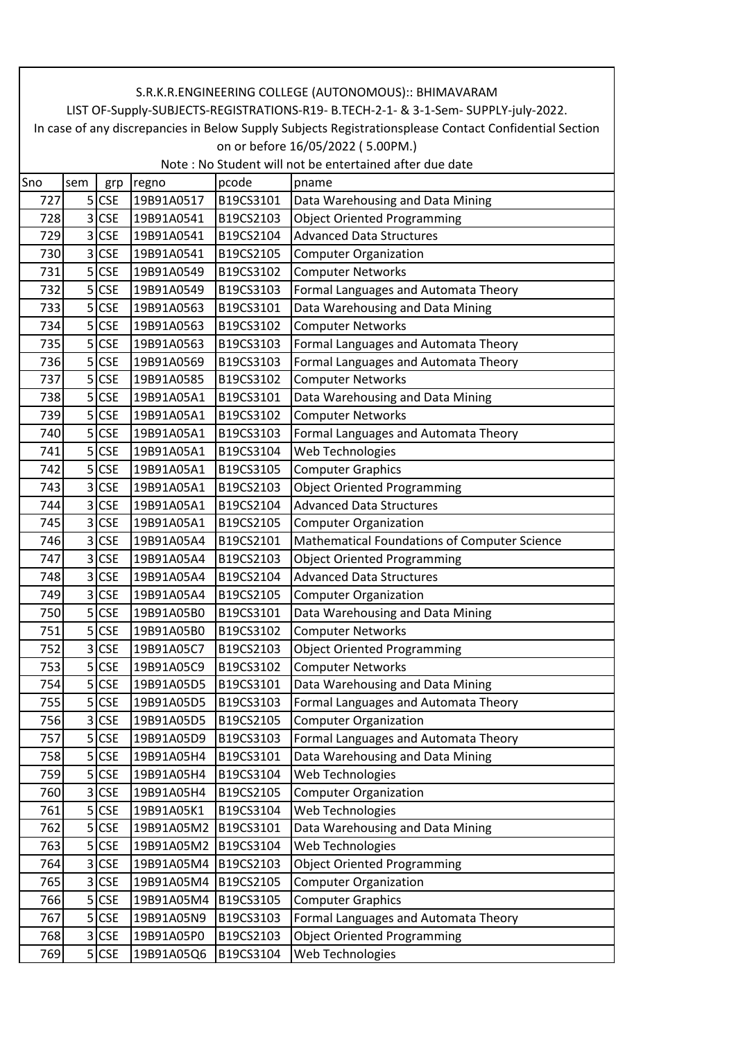|                                                         | S.R.K.R.ENGINEERING COLLEGE (AUTONOMOUS):: BHIMAVARAM                                                  |            |            |           |                                              |  |  |  |
|---------------------------------------------------------|--------------------------------------------------------------------------------------------------------|------------|------------|-----------|----------------------------------------------|--|--|--|
|                                                         | LIST OF-Supply-SUBJECTS-REGISTRATIONS-R19- B.TECH-2-1- & 3-1-Sem- SUPPLY-july-2022.                    |            |            |           |                                              |  |  |  |
|                                                         | In case of any discrepancies in Below Supply Subjects Registrationsplease Contact Confidential Section |            |            |           |                                              |  |  |  |
|                                                         | on or before 16/05/2022 (5.00PM.)                                                                      |            |            |           |                                              |  |  |  |
| Note: No Student will not be entertained after due date |                                                                                                        |            |            |           |                                              |  |  |  |
| Sno                                                     | sem                                                                                                    | grp        | regno      | pcode     | pname                                        |  |  |  |
| 727                                                     |                                                                                                        | $5$ CSE    | 19B91A0517 | B19CS3101 | Data Warehousing and Data Mining             |  |  |  |
| 728                                                     | 3                                                                                                      | <b>CSE</b> | 19B91A0541 | B19CS2103 | <b>Object Oriented Programming</b>           |  |  |  |
| 729                                                     | 3                                                                                                      | <b>CSE</b> | 19B91A0541 | B19CS2104 | <b>Advanced Data Structures</b>              |  |  |  |
| 730                                                     | $\overline{3}$                                                                                         | <b>CSE</b> | 19B91A0541 | B19CS2105 | <b>Computer Organization</b>                 |  |  |  |
| 731                                                     |                                                                                                        | 5 CSE      | 19B91A0549 | B19CS3102 | <b>Computer Networks</b>                     |  |  |  |
| 732                                                     | 5                                                                                                      | <b>CSE</b> | 19B91A0549 | B19CS3103 | Formal Languages and Automata Theory         |  |  |  |
| 733                                                     | 5                                                                                                      | <b>CSE</b> | 19B91A0563 | B19CS3101 | Data Warehousing and Data Mining             |  |  |  |
| 734                                                     | 5                                                                                                      | <b>CSE</b> | 19B91A0563 | B19CS3102 | <b>Computer Networks</b>                     |  |  |  |
| 735                                                     | 5                                                                                                      | <b>CSE</b> | 19B91A0563 | B19CS3103 | Formal Languages and Automata Theory         |  |  |  |
| 736                                                     |                                                                                                        | 5 CSE      | 19B91A0569 | B19CS3103 | Formal Languages and Automata Theory         |  |  |  |
| 737                                                     |                                                                                                        | 5 CSE      | 19B91A0585 | B19CS3102 | <b>Computer Networks</b>                     |  |  |  |
| 738                                                     | 5                                                                                                      | <b>CSE</b> | 19B91A05A1 | B19CS3101 | Data Warehousing and Data Mining             |  |  |  |
| 739                                                     | 5                                                                                                      | <b>CSE</b> | 19B91A05A1 | B19CS3102 | <b>Computer Networks</b>                     |  |  |  |
| 740                                                     | 5                                                                                                      | <b>CSE</b> | 19B91A05A1 | B19CS3103 | Formal Languages and Automata Theory         |  |  |  |
| 741                                                     | 5                                                                                                      | <b>CSE</b> | 19B91A05A1 | B19CS3104 | Web Technologies                             |  |  |  |
| 742                                                     | 5                                                                                                      | <b>CSE</b> | 19B91A05A1 | B19CS3105 | <b>Computer Graphics</b>                     |  |  |  |
| 743                                                     | 3                                                                                                      | <b>CSE</b> | 19B91A05A1 | B19CS2103 | <b>Object Oriented Programming</b>           |  |  |  |
| 744                                                     | 3                                                                                                      | <b>CSE</b> | 19B91A05A1 | B19CS2104 | <b>Advanced Data Structures</b>              |  |  |  |
| 745                                                     | 3                                                                                                      | <b>CSE</b> | 19B91A05A1 | B19CS2105 | <b>Computer Organization</b>                 |  |  |  |
| 746                                                     | 3                                                                                                      | <b>CSE</b> | 19B91A05A4 | B19CS2101 | Mathematical Foundations of Computer Science |  |  |  |
| 747                                                     | 3                                                                                                      | <b>CSE</b> | 19B91A05A4 | B19CS2103 | <b>Object Oriented Programming</b>           |  |  |  |
| 748                                                     | 3                                                                                                      | <b>CSE</b> | 19B91A05A4 | B19CS2104 | <b>Advanced Data Structures</b>              |  |  |  |
| 749                                                     | 3                                                                                                      | <b>CSE</b> | 19B91A05A4 | B19CS2105 | <b>Computer Organization</b>                 |  |  |  |
| 750                                                     | 5                                                                                                      | <b>CSE</b> | 19B91A05B0 | B19CS3101 | Data Warehousing and Data Mining             |  |  |  |
| 751                                                     |                                                                                                        | 5 CSE      | 19B91A05B0 | B19CS3102 | Computer Networks                            |  |  |  |
| 752                                                     | 3                                                                                                      | <b>CSE</b> | 19B91A05C7 | B19CS2103 | <b>Object Oriented Programming</b>           |  |  |  |
| 753                                                     | 5                                                                                                      | <b>CSE</b> | 19B91A05C9 | B19CS3102 | <b>Computer Networks</b>                     |  |  |  |
| 754                                                     | 5                                                                                                      | <b>CSE</b> | 19B91A05D5 | B19CS3101 | Data Warehousing and Data Mining             |  |  |  |
| 755                                                     | 5                                                                                                      | <b>CSE</b> | 19B91A05D5 | B19CS3103 | Formal Languages and Automata Theory         |  |  |  |
| 756                                                     | 3                                                                                                      | <b>CSE</b> | 19B91A05D5 | B19CS2105 | <b>Computer Organization</b>                 |  |  |  |
| 757                                                     | 5                                                                                                      | <b>CSE</b> | 19B91A05D9 | B19CS3103 | Formal Languages and Automata Theory         |  |  |  |
| 758                                                     | 5                                                                                                      | <b>CSE</b> | 19B91A05H4 | B19CS3101 | Data Warehousing and Data Mining             |  |  |  |
| 759                                                     | 5                                                                                                      | <b>CSE</b> | 19B91A05H4 | B19CS3104 | Web Technologies                             |  |  |  |
| 760                                                     | 3                                                                                                      | <b>CSE</b> | 19B91A05H4 | B19CS2105 | <b>Computer Organization</b>                 |  |  |  |
| 761                                                     | 5                                                                                                      | <b>CSE</b> | 19B91A05K1 | B19CS3104 | Web Technologies                             |  |  |  |
| 762                                                     |                                                                                                        | 5 CSE      | 19B91A05M2 | B19CS3101 | Data Warehousing and Data Mining             |  |  |  |
| 763                                                     | 5                                                                                                      | <b>CSE</b> | 19B91A05M2 | B19CS3104 | Web Technologies                             |  |  |  |
| 764                                                     | 3                                                                                                      | <b>CSE</b> | 19B91A05M4 | B19CS2103 | <b>Object Oriented Programming</b>           |  |  |  |
| 765                                                     | 3                                                                                                      | <b>CSE</b> | 19B91A05M4 | B19CS2105 | <b>Computer Organization</b>                 |  |  |  |
| 766                                                     | 5                                                                                                      | <b>CSE</b> | 19B91A05M4 | B19CS3105 | <b>Computer Graphics</b>                     |  |  |  |
| 767                                                     | 5                                                                                                      | <b>CSE</b> | 19B91A05N9 | B19CS3103 | Formal Languages and Automata Theory         |  |  |  |
| 768                                                     | 3                                                                                                      | <b>CSE</b> | 19B91A05P0 | B19CS2103 | <b>Object Oriented Programming</b>           |  |  |  |
| 769                                                     |                                                                                                        | 5 CSE      | 19B91A05Q6 | B19CS3104 | Web Technologies                             |  |  |  |
|                                                         |                                                                                                        |            |            |           |                                              |  |  |  |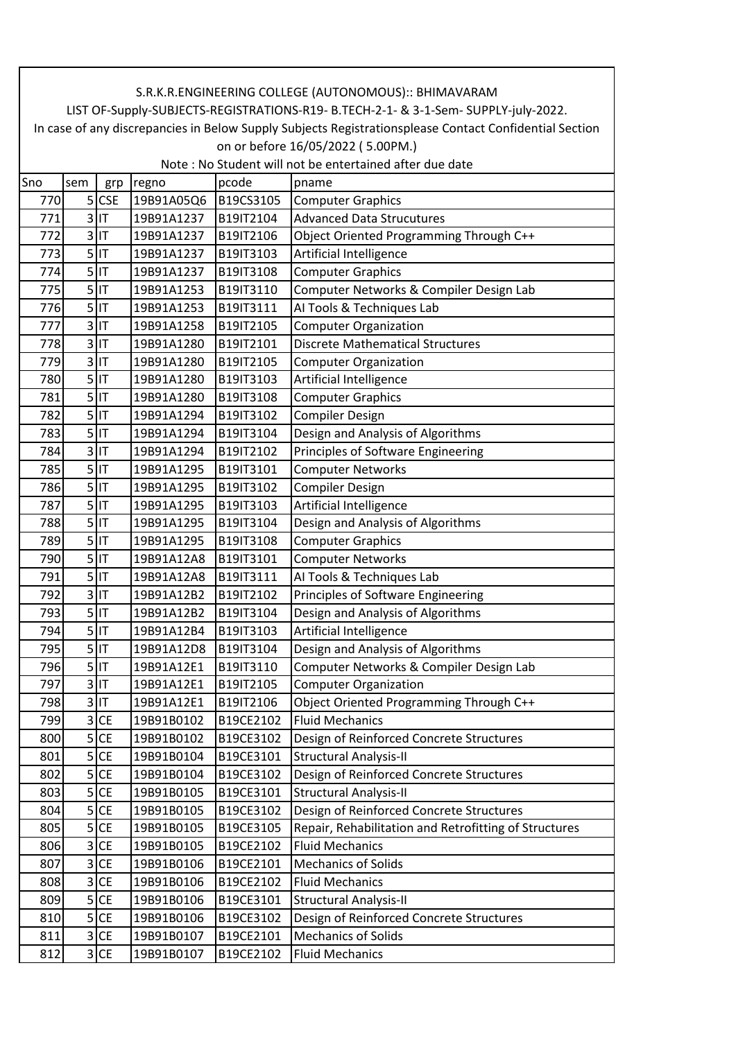|                                   | S.R.K.R.ENGINEERING COLLEGE (AUTONOMOUS):: BHIMAVARAM                                                  |           |            |           |                                                                                     |  |  |  |
|-----------------------------------|--------------------------------------------------------------------------------------------------------|-----------|------------|-----------|-------------------------------------------------------------------------------------|--|--|--|
|                                   |                                                                                                        |           |            |           | LIST OF-Supply-SUBJECTS-REGISTRATIONS-R19- B.TECH-2-1- & 3-1-Sem- SUPPLY-july-2022. |  |  |  |
|                                   | In case of any discrepancies in Below Supply Subjects Registrationsplease Contact Confidential Section |           |            |           |                                                                                     |  |  |  |
| on or before 16/05/2022 (5.00PM.) |                                                                                                        |           |            |           |                                                                                     |  |  |  |
|                                   |                                                                                                        |           |            |           | Note : No Student will not be entertained after due date                            |  |  |  |
| Sno                               | sem                                                                                                    | grp       | regno      | pcode     | pname                                                                               |  |  |  |
| 770                               |                                                                                                        | $5$ CSE   | 19B91A05Q6 | B19CS3105 | <b>Computer Graphics</b>                                                            |  |  |  |
| 771                               | 3                                                                                                      | lıt       | 19B91A1237 | B19IT2104 | <b>Advanced Data Strucutures</b>                                                    |  |  |  |
| 772                               |                                                                                                        | $3$ IT    | 19B91A1237 | B19IT2106 | Object Oriented Programming Through C++                                             |  |  |  |
| 773                               | 5                                                                                                      | IT        | 19B91A1237 | B19IT3103 | Artificial Intelligence                                                             |  |  |  |
| 774                               |                                                                                                        | $5$ IT    | 19B91A1237 | B19IT3108 | <b>Computer Graphics</b>                                                            |  |  |  |
| 775                               |                                                                                                        | $5$ IT    | 19B91A1253 | B19IT3110 | Computer Networks & Compiler Design Lab                                             |  |  |  |
| 776                               |                                                                                                        | $5$ IT    | 19B91A1253 | B19IT3111 | Al Tools & Techniques Lab                                                           |  |  |  |
| 777                               |                                                                                                        | $3$ IT    | 19B91A1258 | B19IT2105 | <b>Computer Organization</b>                                                        |  |  |  |
| 778                               | 3                                                                                                      | IT        | 19B91A1280 | B19IT2101 | <b>Discrete Mathematical Structures</b>                                             |  |  |  |
| 779                               |                                                                                                        | $3$ IT    | 19B91A1280 | B19IT2105 | <b>Computer Organization</b>                                                        |  |  |  |
| 780                               |                                                                                                        | $5$ IT    | 19B91A1280 | B19IT3103 | Artificial Intelligence                                                             |  |  |  |
| 781                               |                                                                                                        | $5$  IT   | 19B91A1280 | B19IT3108 | <b>Computer Graphics</b>                                                            |  |  |  |
| 782                               |                                                                                                        | $5$ IT    | 19B91A1294 | B19IT3102 | <b>Compiler Design</b>                                                              |  |  |  |
| 783                               |                                                                                                        | $5$ IT    | 19B91A1294 | B19IT3104 | Design and Analysis of Algorithms                                                   |  |  |  |
| 784                               |                                                                                                        | $3$ IT    | 19B91A1294 | B19IT2102 | Principles of Software Engineering                                                  |  |  |  |
| 785                               | 5                                                                                                      | İІТ       | 19B91A1295 | B19IT3101 | <b>Computer Networks</b>                                                            |  |  |  |
| 786                               |                                                                                                        | $5$ IT    | 19B91A1295 | B19IT3102 | <b>Compiler Design</b>                                                              |  |  |  |
| 787                               |                                                                                                        | $5$  IT   | 19B91A1295 | B19IT3103 | Artificial Intelligence                                                             |  |  |  |
| 788                               |                                                                                                        | $5$ IT    | 19B91A1295 | B19IT3104 | Design and Analysis of Algorithms                                                   |  |  |  |
| 789                               |                                                                                                        | $5$ IT    | 19B91A1295 | B19IT3108 | <b>Computer Graphics</b>                                                            |  |  |  |
| 790                               | 5 <sup>1</sup>                                                                                         | lıt       | 19B91A12A8 | B19IT3101 | <b>Computer Networks</b>                                                            |  |  |  |
| 791                               |                                                                                                        | $5$ IT    | 19B91A12A8 | B19IT3111 | Al Tools & Techniques Lab                                                           |  |  |  |
| 792                               | 3                                                                                                      | IT        | 19B91A12B2 | B19IT2102 | Principles of Software Engineering                                                  |  |  |  |
| 793                               |                                                                                                        | $5$ IT    | 19B91A12B2 | B19IT3104 | Design and Analysis of Algorithms                                                   |  |  |  |
| 794                               |                                                                                                        | $5$ IT    | 19B91A12B4 | B19IT3103 | Artificial Intelligence                                                             |  |  |  |
| 795                               |                                                                                                        | $5$ IT    | 19B91A12D8 | B19IT3104 | Design and Analysis of Algorithms                                                   |  |  |  |
| 796                               |                                                                                                        | $5$ IT    | 19B91A12E1 | B19IT3110 | Computer Networks & Compiler Design Lab                                             |  |  |  |
| 797                               | 3                                                                                                      | IT        | 19B91A12E1 | B19IT2105 | <b>Computer Organization</b>                                                        |  |  |  |
| 798                               |                                                                                                        | $3$ IT    | 19B91A12E1 | B19IT2106 | Object Oriented Programming Through C++                                             |  |  |  |
| 799                               | 3                                                                                                      | <b>CE</b> | 19B91B0102 | B19CE2102 | <b>Fluid Mechanics</b>                                                              |  |  |  |
| 800                               | 5                                                                                                      | <b>CE</b> | 19B91B0102 | B19CE3102 | Design of Reinforced Concrete Structures                                            |  |  |  |
| 801                               | 5                                                                                                      | <b>CE</b> | 19B91B0104 | B19CE3101 | <b>Structural Analysis-II</b>                                                       |  |  |  |
| 802                               | 5                                                                                                      | <b>CE</b> | 19B91B0104 | B19CE3102 | Design of Reinforced Concrete Structures                                            |  |  |  |
| 803                               | 5                                                                                                      | <b>CE</b> | 19B91B0105 | B19CE3101 | <b>Structural Analysis-II</b>                                                       |  |  |  |
| 804                               | 5                                                                                                      | <b>CE</b> | 19B91B0105 | B19CE3102 | Design of Reinforced Concrete Structures                                            |  |  |  |
| 805                               | 5                                                                                                      | <b>CE</b> | 19B91B0105 | B19CE3105 | Repair, Rehabilitation and Retrofitting of Structures                               |  |  |  |
| 806                               | 3                                                                                                      | <b>CE</b> | 19B91B0105 | B19CE2102 | <b>Fluid Mechanics</b>                                                              |  |  |  |
| 807                               | 3                                                                                                      | <b>CE</b> | 19B91B0106 | B19CE2101 | <b>Mechanics of Solids</b>                                                          |  |  |  |
| 808                               | 3                                                                                                      | <b>CE</b> | 19B91B0106 | B19CE2102 | <b>Fluid Mechanics</b>                                                              |  |  |  |
| 809                               | 5                                                                                                      | <b>CE</b> | 19B91B0106 | B19CE3101 | <b>Structural Analysis-II</b>                                                       |  |  |  |
|                                   | 5                                                                                                      | <b>CE</b> | 19B91B0106 | B19CE3102 |                                                                                     |  |  |  |
| 810                               |                                                                                                        |           |            |           | Design of Reinforced Concrete Structures                                            |  |  |  |
| 811                               | 3                                                                                                      | <b>CE</b> | 19B91B0107 | B19CE2101 | <b>Mechanics of Solids</b>                                                          |  |  |  |
| 812                               |                                                                                                        | $3$ CE    | 19B91B0107 | B19CE2102 | <b>Fluid Mechanics</b>                                                              |  |  |  |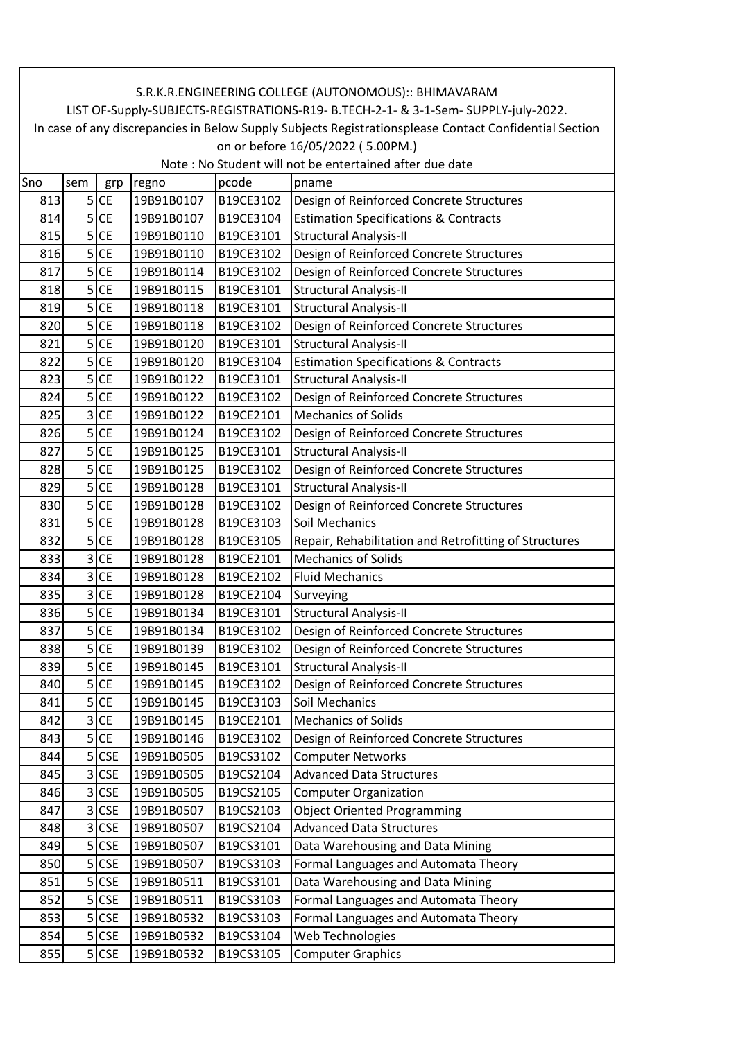|     | S.R.K.R.ENGINEERING COLLEGE (AUTONOMOUS):: BHIMAVARAM                                                  |            |            |           |                                                                                     |  |  |  |  |
|-----|--------------------------------------------------------------------------------------------------------|------------|------------|-----------|-------------------------------------------------------------------------------------|--|--|--|--|
|     |                                                                                                        |            |            |           | LIST OF-Supply-SUBJECTS-REGISTRATIONS-R19- B.TECH-2-1- & 3-1-Sem- SUPPLY-july-2022. |  |  |  |  |
|     | In case of any discrepancies in Below Supply Subjects Registrationsplease Contact Confidential Section |            |            |           |                                                                                     |  |  |  |  |
|     | on or before 16/05/2022 (5.00PM.)<br>Note: No Student will not be entertained after due date           |            |            |           |                                                                                     |  |  |  |  |
| Sno | sem                                                                                                    | grp        | regno      | pcode     | pname                                                                               |  |  |  |  |
| 813 |                                                                                                        | $5$ CE     | 19B91B0107 | B19CE3102 | Design of Reinforced Concrete Structures                                            |  |  |  |  |
| 814 |                                                                                                        | $5$ CE     | 19B91B0107 | B19CE3104 | <b>Estimation Specifications &amp; Contracts</b>                                    |  |  |  |  |
| 815 | 5                                                                                                      | <b>CE</b>  | 19B91B0110 | B19CE3101 | <b>Structural Analysis-II</b>                                                       |  |  |  |  |
| 816 | 5 <sup>1</sup>                                                                                         | <b>CE</b>  | 19B91B0110 | B19CE3102 | Design of Reinforced Concrete Structures                                            |  |  |  |  |
| 817 | 5                                                                                                      | <b>CE</b>  | 19B91B0114 | B19CE3102 | Design of Reinforced Concrete Structures                                            |  |  |  |  |
| 818 | 5                                                                                                      | <b>CE</b>  | 19B91B0115 | B19CE3101 | <b>Structural Analysis-II</b>                                                       |  |  |  |  |
| 819 | 5                                                                                                      | <b>CE</b>  | 19B91B0118 | B19CE3101 | <b>Structural Analysis-II</b>                                                       |  |  |  |  |
| 820 |                                                                                                        | $5$ CE     | 19B91B0118 | B19CE3102 | Design of Reinforced Concrete Structures                                            |  |  |  |  |
| 821 |                                                                                                        | $5$ CE     | 19B91B0120 | B19CE3101 | <b>Structural Analysis-II</b>                                                       |  |  |  |  |
| 822 | 5                                                                                                      | <b>CE</b>  | 19B91B0120 | B19CE3104 | <b>Estimation Specifications &amp; Contracts</b>                                    |  |  |  |  |
| 823 | 5                                                                                                      | <b>CE</b>  | 19B91B0122 | B19CE3101 | Structural Analysis-II                                                              |  |  |  |  |
| 824 | 5                                                                                                      | <b>CE</b>  | 19B91B0122 | B19CE3102 | Design of Reinforced Concrete Structures                                            |  |  |  |  |
| 825 | 3                                                                                                      | <b>CE</b>  | 19B91B0122 | B19CE2101 | <b>Mechanics of Solids</b>                                                          |  |  |  |  |
| 826 |                                                                                                        | $5$ CE     | 19B91B0124 | B19CE3102 |                                                                                     |  |  |  |  |
| 827 | 5                                                                                                      | <b>CE</b>  | 19B91B0125 | B19CE3101 | Design of Reinforced Concrete Structures                                            |  |  |  |  |
|     |                                                                                                        |            |            |           | <b>Structural Analysis-II</b>                                                       |  |  |  |  |
| 828 |                                                                                                        | $5$ CE     | 19B91B0125 | B19CE3102 | Design of Reinforced Concrete Structures                                            |  |  |  |  |
| 829 | 5                                                                                                      | <b>CE</b>  | 19B91B0128 | B19CE3101 | Structural Analysis-II                                                              |  |  |  |  |
| 830 | 5                                                                                                      | <b>CE</b>  | 19B91B0128 | B19CE3102 | Design of Reinforced Concrete Structures                                            |  |  |  |  |
| 831 | 5                                                                                                      | <b>CE</b>  | 19B91B0128 | B19CE3103 | Soil Mechanics                                                                      |  |  |  |  |
| 832 | 5                                                                                                      | <b>CE</b>  | 19B91B0128 | B19CE3105 | Repair, Rehabilitation and Retrofitting of Structures<br><b>Mechanics of Solids</b> |  |  |  |  |
| 833 |                                                                                                        | 3 CE       | 19B91B0128 | B19CE2101 |                                                                                     |  |  |  |  |
| 834 | 3                                                                                                      | <b>CE</b>  | 19B91B0128 | B19CE2102 | <b>Fluid Mechanics</b>                                                              |  |  |  |  |
| 835 | 3                                                                                                      | <b>CE</b>  | 19B91B0128 | B19CE2104 | Surveying                                                                           |  |  |  |  |
| 836 | 5                                                                                                      | <b>CE</b>  | 19B91B0134 | B19CE3101 | Structural Analysis-II                                                              |  |  |  |  |
| 837 |                                                                                                        | $5$ CE     | 19B91B0134 | B19CE3102 | Design of Reinforced Concrete Structures                                            |  |  |  |  |
| 838 | 5                                                                                                      | <b>CE</b>  | 19B91B0139 | B19CE3102 | Design of Reinforced Concrete Structures                                            |  |  |  |  |
| 839 |                                                                                                        | $5$ CE     | 19B91B0145 | B19CE3101 | <b>Structural Analysis-II</b>                                                       |  |  |  |  |
| 840 |                                                                                                        | $5$ CE     | 19B91B0145 | B19CE3102 | Design of Reinforced Concrete Structures                                            |  |  |  |  |
| 841 | 5                                                                                                      | <b>CE</b>  | 19B91B0145 | B19CE3103 | Soil Mechanics                                                                      |  |  |  |  |
| 842 | 3                                                                                                      | <b>CE</b>  | 19B91B0145 | B19CE2101 | <b>Mechanics of Solids</b>                                                          |  |  |  |  |
| 843 | 5                                                                                                      | <b>CE</b>  | 19B91B0146 | B19CE3102 | Design of Reinforced Concrete Structures                                            |  |  |  |  |
| 844 | 5                                                                                                      | <b>CSE</b> | 19B91B0505 | B19CS3102 | <b>Computer Networks</b>                                                            |  |  |  |  |
| 845 | $\overline{3}$                                                                                         | <b>CSE</b> | 19B91B0505 | B19CS2104 | <b>Advanced Data Structures</b>                                                     |  |  |  |  |
| 846 |                                                                                                        | $3$ CSE    | 19B91B0505 | B19CS2105 | <b>Computer Organization</b>                                                        |  |  |  |  |
| 847 |                                                                                                        | 3 CSE      | 19B91B0507 | B19CS2103 | <b>Object Oriented Programming</b>                                                  |  |  |  |  |
| 848 | 3                                                                                                      | <b>CSE</b> | 19B91B0507 | B19CS2104 | <b>Advanced Data Structures</b>                                                     |  |  |  |  |
| 849 | 5                                                                                                      | <b>CSE</b> | 19B91B0507 | B19CS3101 | Data Warehousing and Data Mining                                                    |  |  |  |  |
| 850 | 5                                                                                                      | <b>CSE</b> | 19B91B0507 | B19CS3103 | Formal Languages and Automata Theory                                                |  |  |  |  |
| 851 |                                                                                                        | $5$ CSE    | 19B91B0511 | B19CS3101 | Data Warehousing and Data Mining                                                    |  |  |  |  |
| 852 |                                                                                                        | $5$ CSE    | 19B91B0511 | B19CS3103 | Formal Languages and Automata Theory                                                |  |  |  |  |
| 853 | 5                                                                                                      | <b>CSE</b> | 19B91B0532 | B19CS3103 | Formal Languages and Automata Theory                                                |  |  |  |  |
| 854 |                                                                                                        | $5$ CSE    | 19B91B0532 | B19CS3104 | Web Technologies                                                                    |  |  |  |  |
| 855 |                                                                                                        | 5 CSE      | 19B91B0532 | B19CS3105 | <b>Computer Graphics</b>                                                            |  |  |  |  |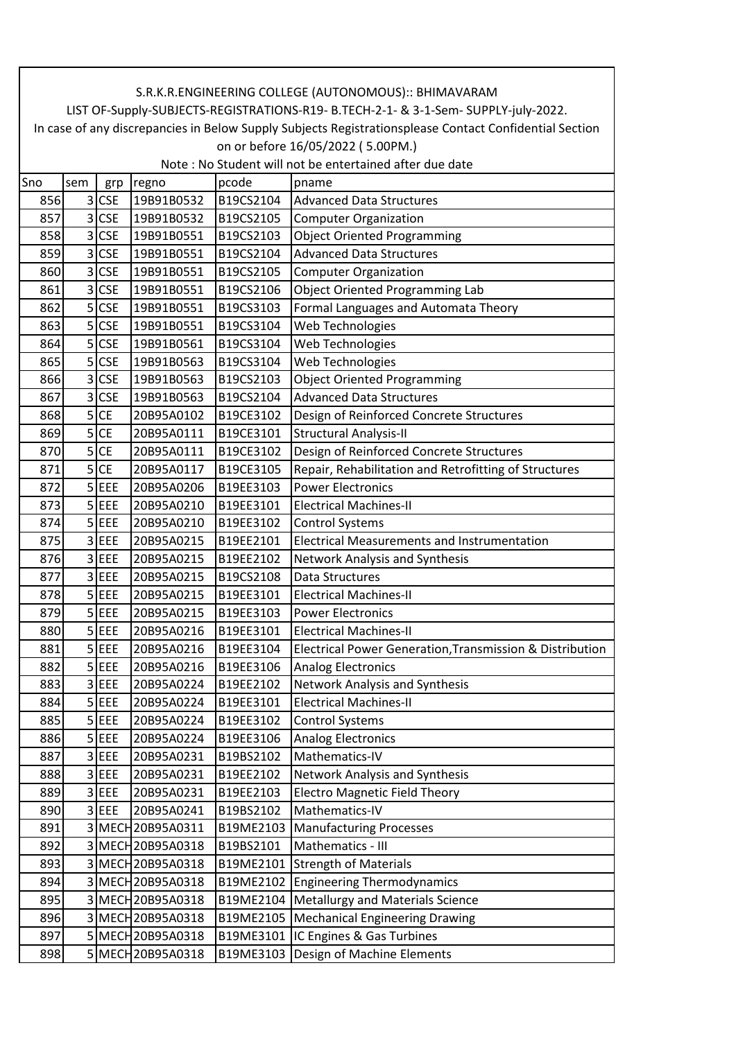|     | S.R.K.R.ENGINEERING COLLEGE (AUTONOMOUS):: BHIMAVARAM                                                  |            |                   |           |                                                          |  |  |  |  |
|-----|--------------------------------------------------------------------------------------------------------|------------|-------------------|-----------|----------------------------------------------------------|--|--|--|--|
|     | LIST OF-Supply-SUBJECTS-REGISTRATIONS-R19- B.TECH-2-1- & 3-1-Sem- SUPPLY-july-2022.                    |            |                   |           |                                                          |  |  |  |  |
|     | In case of any discrepancies in Below Supply Subjects Registrationsplease Contact Confidential Section |            |                   |           |                                                          |  |  |  |  |
|     | on or before 16/05/2022 (5.00PM.)<br>Note : No Student will not be entertained after due date          |            |                   |           |                                                          |  |  |  |  |
| Sno | sem                                                                                                    | grp        | regno             | pcode     | pname                                                    |  |  |  |  |
| 856 |                                                                                                        | $3$ CSE    | 19B91B0532        | B19CS2104 | <b>Advanced Data Structures</b>                          |  |  |  |  |
| 857 |                                                                                                        | $3$ CSE    | 19B91B0532        | B19CS2105 | <b>Computer Organization</b>                             |  |  |  |  |
| 858 | 3                                                                                                      | <b>CSE</b> | 19B91B0551        | B19CS2103 | <b>Object Oriented Programming</b>                       |  |  |  |  |
| 859 | 3                                                                                                      | <b>CSE</b> | 19B91B0551        | B19CS2104 | <b>Advanced Data Structures</b>                          |  |  |  |  |
| 860 | 3                                                                                                      | <b>CSE</b> | 19B91B0551        | B19CS2105 | <b>Computer Organization</b>                             |  |  |  |  |
| 861 | 3                                                                                                      | <b>CSE</b> | 19B91B0551        | B19CS2106 | <b>Object Oriented Programming Lab</b>                   |  |  |  |  |
| 862 |                                                                                                        | 5 CSE      | 19B91B0551        | B19CS3103 | Formal Languages and Automata Theory                     |  |  |  |  |
| 863 |                                                                                                        | 5 CSE      | 19B91B0551        | B19CS3104 | Web Technologies                                         |  |  |  |  |
| 864 |                                                                                                        | $5$ CSE    | 19B91B0561        | B19CS3104 | Web Technologies                                         |  |  |  |  |
| 865 | 5                                                                                                      | <b>CSE</b> | 19B91B0563        | B19CS3104 | Web Technologies                                         |  |  |  |  |
| 866 | 3                                                                                                      | <b>CSE</b> | 19B91B0563        | B19CS2103 | <b>Object Oriented Programming</b>                       |  |  |  |  |
| 867 | 3                                                                                                      | <b>CSE</b> | 19B91B0563        | B19CS2104 | <b>Advanced Data Structures</b>                          |  |  |  |  |
| 868 | 5                                                                                                      | <b>CE</b>  | 20B95A0102        | B19CE3102 | Design of Reinforced Concrete Structures                 |  |  |  |  |
| 869 |                                                                                                        | $5$ CE     | 20B95A0111        | B19CE3101 | <b>Structural Analysis-II</b>                            |  |  |  |  |
| 870 | 5                                                                                                      | <b>CE</b>  | 20B95A0111        | B19CE3102 | Design of Reinforced Concrete Structures                 |  |  |  |  |
| 871 | 5 <sup>1</sup>                                                                                         | <b>CE</b>  | 20B95A0117        | B19CE3105 | Repair, Rehabilitation and Retrofitting of Structures    |  |  |  |  |
| 872 | 5                                                                                                      | EEE        | 20B95A0206        | B19EE3103 | <b>Power Electronics</b>                                 |  |  |  |  |
| 873 |                                                                                                        | $5$ EEE    | 20B95A0210        | B19EE3101 | <b>Electrical Machines-II</b>                            |  |  |  |  |
| 874 |                                                                                                        | $5$ EEE    | 20B95A0210        | B19EE3102 | <b>Control Systems</b>                                   |  |  |  |  |
| 875 |                                                                                                        | $3$ EEE    | 20B95A0215        | B19EE2101 | <b>Electrical Measurements and Instrumentation</b>       |  |  |  |  |
| 876 |                                                                                                        | $3$ EEE    | 20B95A0215        | B19EE2102 | Network Analysis and Synthesis                           |  |  |  |  |
| 877 |                                                                                                        | 3 EEE      | 20B95A0215        | B19CS2108 | Data Structures                                          |  |  |  |  |
| 878 |                                                                                                        | $5$ EEE    | 20B95A0215        | B19EE3101 | <b>Electrical Machines-II</b>                            |  |  |  |  |
| 879 | 5                                                                                                      | EEE        | 20B95A0215        | B19EE3103 | <b>Power Electronics</b>                                 |  |  |  |  |
| 880 |                                                                                                        | $5$ EEE    | 20B95A0216        | B19EE3101 | <b>Electrical Machines-II</b>                            |  |  |  |  |
| 881 |                                                                                                        | 5 EEE      | 20B95A0216        | B19EE3104 | Electrical Power Generation, Transmission & Distribution |  |  |  |  |
| 882 |                                                                                                        | $5$ EEE    | 20B95A0216        | B19EE3106 | <b>Analog Electronics</b>                                |  |  |  |  |
| 883 |                                                                                                        | 3 EEE      | 20B95A0224        | B19EE2102 | Network Analysis and Synthesis                           |  |  |  |  |
| 884 |                                                                                                        | $5$ EEE    | 20B95A0224        | B19EE3101 | <b>Electrical Machines-II</b>                            |  |  |  |  |
| 885 |                                                                                                        | $5$ EEE    | 20B95A0224        | B19EE3102 | <b>Control Systems</b>                                   |  |  |  |  |
| 886 | 5                                                                                                      | <b>EEE</b> | 20B95A0224        | B19EE3106 | Analog Electronics                                       |  |  |  |  |
| 887 | $\overline{\mathbf{3}}$                                                                                | EEE        | 20B95A0231        | B19BS2102 | Mathematics-IV                                           |  |  |  |  |
| 888 |                                                                                                        | 3 EEE      | 20B95A0231        | B19EE2102 | Network Analysis and Synthesis                           |  |  |  |  |
| 889 |                                                                                                        | 3 EEE      | 20B95A0231        | B19EE2103 | <b>Electro Magnetic Field Theory</b>                     |  |  |  |  |
| 890 |                                                                                                        | 3 EEE      | 20B95A0241        | B19BS2102 | Mathematics-IV                                           |  |  |  |  |
| 891 |                                                                                                        |            | 3 MECH 20B95A0311 | B19ME2103 | <b>Manufacturing Processes</b>                           |  |  |  |  |
| 892 |                                                                                                        |            | 3 MECH 20B95A0318 | B19BS2101 | Mathematics - III                                        |  |  |  |  |
| 893 | $\overline{3}$                                                                                         |            | MECH 20B95A0318   |           | B19ME2101 Strength of Materials                          |  |  |  |  |
| 894 |                                                                                                        |            | 3 MECH 20B95A0318 |           | B19ME2102 Engineering Thermodynamics                     |  |  |  |  |
| 895 |                                                                                                        |            | 3 MECH 20B95A0318 |           | B19ME2104   Metallurgy and Materials Science             |  |  |  |  |
| 896 |                                                                                                        |            | 3 MECH 20B95A0318 |           | B19ME2105   Mechanical Engineering Drawing               |  |  |  |  |
| 897 |                                                                                                        |            | 5 MECH 20B95A0318 |           | B19ME3101  IC Engines & Gas Turbines                     |  |  |  |  |
| 898 |                                                                                                        |            | 5 MECH 20895A0318 |           | B19ME3103 Design of Machine Elements                     |  |  |  |  |